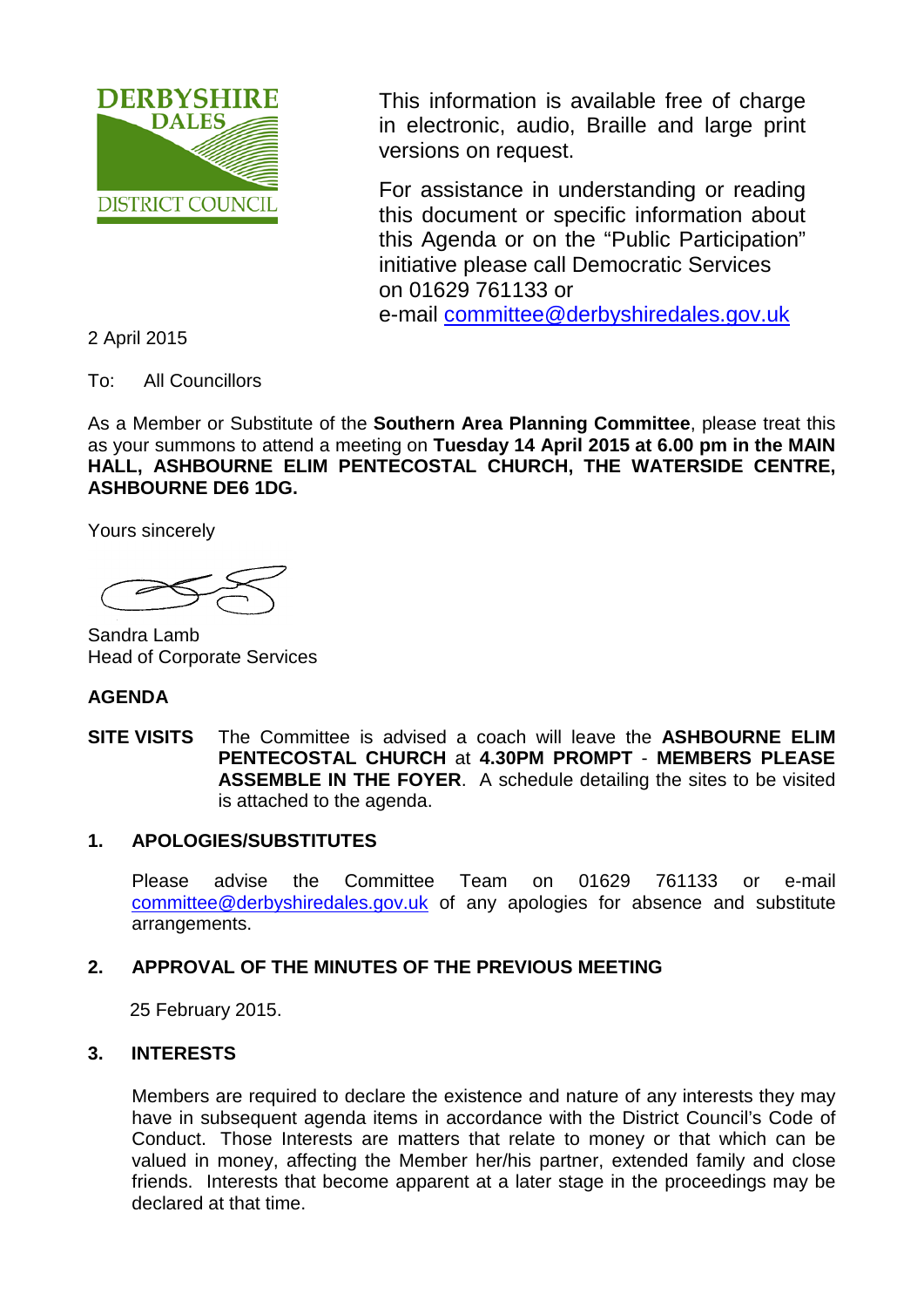

This information is available free of charge in electronic, audio, Braille and large print versions on request.

For assistance in understanding or reading this document or specific information about this Agenda or on the "Public Participation" initiative please call Democratic Services on 01629 761133 or e-mail [committee@derbyshiredales.gov.uk](mailto:committee@derbyshiredales.gov.uk)

2 April 2015

To: All Councillors

As a Member or Substitute of the **Southern Area Planning Committee**, please treat this as your summons to attend a meeting on **Tuesday 14 April 2015 at 6.00 pm in the MAIN HALL, ASHBOURNE ELIM PENTECOSTAL CHURCH, THE WATERSIDE CENTRE, ASHBOURNE DE6 1DG.** 

Yours sincerely

Sandra Lamb Head of Corporate Services

#### **AGENDA**

**SITE VISITS** The Committee is advised a coach will leave the **ASHBOURNE ELIM PENTECOSTAL CHURCH** at **4.30PM PROMPT** - **MEMBERS PLEASE ASSEMBLE IN THE FOYER**. A schedule detailing the sites to be visited is attached to the agenda.

#### **1. APOLOGIES/SUBSTITUTES**

Please advise the Committee Team on 01629 761133 or e-mail [committee@derbyshiredales.gov.uk](mailto:committee@derbyshiredales.gov.uk) of any apologies for absence and substitute arrangements.

#### **2. APPROVAL OF THE MINUTES OF THE PREVIOUS MEETING**

25 February 2015.

#### **3. INTERESTS**

Members are required to declare the existence and nature of any interests they may have in subsequent agenda items in accordance with the District Council's Code of Conduct. Those Interests are matters that relate to money or that which can be valued in money, affecting the Member her/his partner, extended family and close friends. Interests that become apparent at a later stage in the proceedings may be declared at that time.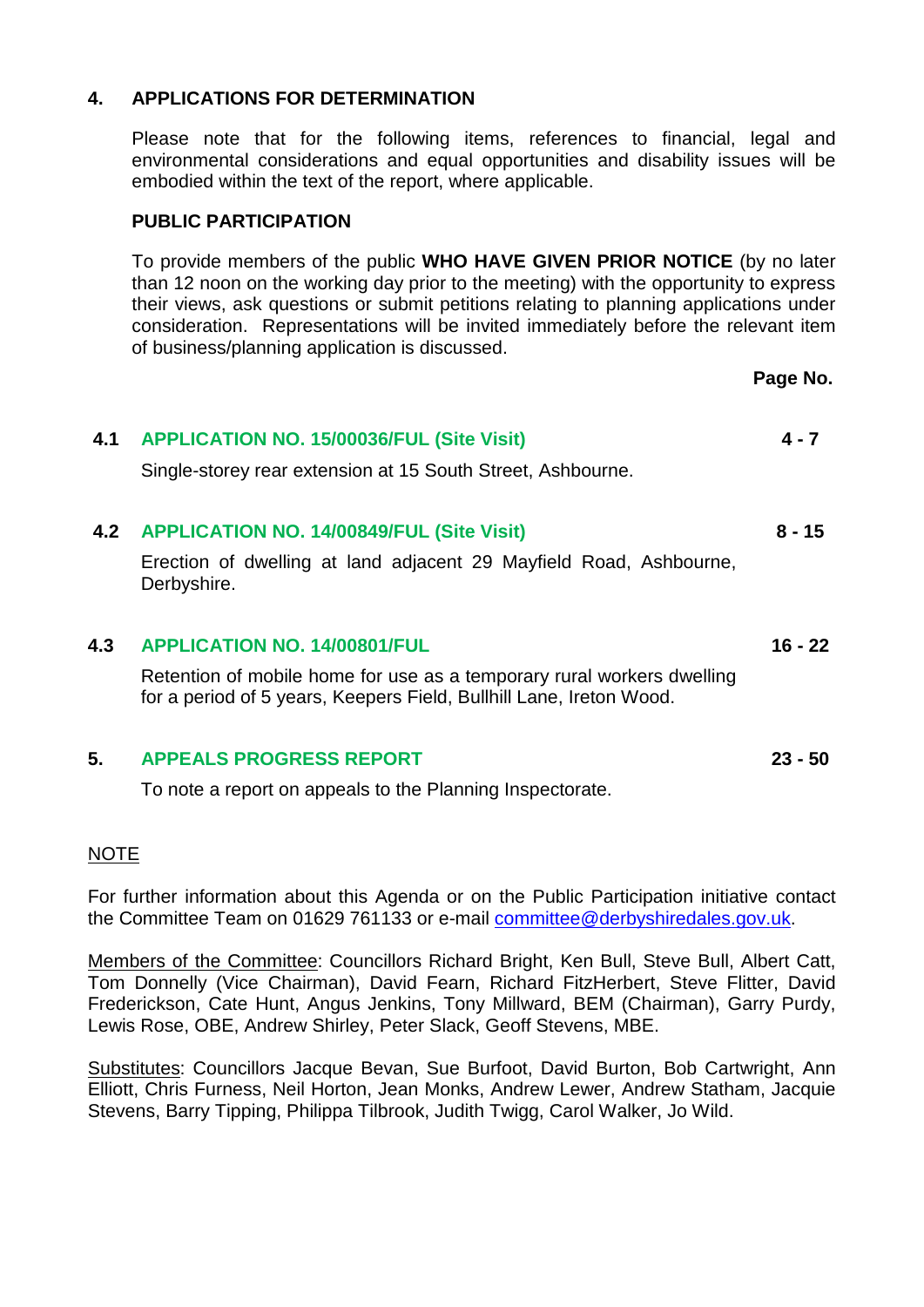#### **4. APPLICATIONS FOR DETERMINATION**

Please note that for the following items, references to financial, legal and environmental considerations and equal opportunities and disability issues will be embodied within the text of the report, where applicable.

#### **PUBLIC PARTICIPATION**

To provide members of the public **WHO HAVE GIVEN PRIOR NOTICE** (by no later than 12 noon on the working day prior to the meeting) with the opportunity to express their views, ask questions or submit petitions relating to planning applications under consideration. Representations will be invited immediately before the relevant item of business/planning application is discussed.

**Page No.**

**16 - 22** 

**23 - 50**

#### **4.1 APPLICATION NO. 15/00036/FUL (Site Visit)** Single-storey rear extension at 15 South Street, Ashbourne. **4 - 7**

#### **4.2 APPLICATION NO. 14/00849/FUL (Site Visit) 8 - 15**

Erection of dwelling at land adjacent 29 Mayfield Road, Ashbourne, Derbyshire.

#### **4.3 APPLICATION NO. 14/00801/FUL**

Retention of mobile home for use as a temporary rural workers dwelling for a period of 5 years, Keepers Field, Bullhill Lane, Ireton Wood.

#### **5. APPEALS PROGRESS REPORT**

To note a report on appeals to the Planning Inspectorate.

#### NOTE

For further information about this Agenda or on the Public Participation initiative contact the Committee Team on 01629 761133 or e-mail [committee@derbyshiredales.gov.uk.](mailto:committee@derbyshiredales.gov.uk)

Members of the Committee: Councillors Richard Bright, Ken Bull, Steve Bull, Albert Catt, Tom Donnelly (Vice Chairman), David Fearn, Richard FitzHerbert, Steve Flitter, David Frederickson, Cate Hunt, Angus Jenkins, Tony Millward, BEM (Chairman), Garry Purdy, Lewis Rose, OBE, Andrew Shirley, Peter Slack, Geoff Stevens, MBE.

Substitutes: Councillors Jacque Bevan, Sue Burfoot, David Burton, Bob Cartwright, Ann Elliott, Chris Furness, Neil Horton, Jean Monks, Andrew Lewer, Andrew Statham, Jacquie Stevens, Barry Tipping, Philippa Tilbrook, Judith Twigg, Carol Walker, Jo Wild.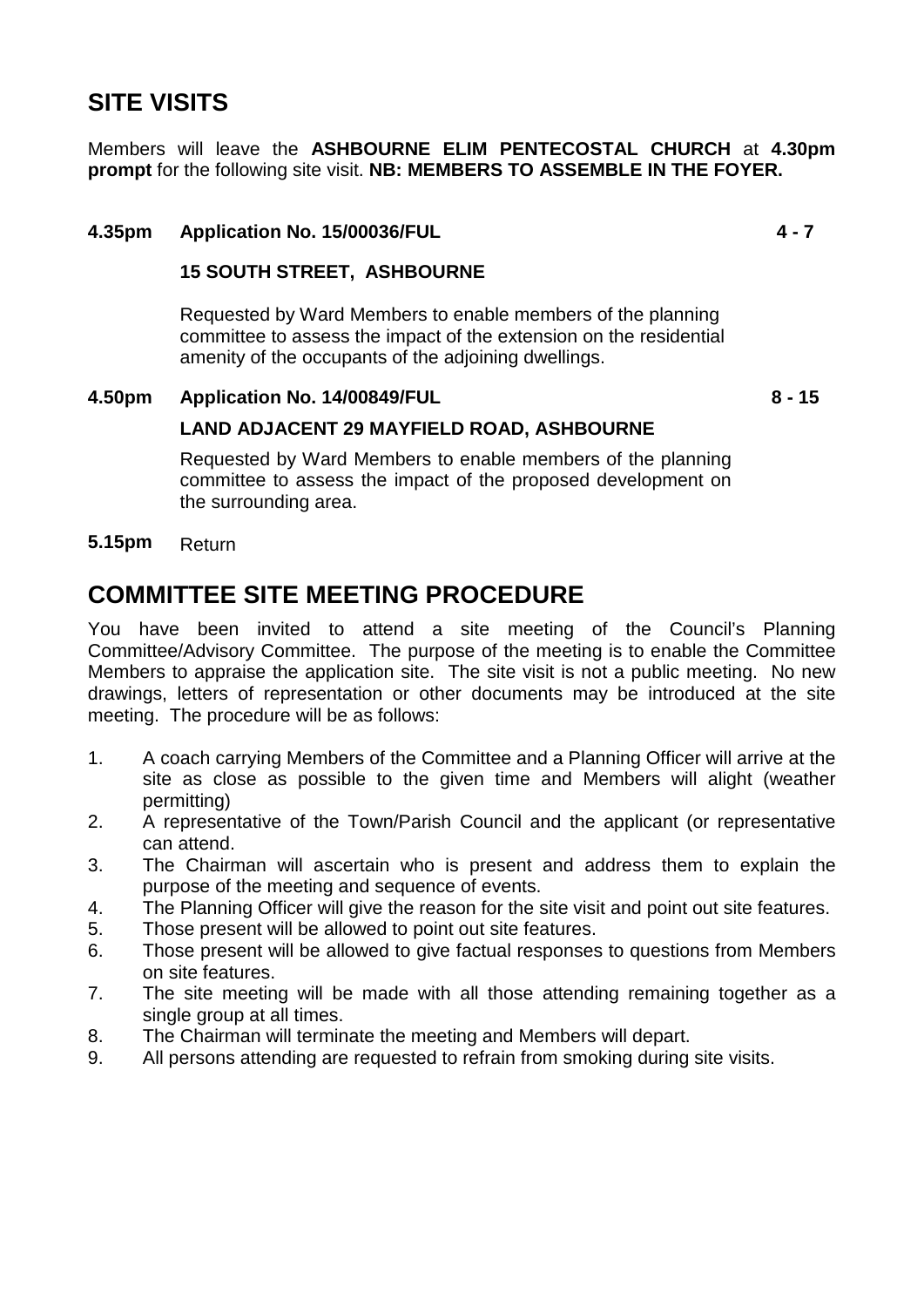## **SITE VISITS**

Members will leave the **ASHBOURNE ELIM PENTECOSTAL CHURCH** at **4.30pm prompt** for the following site visit. **NB: MEMBERS TO ASSEMBLE IN THE FOYER.** 

#### **4.35pm Application No. 15/00036/FUL**

#### **15 SOUTH STREET, ASHBOURNE**

Requested by Ward Members to enable members of the planning committee to assess the impact of the extension on the residential amenity of the occupants of the adjoining dwellings.

#### **4.50pm Application No. 14/00849/FUL**

**8 - 15** 

**4 - 7** 

#### **LAND ADJACENT 29 MAYFIELD ROAD, ASHBOURNE**

Requested by Ward Members to enable members of the planning committee to assess the impact of the proposed development on the surrounding area.

#### **5.15pm** Return

## **COMMITTEE SITE MEETING PROCEDURE**

You have been invited to attend a site meeting of the Council's Planning Committee/Advisory Committee. The purpose of the meeting is to enable the Committee Members to appraise the application site. The site visit is not a public meeting. No new drawings, letters of representation or other documents may be introduced at the site meeting. The procedure will be as follows:

- 1. A coach carrying Members of the Committee and a Planning Officer will arrive at the site as close as possible to the given time and Members will alight (weather permitting)
- 2. A representative of the Town/Parish Council and the applicant (or representative can attend.
- 3. The Chairman will ascertain who is present and address them to explain the purpose of the meeting and sequence of events.
- 4. The Planning Officer will give the reason for the site visit and point out site features.
- 5. Those present will be allowed to point out site features.
- 6. Those present will be allowed to give factual responses to questions from Members on site features.
- 7. The site meeting will be made with all those attending remaining together as a single group at all times.
- 8. The Chairman will terminate the meeting and Members will depart.
- 9. All persons attending are requested to refrain from smoking during site visits.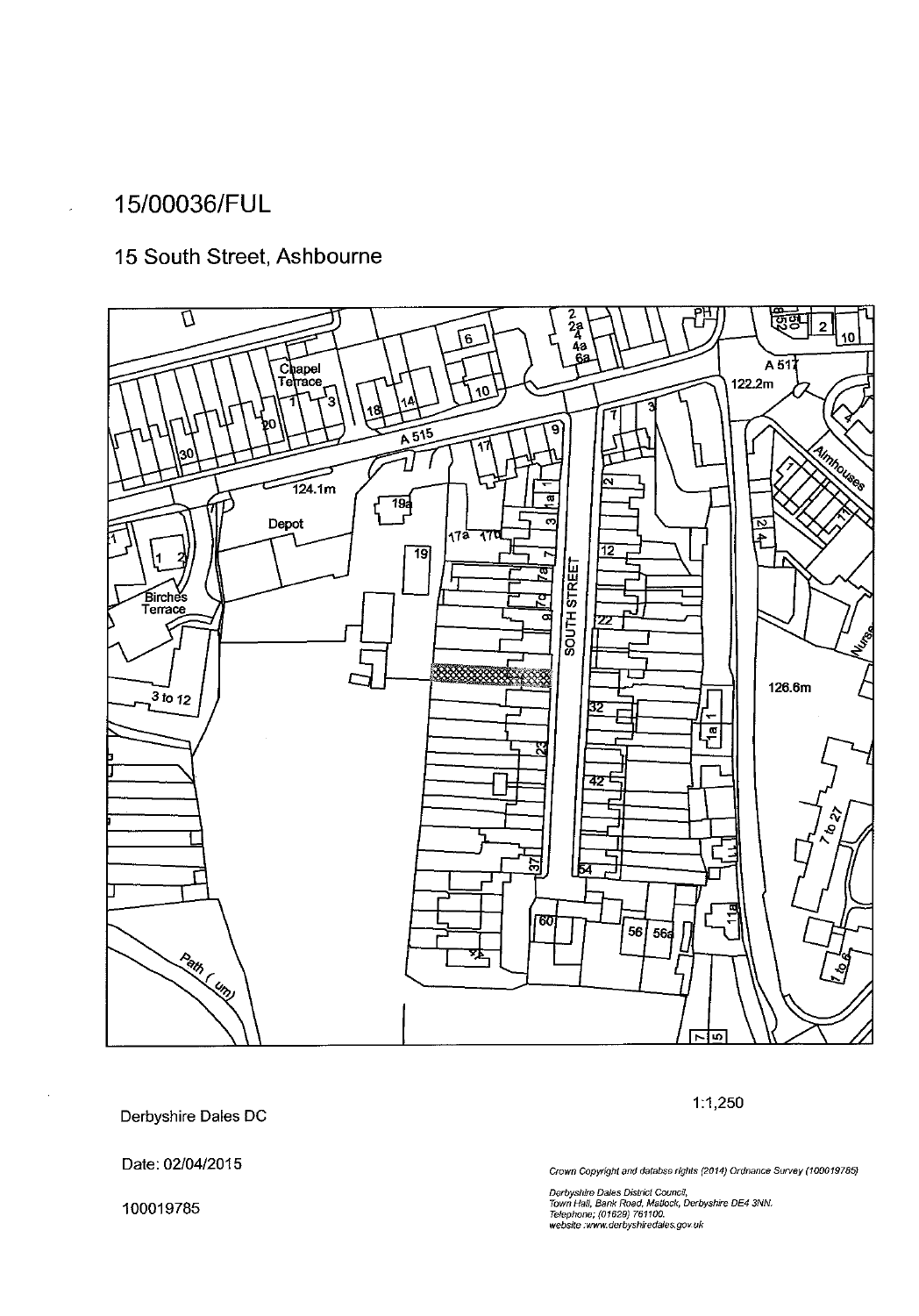### 15/00036/FUL

### 15 South Street, Ashbourne



Derbyshire Dales DC

Date: 02/04/2015

100019785

Crown Copyright and databse rights (2014) Ordnance Survey (100019785)

 $1:1,250$ 

Derbyshire Dales District Council,<br>Town Hall, Bank Road, Matlock, Derbyshire DE4 3NN.<br>Telephone; (01629) 761100.<br>website :www.derbyshiredales.gov.uk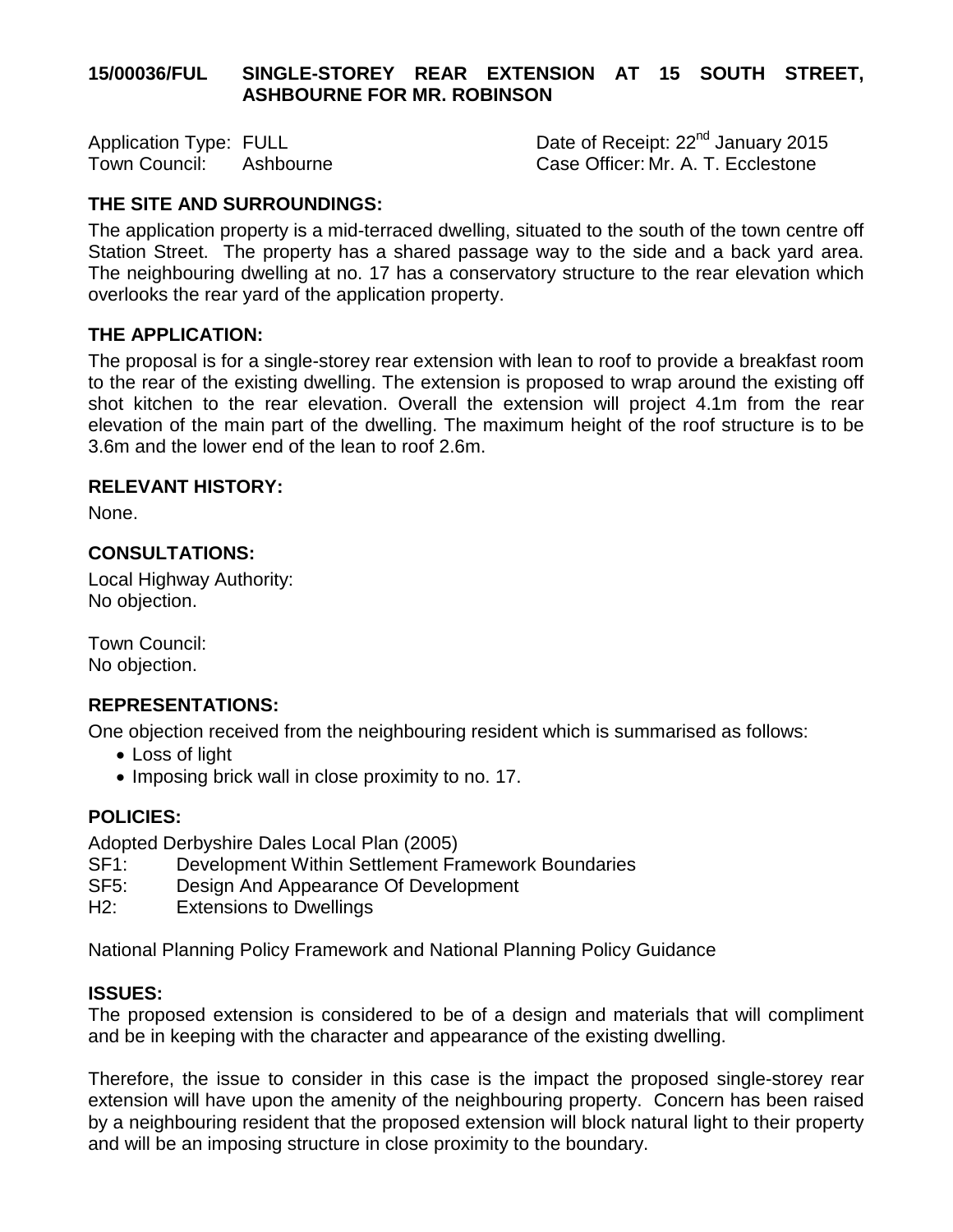#### **15/00036/FUL SINGLE-STOREY REAR EXTENSION AT 15 SOUTH STREET, ASHBOURNE FOR MR. ROBINSON**

Application Type: FULL <br>Town Council: Ashbourne Town Case Officer: Mr. A. T. Ecclestone Case Officer: Mr. A. T. Ecclestone

#### **THE SITE AND SURROUNDINGS:**

The application property is a mid-terraced dwelling, situated to the south of the town centre off Station Street. The property has a shared passage way to the side and a back yard area. The neighbouring dwelling at no. 17 has a conservatory structure to the rear elevation which overlooks the rear yard of the application property.

#### **THE APPLICATION:**

The proposal is for a single-storey rear extension with lean to roof to provide a breakfast room to the rear of the existing dwelling. The extension is proposed to wrap around the existing off shot kitchen to the rear elevation. Overall the extension will project 4.1m from the rear elevation of the main part of the dwelling. The maximum height of the roof structure is to be 3.6m and the lower end of the lean to roof 2.6m.

#### **RELEVANT HISTORY:**

None.

#### **CONSULTATIONS:**

Local Highway Authority: No objection.

Town Council: No objection.

#### **REPRESENTATIONS:**

One objection received from the neighbouring resident which is summarised as follows:

- Loss of light
- Imposing brick wall in close proximity to no. 17.

#### **POLICIES:**

Adopted Derbyshire Dales Local Plan (2005)

- SF1: Development Within Settlement Framework Boundaries
- SF5: Design And Appearance Of Development
- H2: Extensions to Dwellings

National Planning Policy Framework and National Planning Policy Guidance

#### **ISSUES:**

The proposed extension is considered to be of a design and materials that will compliment and be in keeping with the character and appearance of the existing dwelling.

Therefore, the issue to consider in this case is the impact the proposed single-storey rear extension will have upon the amenity of the neighbouring property. Concern has been raised by a neighbouring resident that the proposed extension will block natural light to their property and will be an imposing structure in close proximity to the boundary.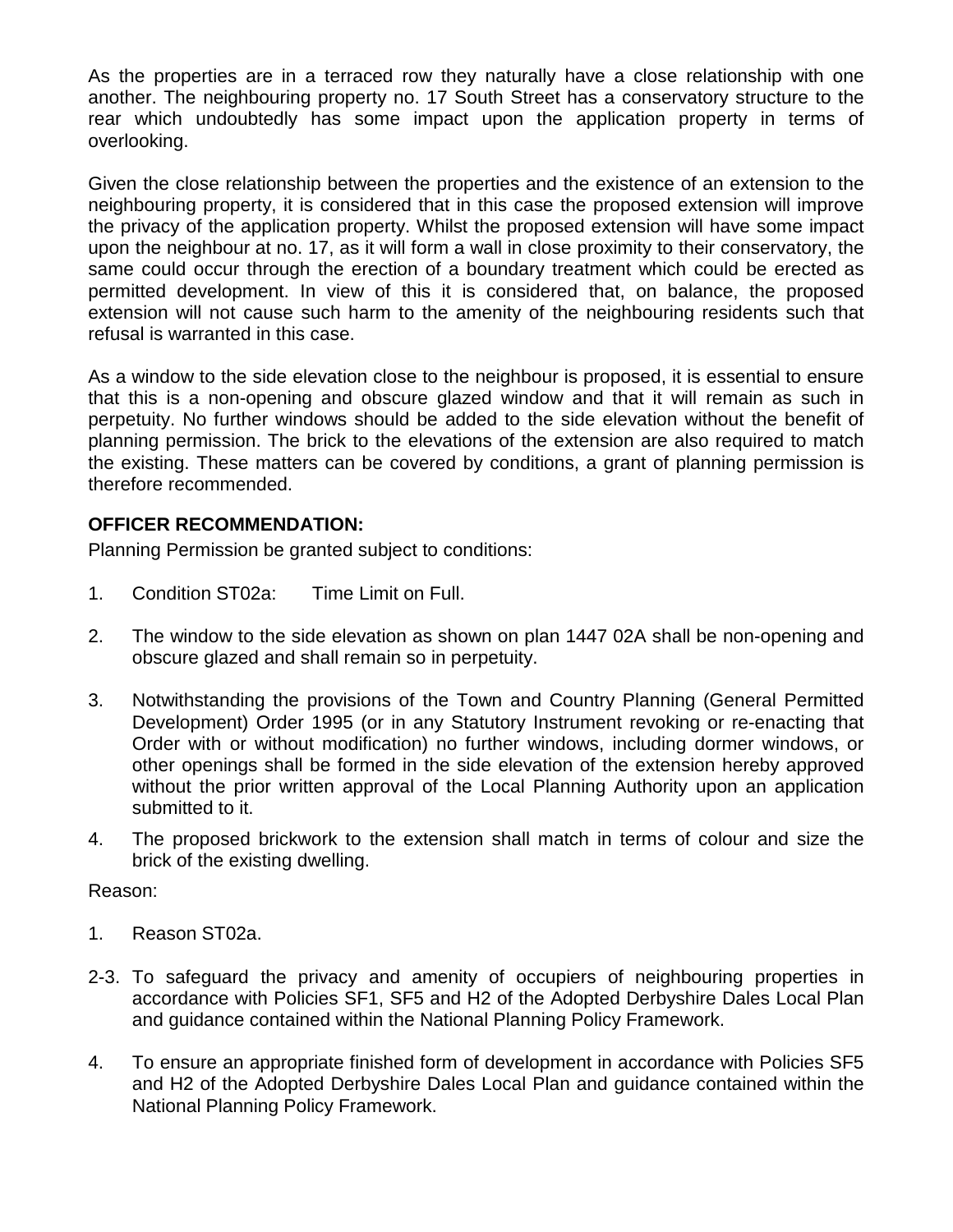As the properties are in a terraced row they naturally have a close relationship with one another. The neighbouring property no. 17 South Street has a conservatory structure to the rear which undoubtedly has some impact upon the application property in terms of overlooking.

Given the close relationship between the properties and the existence of an extension to the neighbouring property, it is considered that in this case the proposed extension will improve the privacy of the application property. Whilst the proposed extension will have some impact upon the neighbour at no. 17, as it will form a wall in close proximity to their conservatory, the same could occur through the erection of a boundary treatment which could be erected as permitted development. In view of this it is considered that, on balance, the proposed extension will not cause such harm to the amenity of the neighbouring residents such that refusal is warranted in this case.

As a window to the side elevation close to the neighbour is proposed, it is essential to ensure that this is a non-opening and obscure glazed window and that it will remain as such in perpetuity. No further windows should be added to the side elevation without the benefit of planning permission. The brick to the elevations of the extension are also required to match the existing. These matters can be covered by conditions, a grant of planning permission is therefore recommended.

#### **OFFICER RECOMMENDATION:**

Planning Permission be granted subject to conditions:

- 1. Condition ST02a: Time Limit on Full.
- 2. The window to the side elevation as shown on plan 1447 02A shall be non-opening and obscure glazed and shall remain so in perpetuity.
- 3. Notwithstanding the provisions of the Town and Country Planning (General Permitted Development) Order 1995 (or in any Statutory Instrument revoking or re-enacting that Order with or without modification) no further windows, including dormer windows, or other openings shall be formed in the side elevation of the extension hereby approved without the prior written approval of the Local Planning Authority upon an application submitted to it.
- 4. The proposed brickwork to the extension shall match in terms of colour and size the brick of the existing dwelling.

Reason:

- 1. Reason ST02a.
- 2-3. To safeguard the privacy and amenity of occupiers of neighbouring properties in accordance with Policies SF1, SF5 and H2 of the Adopted Derbyshire Dales Local Plan and guidance contained within the National Planning Policy Framework.
- 4. To ensure an appropriate finished form of development in accordance with Policies SF5 and H2 of the Adopted Derbyshire Dales Local Plan and guidance contained within the National Planning Policy Framework.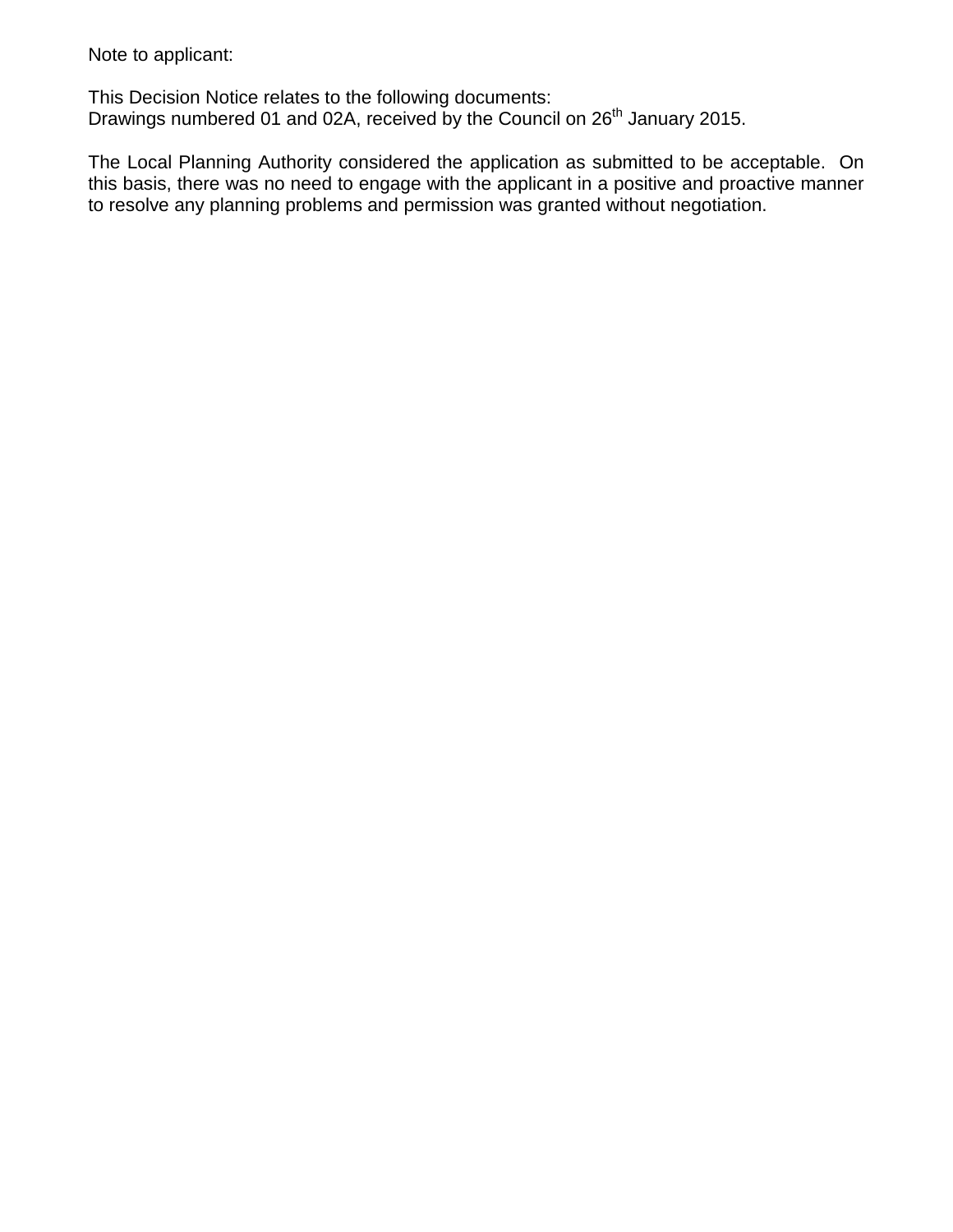Note to applicant:

This Decision Notice relates to the following documents: Drawings numbered 01 and 02A, received by the Council on 26<sup>th</sup> January 2015.

The Local Planning Authority considered the application as submitted to be acceptable. On this basis, there was no need to engage with the applicant in a positive and proactive manner to resolve any planning problems and permission was granted without negotiation.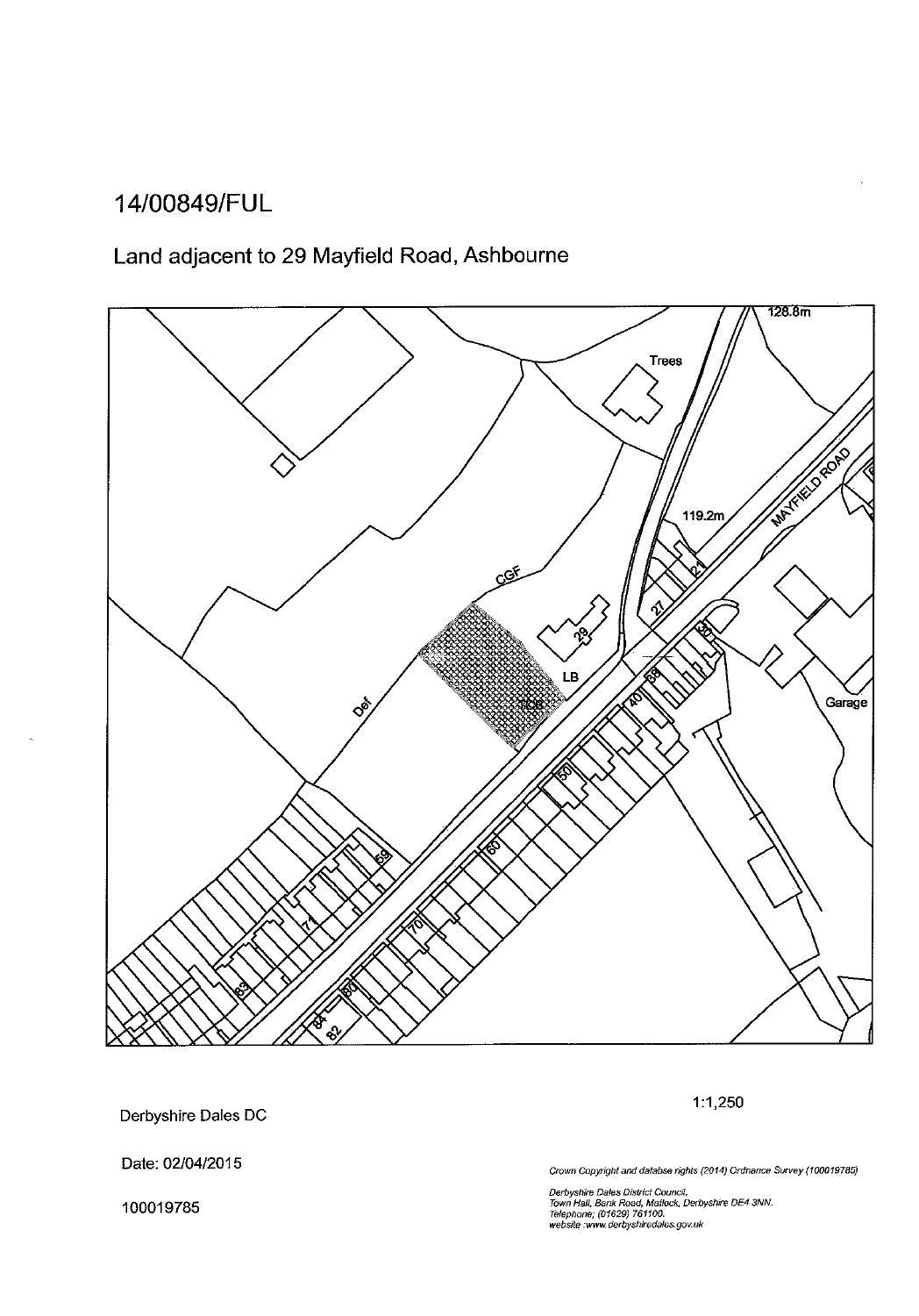## 14/00849/FUL

## Land adjacent to 29 Mayfield Road, Ashbourne



Derbyshire Dales DC

Date: 02/04/2015

100019785

Crown Copyright and databse rights (2014) Ordnance Survey (100019785)

 $1:1,250$ 

Derbyshire Dales District Council,<br>Town Hall, Bank Road, Matlock, Derbyshire DE4 3NN.<br>Telephone; (01629) 761100.<br>website :www.derbyshiredales.gov.uk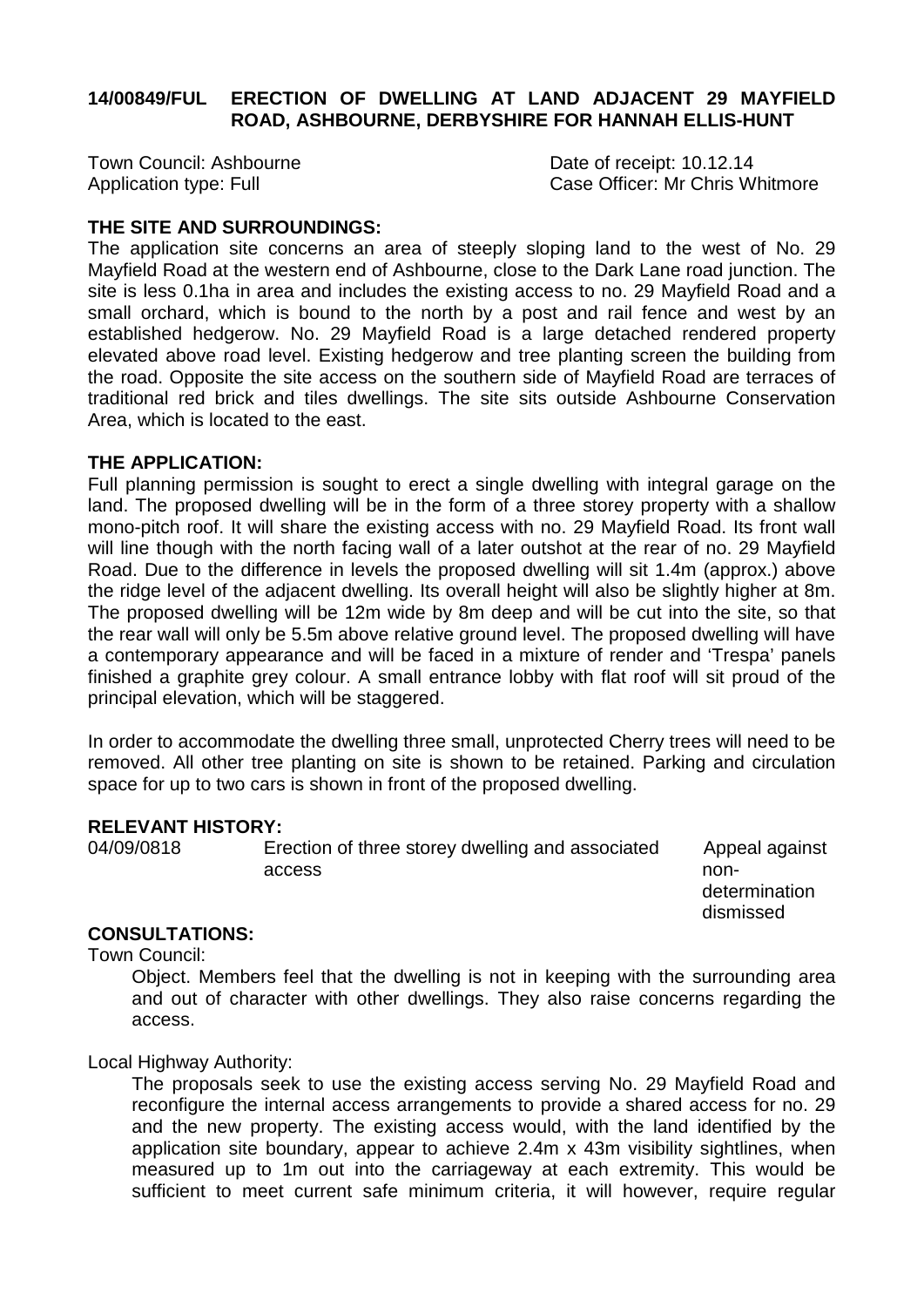#### **14/00849/FUL ERECTION OF DWELLING AT LAND ADJACENT 29 MAYFIELD ROAD, ASHBOURNE, DERBYSHIRE FOR HANNAH ELLIS-HUNT**

Town Council: Ashbourne<br>
Application type: Full and Date of receipt: 10.12.14<br>
Case Officer: Mr Chris W

Case Officer: Mr Chris Whitmore

#### **THE SITE AND SURROUNDINGS:**

The application site concerns an area of steeply sloping land to the west of No. 29 Mayfield Road at the western end of Ashbourne, close to the Dark Lane road junction. The site is less 0.1ha in area and includes the existing access to no. 29 Mayfield Road and a small orchard, which is bound to the north by a post and rail fence and west by an established hedgerow. No. 29 Mayfield Road is a large detached rendered property elevated above road level. Existing hedgerow and tree planting screen the building from the road. Opposite the site access on the southern side of Mayfield Road are terraces of traditional red brick and tiles dwellings. The site sits outside Ashbourne Conservation Area, which is located to the east.

#### **THE APPLICATION:**

Full planning permission is sought to erect a single dwelling with integral garage on the land. The proposed dwelling will be in the form of a three storey property with a shallow mono-pitch roof. It will share the existing access with no. 29 Mayfield Road. Its front wall will line though with the north facing wall of a later outshot at the rear of no. 29 Mayfield Road. Due to the difference in levels the proposed dwelling will sit 1.4m (approx.) above the ridge level of the adjacent dwelling. Its overall height will also be slightly higher at 8m. The proposed dwelling will be 12m wide by 8m deep and will be cut into the site, so that the rear wall will only be 5.5m above relative ground level. The proposed dwelling will have a contemporary appearance and will be faced in a mixture of render and 'Trespa' panels finished a graphite grey colour. A small entrance lobby with flat roof will sit proud of the principal elevation, which will be staggered.

In order to accommodate the dwelling three small, unprotected Cherry trees will need to be removed. All other tree planting on site is shown to be retained. Parking and circulation space for up to two cars is shown in front of the proposed dwelling.

## **RELEVANT HISTORY:**<br>04/09/0818 **Ere**

Erection of three storey dwelling and associated Appeal against access and the set of the set of the set of the set of the set of the set of the set of the set of the set of the set of the set of the set of the set of the set of the set of the set of the set of the set of the set of th

 determination dismissed

#### **CONSULTATIONS:**

Town Council:

Object. Members feel that the dwelling is not in keeping with the surrounding area and out of character with other dwellings. They also raise concerns regarding the access.

#### Local Highway Authority:

The proposals seek to use the existing access serving No. 29 Mayfield Road and reconfigure the internal access arrangements to provide a shared access for no. 29 and the new property. The existing access would, with the land identified by the application site boundary, appear to achieve 2.4m x 43m visibility sightlines, when measured up to 1m out into the carriageway at each extremity. This would be sufficient to meet current safe minimum criteria, it will however, require regular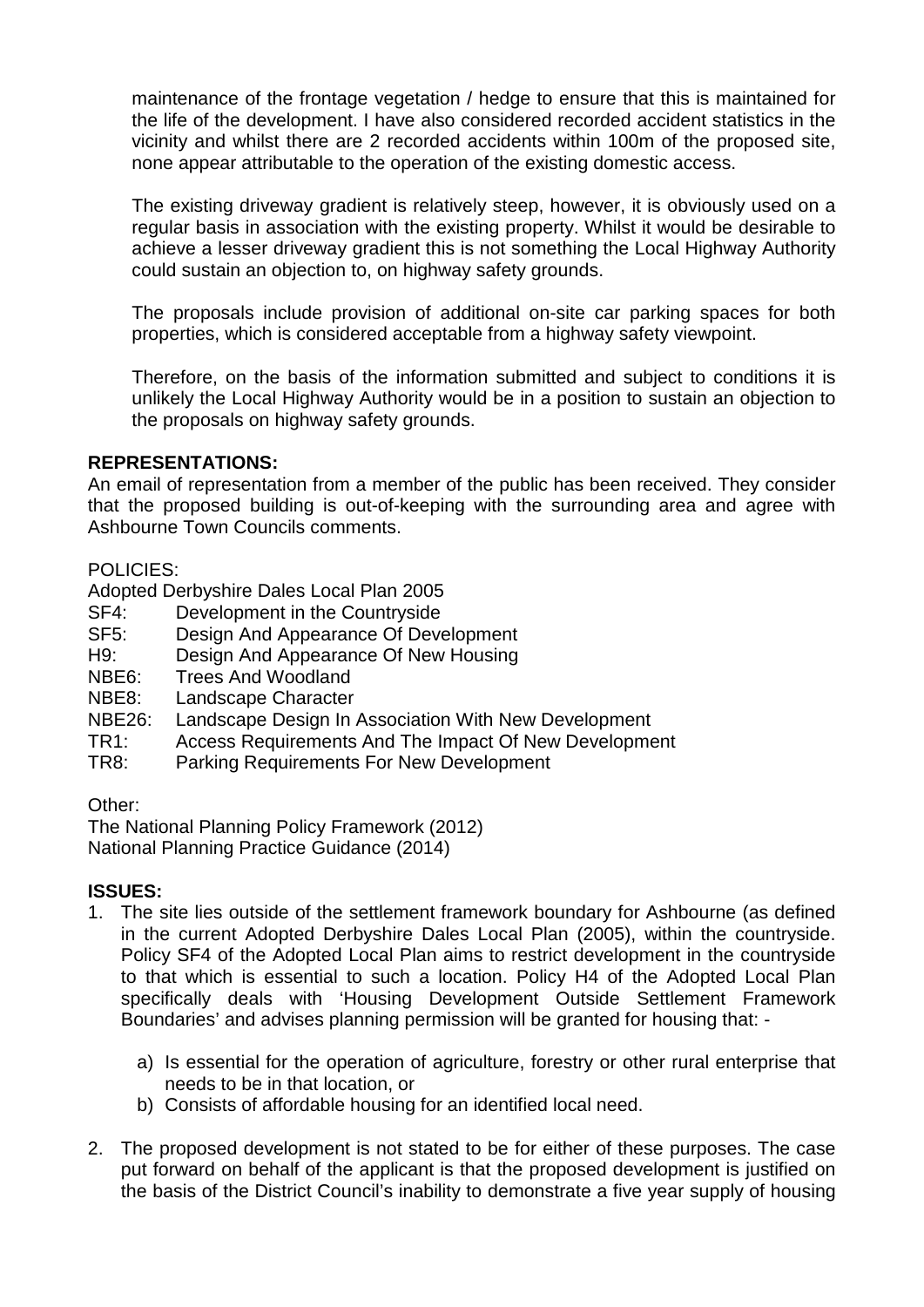maintenance of the frontage vegetation / hedge to ensure that this is maintained for the life of the development. I have also considered recorded accident statistics in the vicinity and whilst there are 2 recorded accidents within 100m of the proposed site, none appear attributable to the operation of the existing domestic access.

The existing driveway gradient is relatively steep, however, it is obviously used on a regular basis in association with the existing property. Whilst it would be desirable to achieve a lesser driveway gradient this is not something the Local Highway Authority could sustain an objection to, on highway safety grounds.

The proposals include provision of additional on-site car parking spaces for both properties, which is considered acceptable from a highway safety viewpoint.

Therefore, on the basis of the information submitted and subject to conditions it is unlikely the Local Highway Authority would be in a position to sustain an objection to the proposals on highway safety grounds.

#### **REPRESENTATIONS:**

An email of representation from a member of the public has been received. They consider that the proposed building is out-of-keeping with the surrounding area and agree with Ashbourne Town Councils comments.

#### POLICIES:

Adopted Derbyshire Dales Local Plan 2005

- SF4: Development in the Countryside<br>SF5: Design And Appearance Of Deve
- Design And Appearance Of Development
- H9: Design And Appearance Of New Housing<br>NBE6: Trees And Woodland
- Trees And Woodland
- NBE8: Landscape Character
- NBE26: Landscape Design In Association With New Development<br>TR1: Access Requirements And The Impact Of New Developme
- Access Requirements And The Impact Of New Development
- TR8: Parking Requirements For New Development

#### Other:

The National Planning Policy Framework (2012) National Planning Practice Guidance (2014)

#### **ISSUES:**

- 1. The site lies outside of the settlement framework boundary for Ashbourne (as defined in the current Adopted Derbyshire Dales Local Plan (2005), within the countryside. Policy SF4 of the Adopted Local Plan aims to restrict development in the countryside to that which is essential to such a location. Policy H4 of the Adopted Local Plan specifically deals with 'Housing Development Outside Settlement Framework Boundaries' and advises planning permission will be granted for housing that:
	- a) Is essential for the operation of agriculture, forestry or other rural enterprise that needs to be in that location, or
	- b) Consists of affordable housing for an identified local need.
- 2. The proposed development is not stated to be for either of these purposes. The case put forward on behalf of the applicant is that the proposed development is justified on the basis of the District Council's inability to demonstrate a five year supply of housing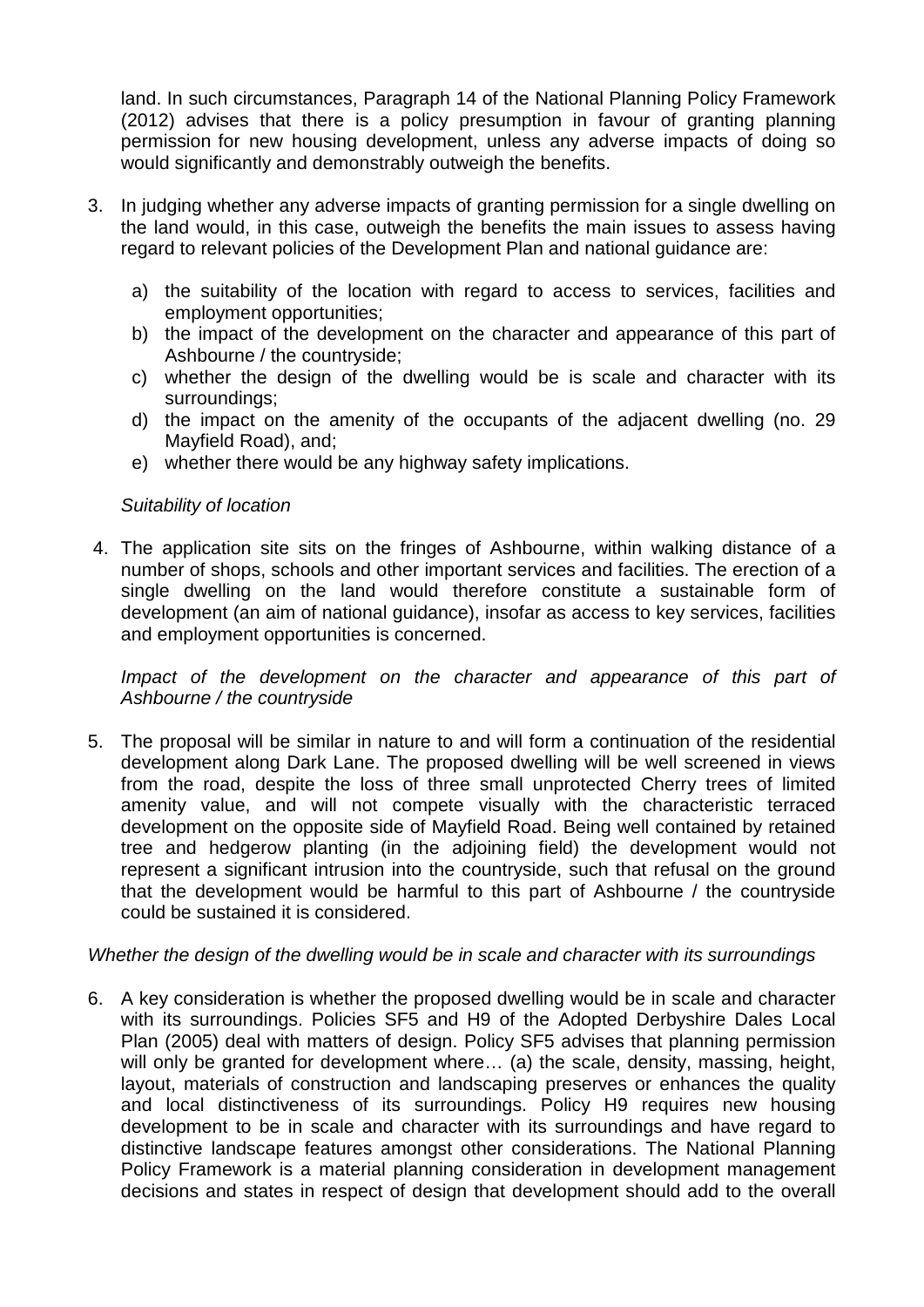land. In such circumstances, Paragraph 14 of the National Planning Policy Framework (2012) advises that there is a policy presumption in favour of granting planning permission for new housing development, unless any adverse impacts of doing so would significantly and demonstrably outweigh the benefits.

- 3. In judging whether any adverse impacts of granting permission for a single dwelling on the land would, in this case, outweigh the benefits the main issues to assess having regard to relevant policies of the Development Plan and national guidance are:
	- a) the suitability of the location with regard to access to services, facilities and employment opportunities;
	- b) the impact of the development on the character and appearance of this part of Ashbourne / the countryside;
	- c) whether the design of the dwelling would be is scale and character with its surroundings;
	- d) the impact on the amenity of the occupants of the adjacent dwelling (no. 29 Mayfield Road), and;
	- e) whether there would be any highway safety implications.

#### *Suitability of location*

4. The application site sits on the fringes of Ashbourne, within walking distance of a number of shops, schools and other important services and facilities. The erection of a single dwelling on the land would therefore constitute a sustainable form of development (an aim of national guidance), insofar as access to key services, facilities and employment opportunities is concerned.

*Impact of the development on the character and appearance of this part of Ashbourne / the countryside*

5. The proposal will be similar in nature to and will form a continuation of the residential development along Dark Lane. The proposed dwelling will be well screened in views from the road, despite the loss of three small unprotected Cherry trees of limited amenity value, and will not compete visually with the characteristic terraced development on the opposite side of Mayfield Road. Being well contained by retained tree and hedgerow planting (in the adjoining field) the development would not represent a significant intrusion into the countryside, such that refusal on the ground that the development would be harmful to this part of Ashbourne / the countryside could be sustained it is considered.

#### *Whether the design of the dwelling would be in scale and character with its surroundings*

6. A key consideration is whether the proposed dwelling would be in scale and character with its surroundings. Policies SF5 and H9 of the Adopted Derbyshire Dales Local Plan (2005) deal with matters of design. Policy SF5 advises that planning permission will only be granted for development where... (a) the scale, density, massing, height, layout, materials of construction and landscaping preserves or enhances the quality and local distinctiveness of its surroundings. Policy H9 requires new housing development to be in scale and character with its surroundings and have regard to distinctive landscape features amongst other considerations. The National Planning Policy Framework is a material planning consideration in development management decisions and states in respect of design that development should add to the overall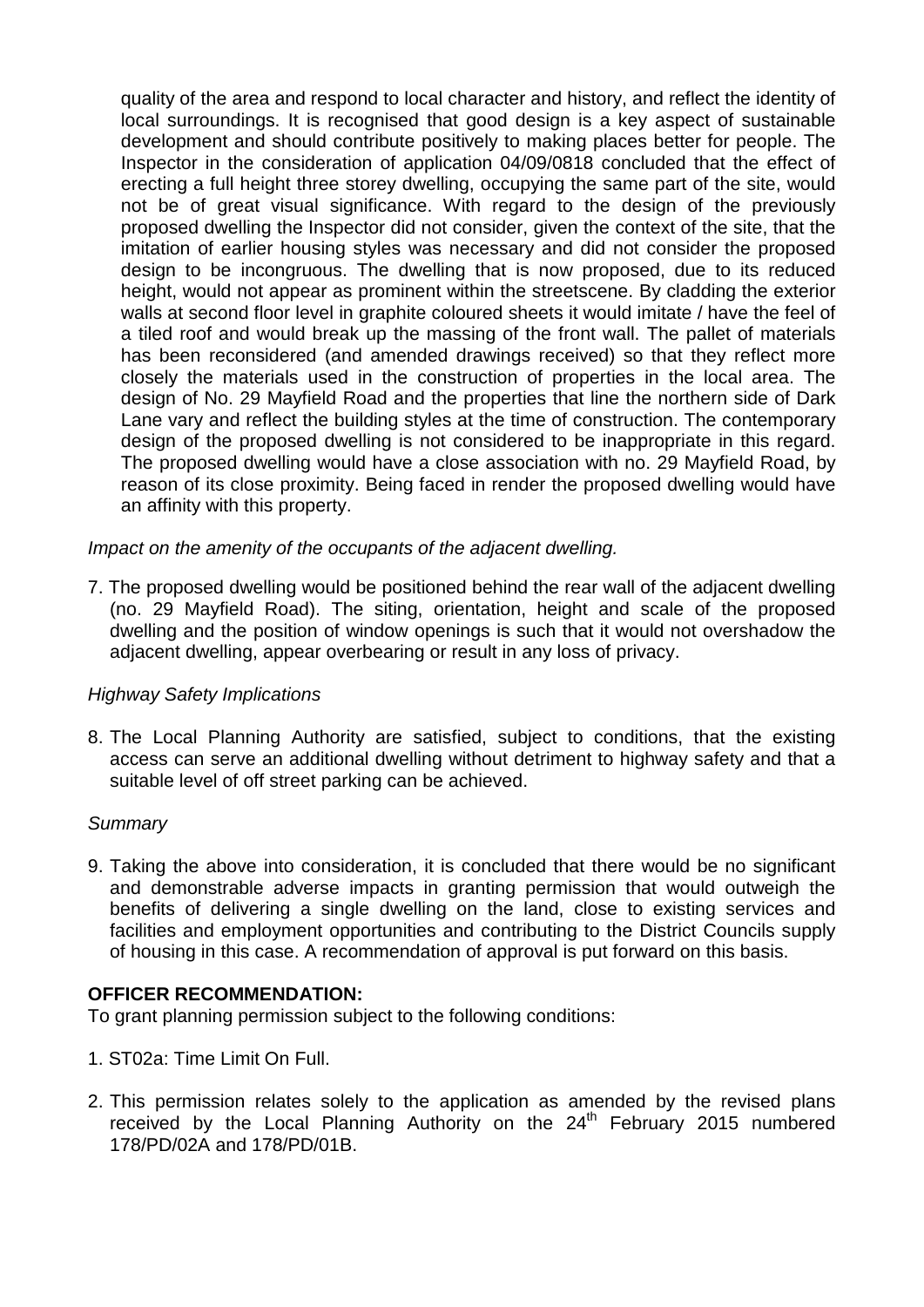quality of the area and respond to local character and history, and reflect the identity of local surroundings. It is recognised that good design is a key aspect of sustainable development and should contribute positively to making places better for people. The Inspector in the consideration of application 04/09/0818 concluded that the effect of erecting a full height three storey dwelling, occupying the same part of the site, would not be of great visual significance. With regard to the design of the previously proposed dwelling the Inspector did not consider, given the context of the site, that the imitation of earlier housing styles was necessary and did not consider the proposed design to be incongruous. The dwelling that is now proposed, due to its reduced height, would not appear as prominent within the streetscene. By cladding the exterior walls at second floor level in graphite coloured sheets it would imitate / have the feel of a tiled roof and would break up the massing of the front wall. The pallet of materials has been reconsidered (and amended drawings received) so that they reflect more closely the materials used in the construction of properties in the local area. The design of No. 29 Mayfield Road and the properties that line the northern side of Dark Lane vary and reflect the building styles at the time of construction. The contemporary design of the proposed dwelling is not considered to be inappropriate in this regard. The proposed dwelling would have a close association with no. 29 Mayfield Road, by reason of its close proximity. Being faced in render the proposed dwelling would have an affinity with this property.

*Impact on the amenity of the occupants of the adjacent dwelling.* 

7. The proposed dwelling would be positioned behind the rear wall of the adjacent dwelling (no. 29 Mayfield Road). The siting, orientation, height and scale of the proposed dwelling and the position of window openings is such that it would not overshadow the adjacent dwelling, appear overbearing or result in any loss of privacy.

#### *Highway Safety Implications*

8. The Local Planning Authority are satisfied, subject to conditions, that the existing access can serve an additional dwelling without detriment to highway safety and that a suitable level of off street parking can be achieved.

#### *Summary*

9. Taking the above into consideration, it is concluded that there would be no significant and demonstrable adverse impacts in granting permission that would outweigh the benefits of delivering a single dwelling on the land, close to existing services and facilities and employment opportunities and contributing to the District Councils supply of housing in this case. A recommendation of approval is put forward on this basis.

#### **OFFICER RECOMMENDATION:**

To grant planning permission subject to the following conditions:

- 1. ST02a: Time Limit On Full.
- 2. This permission relates solely to the application as amended by the revised plans received by the Local Planning Authority on the 24<sup>th</sup> February 2015 numbered 178/PD/02A and 178/PD/01B.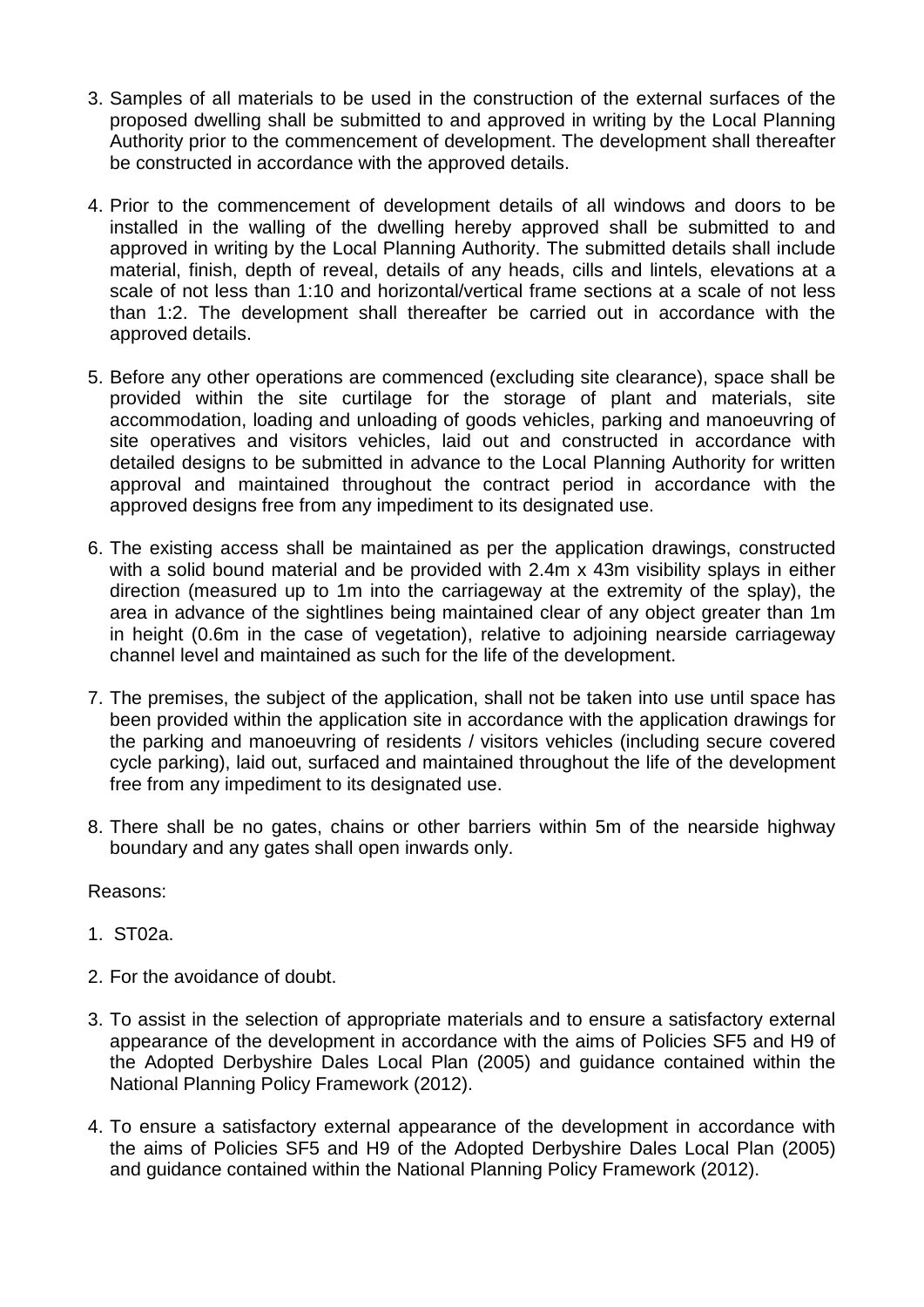- 3. Samples of all materials to be used in the construction of the external surfaces of the proposed dwelling shall be submitted to and approved in writing by the Local Planning Authority prior to the commencement of development. The development shall thereafter be constructed in accordance with the approved details.
- 4. Prior to the commencement of development details of all windows and doors to be installed in the walling of the dwelling hereby approved shall be submitted to and approved in writing by the Local Planning Authority. The submitted details shall include material, finish, depth of reveal, details of any heads, cills and lintels, elevations at a scale of not less than 1:10 and horizontal/vertical frame sections at a scale of not less than 1:2. The development shall thereafter be carried out in accordance with the approved details.
- 5. Before any other operations are commenced (excluding site clearance), space shall be provided within the site curtilage for the storage of plant and materials, site accommodation, loading and unloading of goods vehicles, parking and manoeuvring of site operatives and visitors vehicles, laid out and constructed in accordance with detailed designs to be submitted in advance to the Local Planning Authority for written approval and maintained throughout the contract period in accordance with the approved designs free from any impediment to its designated use.
- 6. The existing access shall be maintained as per the application drawings, constructed with a solid bound material and be provided with 2.4m x 43m visibility splays in either direction (measured up to 1m into the carriageway at the extremity of the splay), the area in advance of the sightlines being maintained clear of any object greater than 1m in height (0.6m in the case of vegetation), relative to adjoining nearside carriageway channel level and maintained as such for the life of the development.
- 7. The premises, the subject of the application, shall not be taken into use until space has been provided within the application site in accordance with the application drawings for the parking and manoeuvring of residents / visitors vehicles (including secure covered cycle parking), laid out, surfaced and maintained throughout the life of the development free from any impediment to its designated use.
- 8. There shall be no gates, chains or other barriers within 5m of the nearside highway boundary and any gates shall open inwards only.

Reasons:

- 1. ST02a.
- 2. For the avoidance of doubt.
- 3. To assist in the selection of appropriate materials and to ensure a satisfactory external appearance of the development in accordance with the aims of Policies SF5 and H9 of the Adopted Derbyshire Dales Local Plan (2005) and guidance contained within the National Planning Policy Framework (2012).
- 4. To ensure a satisfactory external appearance of the development in accordance with the aims of Policies SF5 and H9 of the Adopted Derbyshire Dales Local Plan (2005) and guidance contained within the National Planning Policy Framework (2012).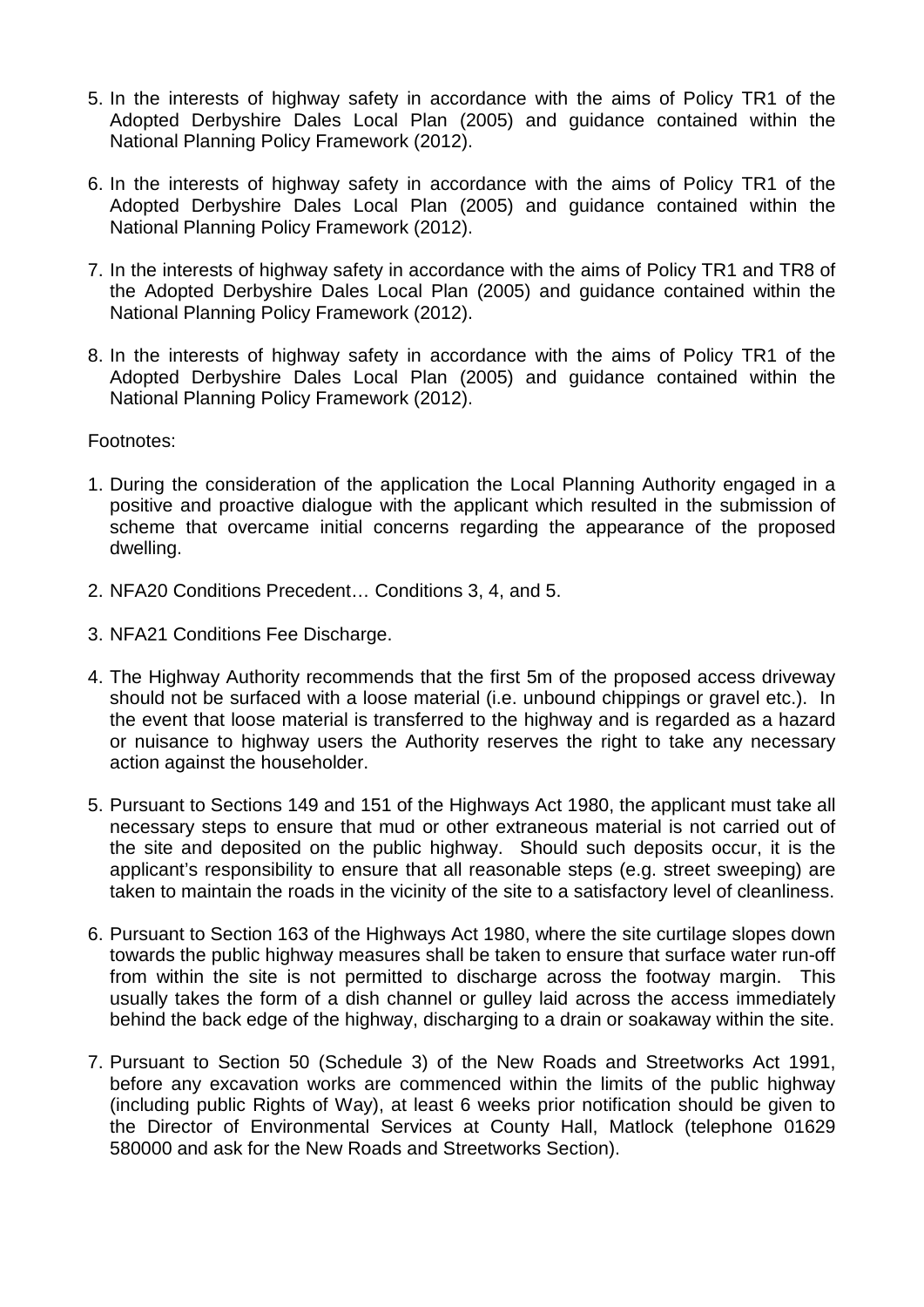- 5. In the interests of highway safety in accordance with the aims of Policy TR1 of the Adopted Derbyshire Dales Local Plan (2005) and guidance contained within the National Planning Policy Framework (2012).
- 6. In the interests of highway safety in accordance with the aims of Policy TR1 of the Adopted Derbyshire Dales Local Plan (2005) and guidance contained within the National Planning Policy Framework (2012).
- 7. In the interests of highway safety in accordance with the aims of Policy TR1 and TR8 of the Adopted Derbyshire Dales Local Plan (2005) and guidance contained within the National Planning Policy Framework (2012).
- 8. In the interests of highway safety in accordance with the aims of Policy TR1 of the Adopted Derbyshire Dales Local Plan (2005) and guidance contained within the National Planning Policy Framework (2012).

Footnotes:

- 1. During the consideration of the application the Local Planning Authority engaged in a positive and proactive dialogue with the applicant which resulted in the submission of scheme that overcame initial concerns regarding the appearance of the proposed dwelling.
- 2. NFA20 Conditions Precedent… Conditions 3, 4, and 5.
- 3. NFA21 Conditions Fee Discharge.
- 4. The Highway Authority recommends that the first 5m of the proposed access driveway should not be surfaced with a loose material (i.e. unbound chippings or gravel etc.). In the event that loose material is transferred to the highway and is regarded as a hazard or nuisance to highway users the Authority reserves the right to take any necessary action against the householder.
- 5. Pursuant to Sections 149 and 151 of the Highways Act 1980, the applicant must take all necessary steps to ensure that mud or other extraneous material is not carried out of the site and deposited on the public highway. Should such deposits occur, it is the applicant's responsibility to ensure that all reasonable steps (e.g. street sweeping) are taken to maintain the roads in the vicinity of the site to a satisfactory level of cleanliness.
- 6. Pursuant to Section 163 of the Highways Act 1980, where the site curtilage slopes down towards the public highway measures shall be taken to ensure that surface water run-off from within the site is not permitted to discharge across the footway margin. This usually takes the form of a dish channel or gulley laid across the access immediately behind the back edge of the highway, discharging to a drain or soakaway within the site.
- 7. Pursuant to Section 50 (Schedule 3) of the New Roads and Streetworks Act 1991, before any excavation works are commenced within the limits of the public highway (including public Rights of Way), at least 6 weeks prior notification should be given to the Director of Environmental Services at County Hall, Matlock (telephone 01629 580000 and ask for the New Roads and Streetworks Section).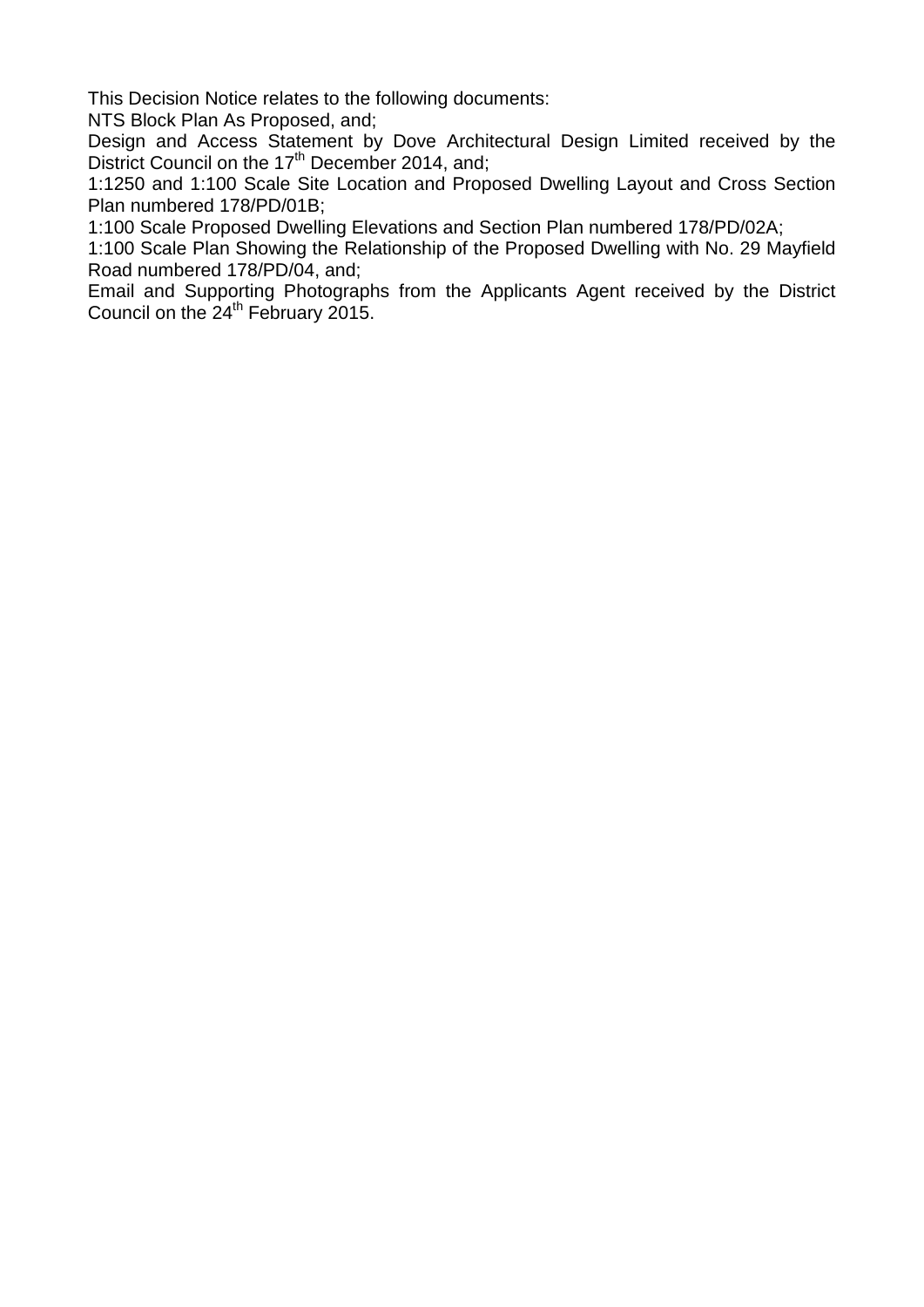This Decision Notice relates to the following documents:

NTS Block Plan As Proposed, and;

Design and Access Statement by Dove Architectural Design Limited received by the District Council on the  $17<sup>th</sup>$  December 2014, and;

1:1250 and 1:100 Scale Site Location and Proposed Dwelling Layout and Cross Section Plan numbered 178/PD/01B;

1:100 Scale Proposed Dwelling Elevations and Section Plan numbered 178/PD/02A;

1:100 Scale Plan Showing the Relationship of the Proposed Dwelling with No. 29 Mayfield Road numbered 178/PD/04, and;

Email and Supporting Photographs from the Applicants Agent received by the District Council on the 24<sup>th</sup> February 2015.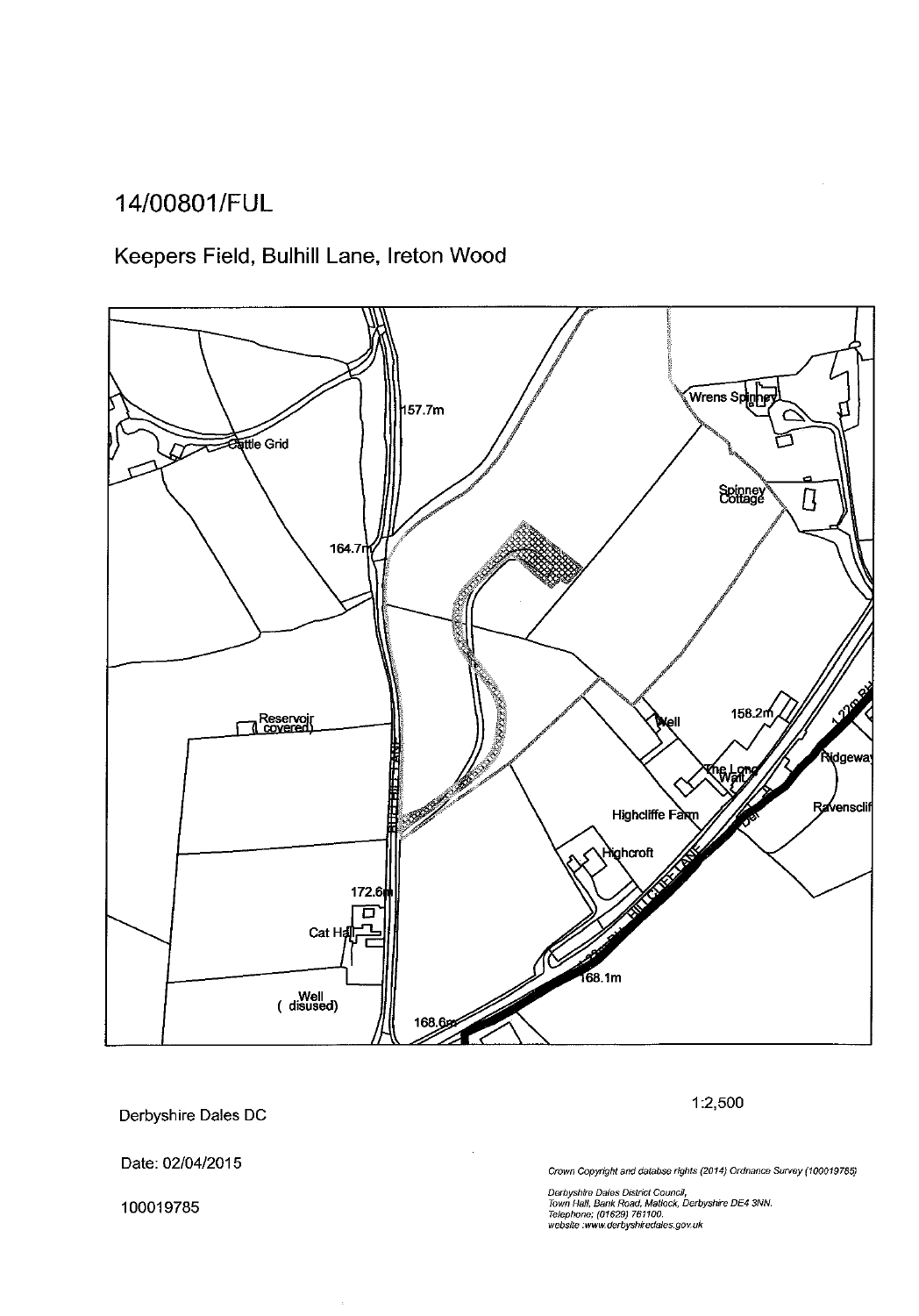## 14/00801/FUL

## Keepers Field, Bulhill Lane, Ireton Wood



Derbyshire Dales DC

1:2,500

Date: 02/04/2015

100019785

Crown Copyright and databse rights (2014) Ordnance Survey (100019785)

Derbyshire Dales District Council,<br>Town Hall, Bank Road, Matlock, Derbyshire DE4 3NN.<br>Telephone; (01629) 761100.<br>website :www.derbyshiredales.gov.uk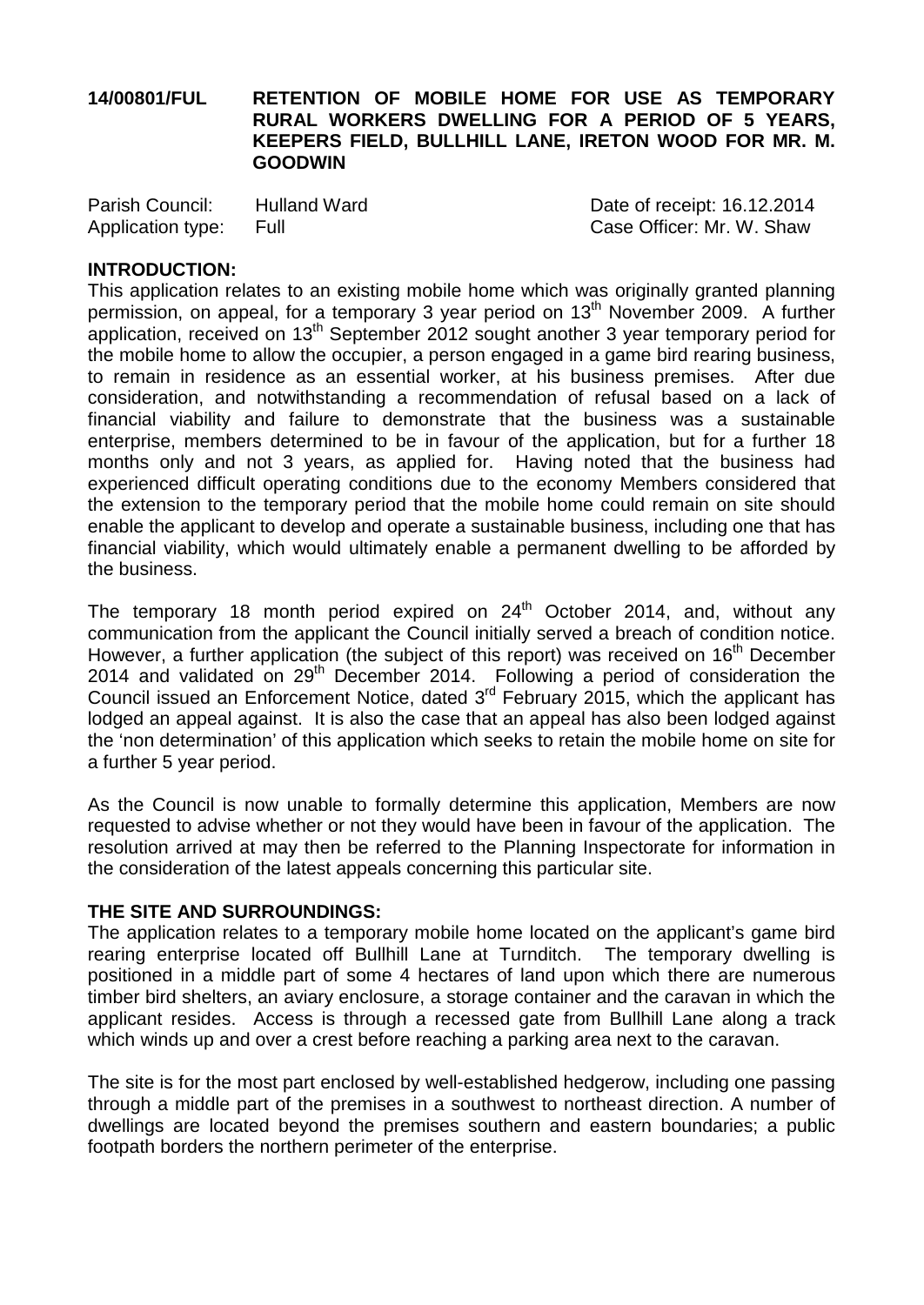#### **14/00801/FUL RETENTION OF MOBILE HOME FOR USE AS TEMPORARY RURAL WORKERS DWELLING FOR A PERIOD OF 5 YEARS, KEEPERS FIELD, BULLHILL LANE, IRETON WOOD FOR MR. M. GOODWIN**

| Parish Council:   | <b>Hulland Ward</b> | Date of receipt: 16.12.2014 |
|-------------------|---------------------|-----------------------------|
| Application type: | Full                | Case Officer: Mr. W. Shaw   |

#### **INTRODUCTION:**

This application relates to an existing mobile home which was originally granted planning permission, on appeal, for a temporary 3 year period on 13<sup>th</sup> November 2009. A further application, received on 13<sup>th</sup> September 2012 sought another 3 year temporary period for the mobile home to allow the occupier, a person engaged in a game bird rearing business, to remain in residence as an essential worker, at his business premises. After due consideration, and notwithstanding a recommendation of refusal based on a lack of financial viability and failure to demonstrate that the business was a sustainable enterprise, members determined to be in favour of the application, but for a further 18 months only and not 3 years, as applied for. Having noted that the business had experienced difficult operating conditions due to the economy Members considered that the extension to the temporary period that the mobile home could remain on site should enable the applicant to develop and operate a sustainable business, including one that has financial viability, which would ultimately enable a permanent dwelling to be afforded by the business.

The temporary 18 month period expired on  $24<sup>th</sup>$  October 2014, and, without any communication from the applicant the Council initially served a breach of condition notice. However, a further application (the subject of this report) was received on 16<sup>th</sup> December 2014 and validated on  $29<sup>th</sup>$  December 2014. Following a period of consideration the Council issued an Enforcement Notice, dated  $3<sup>rd</sup>$  February 2015, which the applicant has lodged an appeal against. It is also the case that an appeal has also been lodged against the 'non determination' of this application which seeks to retain the mobile home on site for a further 5 year period.

As the Council is now unable to formally determine this application, Members are now requested to advise whether or not they would have been in favour of the application. The resolution arrived at may then be referred to the Planning Inspectorate for information in the consideration of the latest appeals concerning this particular site.

#### **THE SITE AND SURROUNDINGS:**

The application relates to a temporary mobile home located on the applicant's game bird rearing enterprise located off Bullhill Lane at Turnditch. The temporary dwelling is positioned in a middle part of some 4 hectares of land upon which there are numerous timber bird shelters, an aviary enclosure, a storage container and the caravan in which the applicant resides. Access is through a recessed gate from Bullhill Lane along a track which winds up and over a crest before reaching a parking area next to the caravan.

The site is for the most part enclosed by well-established hedgerow, including one passing through a middle part of the premises in a southwest to northeast direction. A number of dwellings are located beyond the premises southern and eastern boundaries; a public footpath borders the northern perimeter of the enterprise.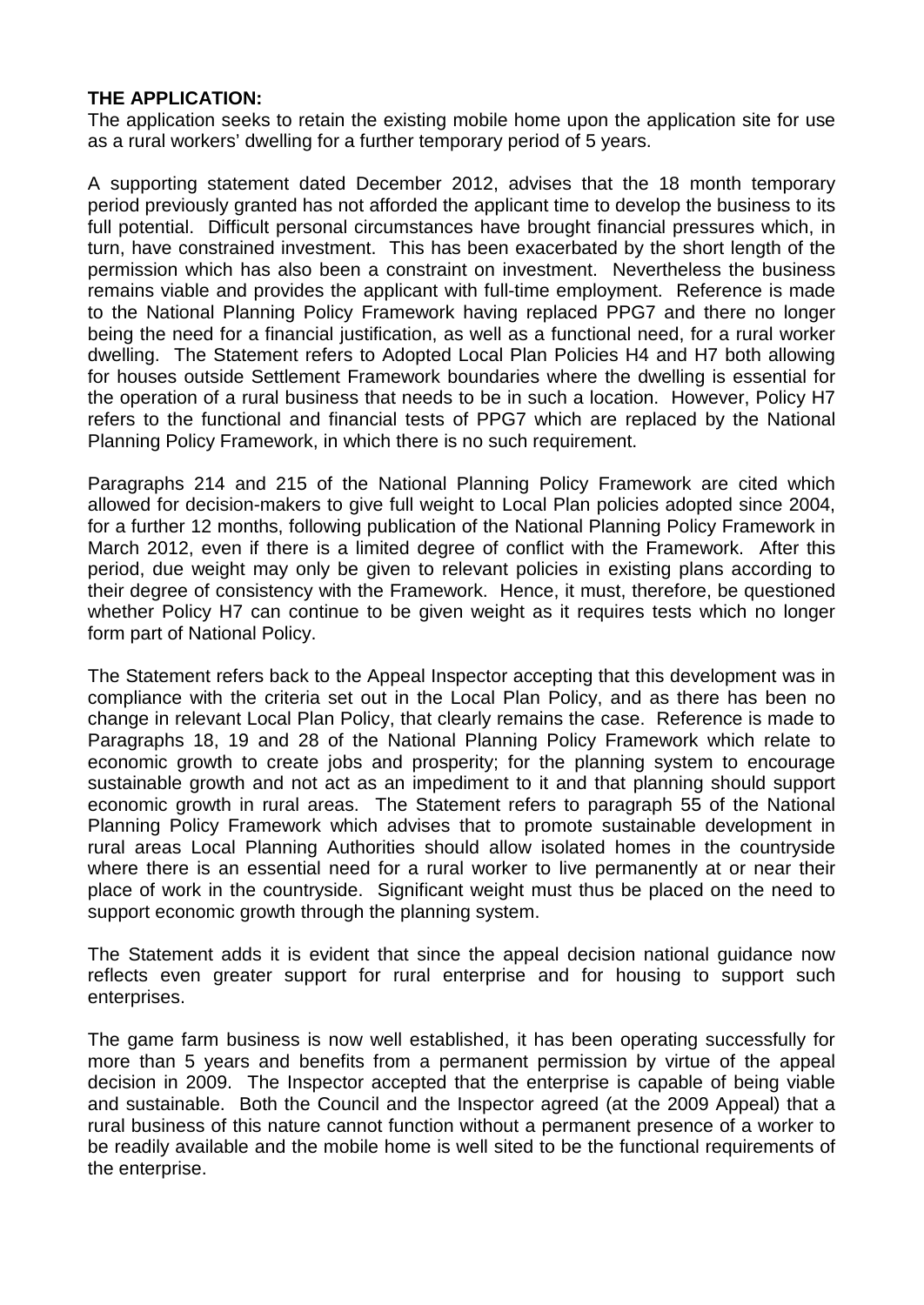#### **THE APPLICATION:**

The application seeks to retain the existing mobile home upon the application site for use as a rural workers' dwelling for a further temporary period of 5 years.

A supporting statement dated December 2012, advises that the 18 month temporary period previously granted has not afforded the applicant time to develop the business to its full potential. Difficult personal circumstances have brought financial pressures which, in turn, have constrained investment. This has been exacerbated by the short length of the permission which has also been a constraint on investment. Nevertheless the business remains viable and provides the applicant with full-time employment. Reference is made to the National Planning Policy Framework having replaced PPG7 and there no longer being the need for a financial justification, as well as a functional need, for a rural worker dwelling. The Statement refers to Adopted Local Plan Policies H4 and H7 both allowing for houses outside Settlement Framework boundaries where the dwelling is essential for the operation of a rural business that needs to be in such a location. However, Policy H7 refers to the functional and financial tests of PPG7 which are replaced by the National Planning Policy Framework, in which there is no such requirement.

Paragraphs 214 and 215 of the National Planning Policy Framework are cited which allowed for decision-makers to give full weight to Local Plan policies adopted since 2004, for a further 12 months, following publication of the National Planning Policy Framework in March 2012, even if there is a limited degree of conflict with the Framework. After this period, due weight may only be given to relevant policies in existing plans according to their degree of consistency with the Framework. Hence, it must, therefore, be questioned whether Policy H7 can continue to be given weight as it requires tests which no longer form part of National Policy.

The Statement refers back to the Appeal Inspector accepting that this development was in compliance with the criteria set out in the Local Plan Policy, and as there has been no change in relevant Local Plan Policy, that clearly remains the case. Reference is made to Paragraphs 18, 19 and 28 of the National Planning Policy Framework which relate to economic growth to create jobs and prosperity; for the planning system to encourage sustainable growth and not act as an impediment to it and that planning should support economic growth in rural areas. The Statement refers to paragraph 55 of the National Planning Policy Framework which advises that to promote sustainable development in rural areas Local Planning Authorities should allow isolated homes in the countryside where there is an essential need for a rural worker to live permanently at or near their place of work in the countryside. Significant weight must thus be placed on the need to support economic growth through the planning system.

The Statement adds it is evident that since the appeal decision national guidance now reflects even greater support for rural enterprise and for housing to support such enterprises.

The game farm business is now well established, it has been operating successfully for more than 5 years and benefits from a permanent permission by virtue of the appeal decision in 2009. The Inspector accepted that the enterprise is capable of being viable and sustainable. Both the Council and the Inspector agreed (at the 2009 Appeal) that a rural business of this nature cannot function without a permanent presence of a worker to be readily available and the mobile home is well sited to be the functional requirements of the enterprise.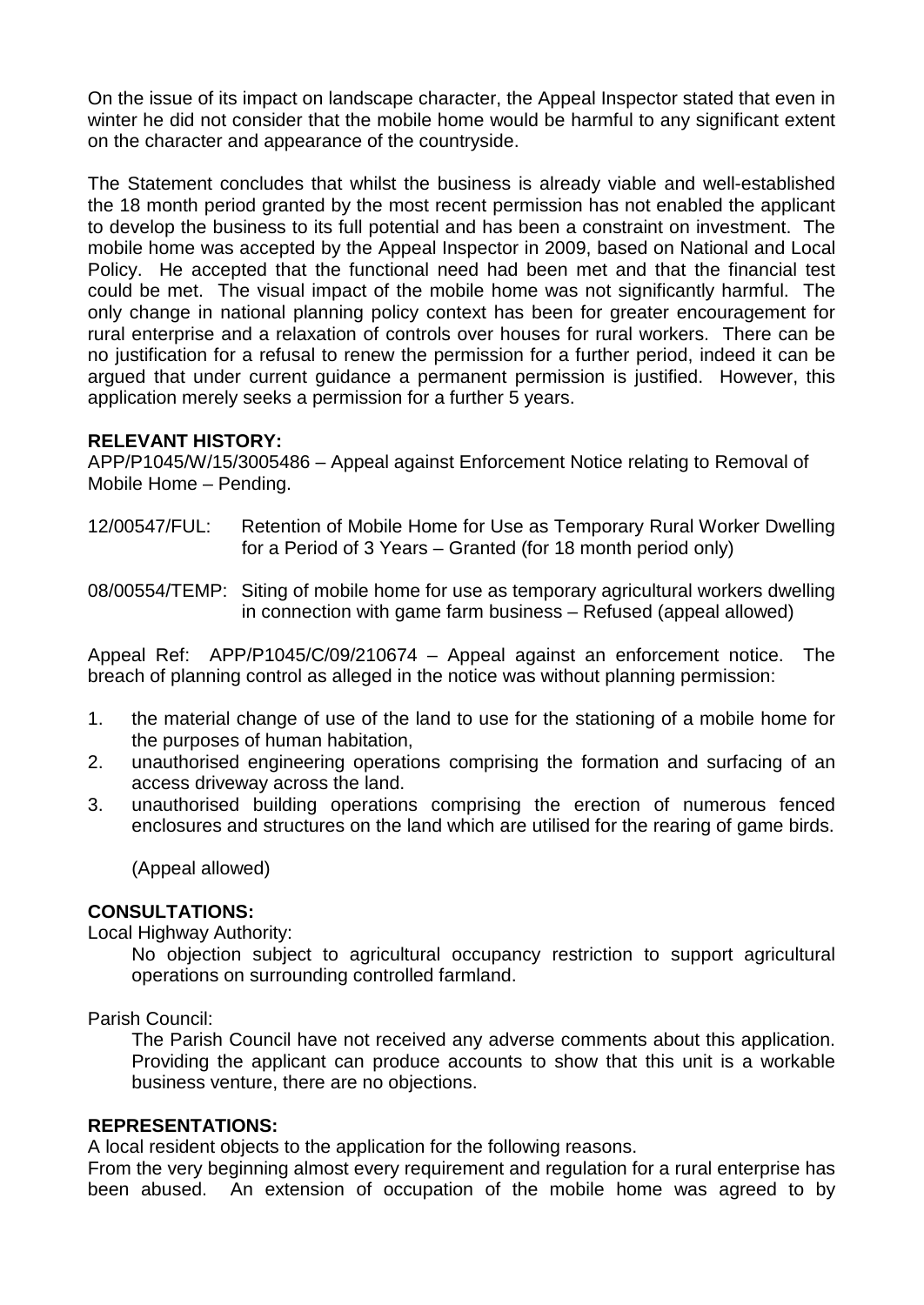On the issue of its impact on landscape character, the Appeal Inspector stated that even in winter he did not consider that the mobile home would be harmful to any significant extent on the character and appearance of the countryside.

The Statement concludes that whilst the business is already viable and well-established the 18 month period granted by the most recent permission has not enabled the applicant to develop the business to its full potential and has been a constraint on investment. The mobile home was accepted by the Appeal Inspector in 2009, based on National and Local Policy. He accepted that the functional need had been met and that the financial test could be met. The visual impact of the mobile home was not significantly harmful. The only change in national planning policy context has been for greater encouragement for rural enterprise and a relaxation of controls over houses for rural workers. There can be no justification for a refusal to renew the permission for a further period, indeed it can be argued that under current guidance a permanent permission is justified. However, this application merely seeks a permission for a further 5 years.

#### **RELEVANT HISTORY:**

APP/P1045/W/15/3005486 – Appeal against Enforcement Notice relating to Removal of Mobile Home – Pending.

12/00547/FUL: Retention of Mobile Home for Use as Temporary Rural Worker Dwelling for a Period of 3 Years – Granted (for 18 month period only)

08/00554/TEMP: Siting of mobile home for use as temporary agricultural workers dwelling in connection with game farm business – Refused (appeal allowed)

Appeal Ref: APP/P1045/C/09/210674 – Appeal against an enforcement notice. The breach of planning control as alleged in the notice was without planning permission:

- 1. the material change of use of the land to use for the stationing of a mobile home for the purposes of human habitation,
- 2. unauthorised engineering operations comprising the formation and surfacing of an access driveway across the land.
- 3. unauthorised building operations comprising the erection of numerous fenced enclosures and structures on the land which are utilised for the rearing of game birds.

(Appeal allowed)

#### **CONSULTATIONS:**

Local Highway Authority:

No objection subject to agricultural occupancy restriction to support agricultural operations on surrounding controlled farmland.

Parish Council:

The Parish Council have not received any adverse comments about this application. Providing the applicant can produce accounts to show that this unit is a workable business venture, there are no objections.

#### **REPRESENTATIONS:**

A local resident objects to the application for the following reasons.

From the very beginning almost every requirement and regulation for a rural enterprise has been abused. An extension of occupation of the mobile home was agreed to by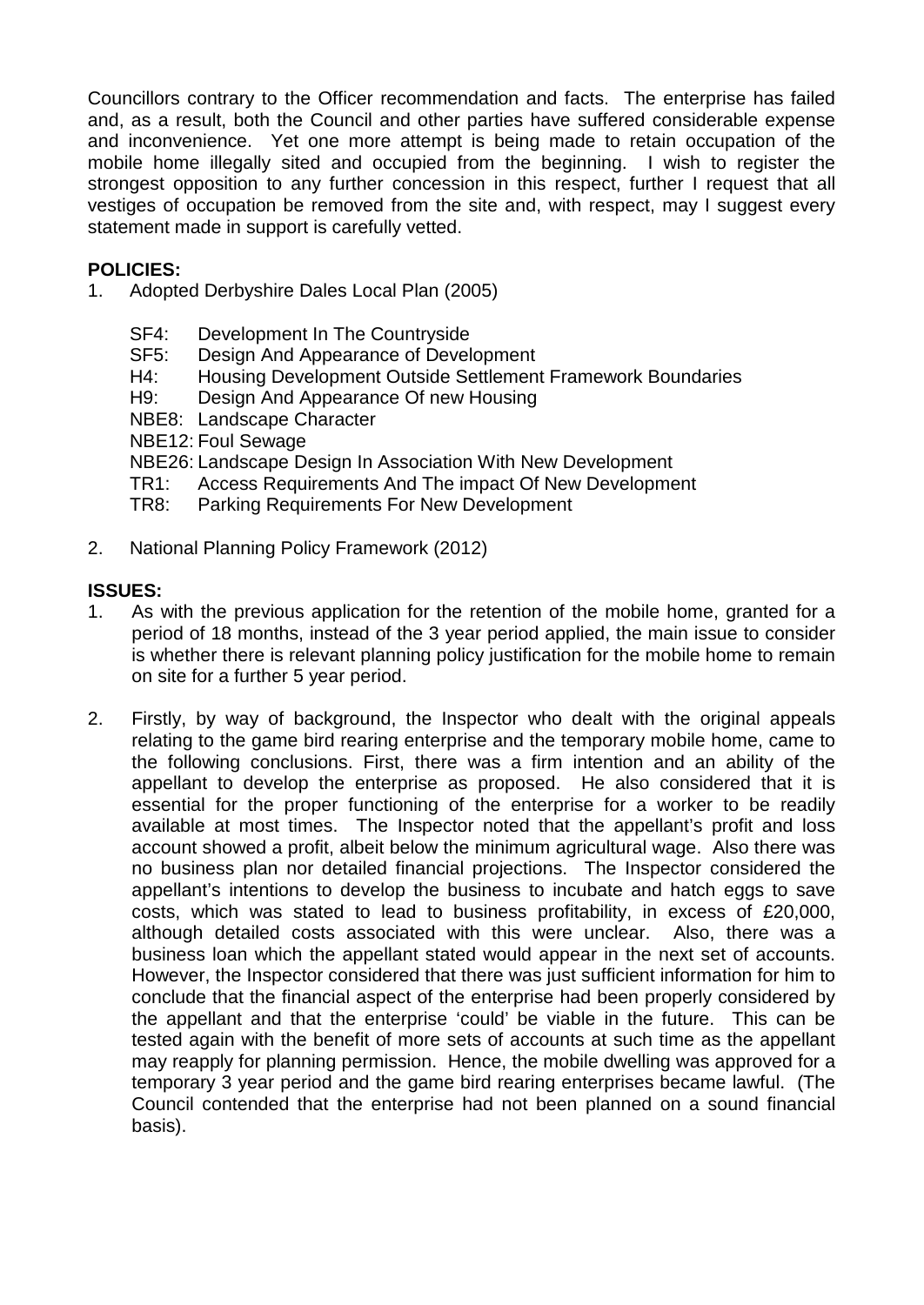Councillors contrary to the Officer recommendation and facts. The enterprise has failed and, as a result, both the Council and other parties have suffered considerable expense and inconvenience. Yet one more attempt is being made to retain occupation of the mobile home illegally sited and occupied from the beginning. I wish to register the strongest opposition to any further concession in this respect, further I request that all vestiges of occupation be removed from the site and, with respect, may I suggest every statement made in support is carefully vetted.

#### **POLICIES:**

- 1. Adopted Derbyshire Dales Local Plan (2005)
	-
	- SF4: Development In The Countryside<br>SF5: Design And Appearance of Devel Design And Appearance of Development
	- H4: Housing Development Outside Settlement Framework Boundaries
	- H9: Design And Appearance Of new Housing
	- NBE8: Landscape Character
	- NBE12: Foul Sewage
	- NBE26: Landscape Design In Association With New Development
	- TR1: Access Requirements And The impact Of New Development
	- TR8: Parking Requirements For New Development
- 2. National Planning Policy Framework (2012)

#### **ISSUES:**

- 1. As with the previous application for the retention of the mobile home, granted for a period of 18 months, instead of the 3 year period applied, the main issue to consider is whether there is relevant planning policy justification for the mobile home to remain on site for a further 5 year period.
- 2. Firstly, by way of background, the Inspector who dealt with the original appeals relating to the game bird rearing enterprise and the temporary mobile home, came to the following conclusions. First, there was a firm intention and an ability of the appellant to develop the enterprise as proposed. He also considered that it is essential for the proper functioning of the enterprise for a worker to be readily available at most times. The Inspector noted that the appellant's profit and loss account showed a profit, albeit below the minimum agricultural wage. Also there was no business plan nor detailed financial projections. The Inspector considered the appellant's intentions to develop the business to incubate and hatch eggs to save costs, which was stated to lead to business profitability, in excess of £20,000, although detailed costs associated with this were unclear. Also, there was a business loan which the appellant stated would appear in the next set of accounts. However, the Inspector considered that there was just sufficient information for him to conclude that the financial aspect of the enterprise had been properly considered by the appellant and that the enterprise 'could' be viable in the future. This can be tested again with the benefit of more sets of accounts at such time as the appellant may reapply for planning permission. Hence, the mobile dwelling was approved for a temporary 3 year period and the game bird rearing enterprises became lawful. (The Council contended that the enterprise had not been planned on a sound financial basis).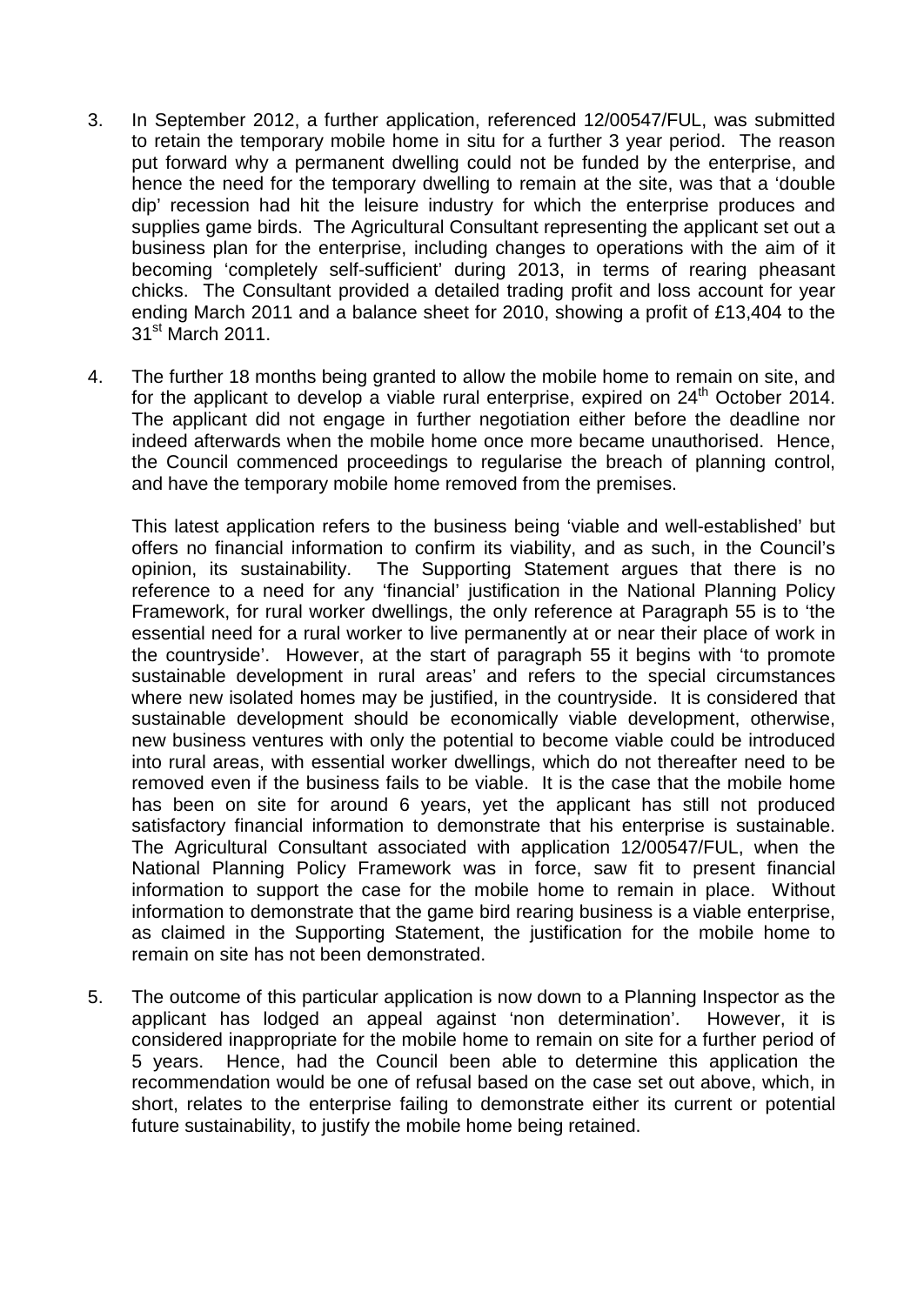- 3. In September 2012, a further application, referenced 12/00547/FUL, was submitted to retain the temporary mobile home in situ for a further 3 year period. The reason put forward why a permanent dwelling could not be funded by the enterprise, and hence the need for the temporary dwelling to remain at the site, was that a 'double dip' recession had hit the leisure industry for which the enterprise produces and supplies game birds. The Agricultural Consultant representing the applicant set out a business plan for the enterprise, including changes to operations with the aim of it becoming 'completely self-sufficient' during 2013, in terms of rearing pheasant chicks. The Consultant provided a detailed trading profit and loss account for year ending March 2011 and a balance sheet for 2010, showing a profit of £13,404 to the 31<sup>st</sup> March 2011.
- 4. The further 18 months being granted to allow the mobile home to remain on site, and for the applicant to develop a viable rural enterprise, expired on  $24<sup>th</sup>$  October 2014. The applicant did not engage in further negotiation either before the deadline nor indeed afterwards when the mobile home once more became unauthorised. Hence, the Council commenced proceedings to regularise the breach of planning control, and have the temporary mobile home removed from the premises.

This latest application refers to the business being 'viable and well-established' but offers no financial information to confirm its viability, and as such, in the Council's opinion, its sustainability. The Supporting Statement argues that there is no reference to a need for any 'financial' justification in the National Planning Policy Framework, for rural worker dwellings, the only reference at Paragraph 55 is to 'the essential need for a rural worker to live permanently at or near their place of work in the countryside'. However, at the start of paragraph 55 it begins with 'to promote sustainable development in rural areas' and refers to the special circumstances where new isolated homes may be justified, in the countryside. It is considered that sustainable development should be economically viable development, otherwise, new business ventures with only the potential to become viable could be introduced into rural areas, with essential worker dwellings, which do not thereafter need to be removed even if the business fails to be viable. It is the case that the mobile home has been on site for around 6 years, yet the applicant has still not produced satisfactory financial information to demonstrate that his enterprise is sustainable. The Agricultural Consultant associated with application 12/00547/FUL, when the National Planning Policy Framework was in force, saw fit to present financial information to support the case for the mobile home to remain in place. Without information to demonstrate that the game bird rearing business is a viable enterprise, as claimed in the Supporting Statement, the justification for the mobile home to remain on site has not been demonstrated.

5. The outcome of this particular application is now down to a Planning Inspector as the applicant has lodged an appeal against 'non determination'. However, it is considered inappropriate for the mobile home to remain on site for a further period of 5 years. Hence, had the Council been able to determine this application the recommendation would be one of refusal based on the case set out above, which, in short, relates to the enterprise failing to demonstrate either its current or potential future sustainability, to justify the mobile home being retained.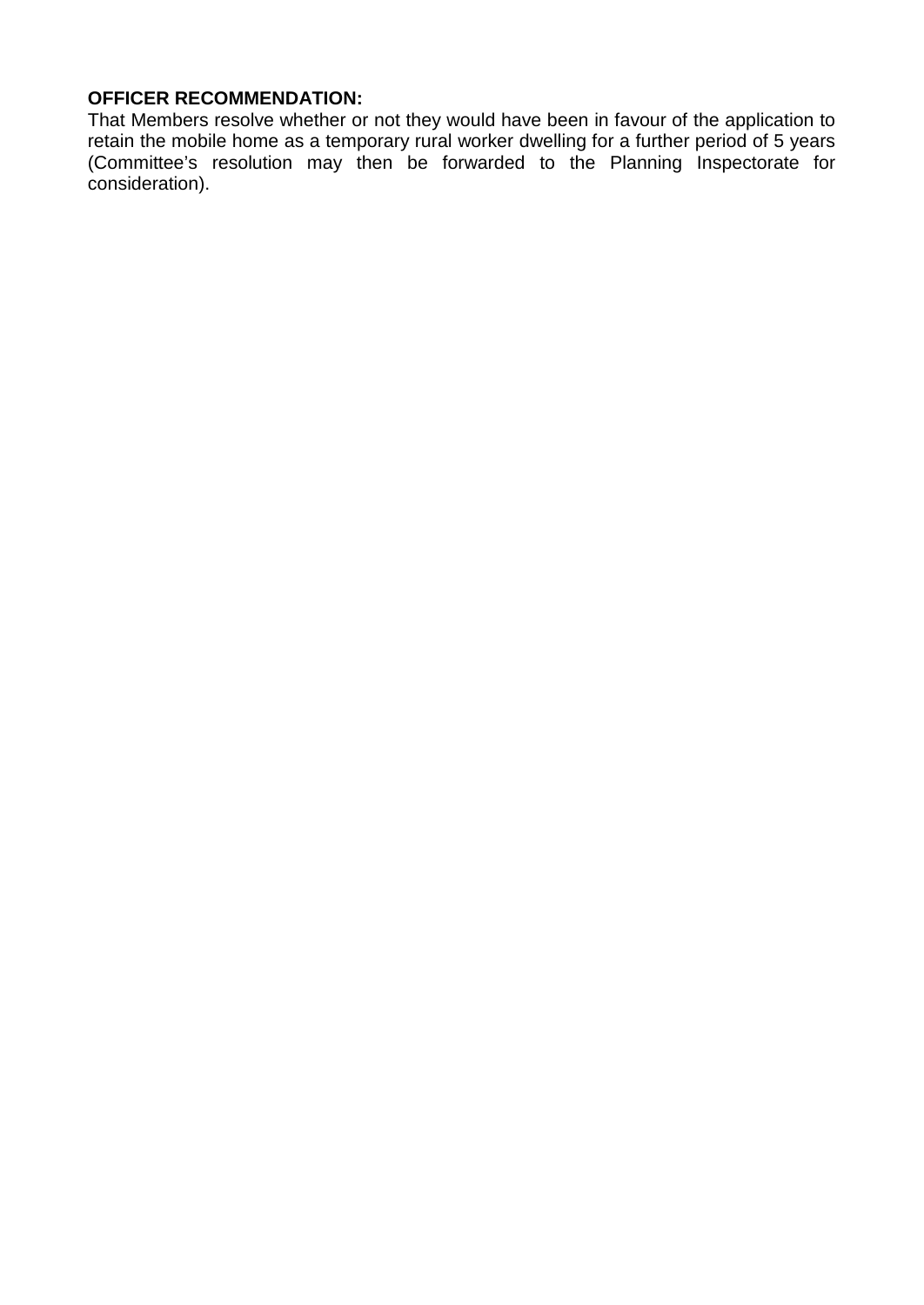#### **OFFICER RECOMMENDATION:**

That Members resolve whether or not they would have been in favour of the application to retain the mobile home as a temporary rural worker dwelling for a further period of 5 years (Committee's resolution may then be forwarded to the Planning Inspectorate for consideration).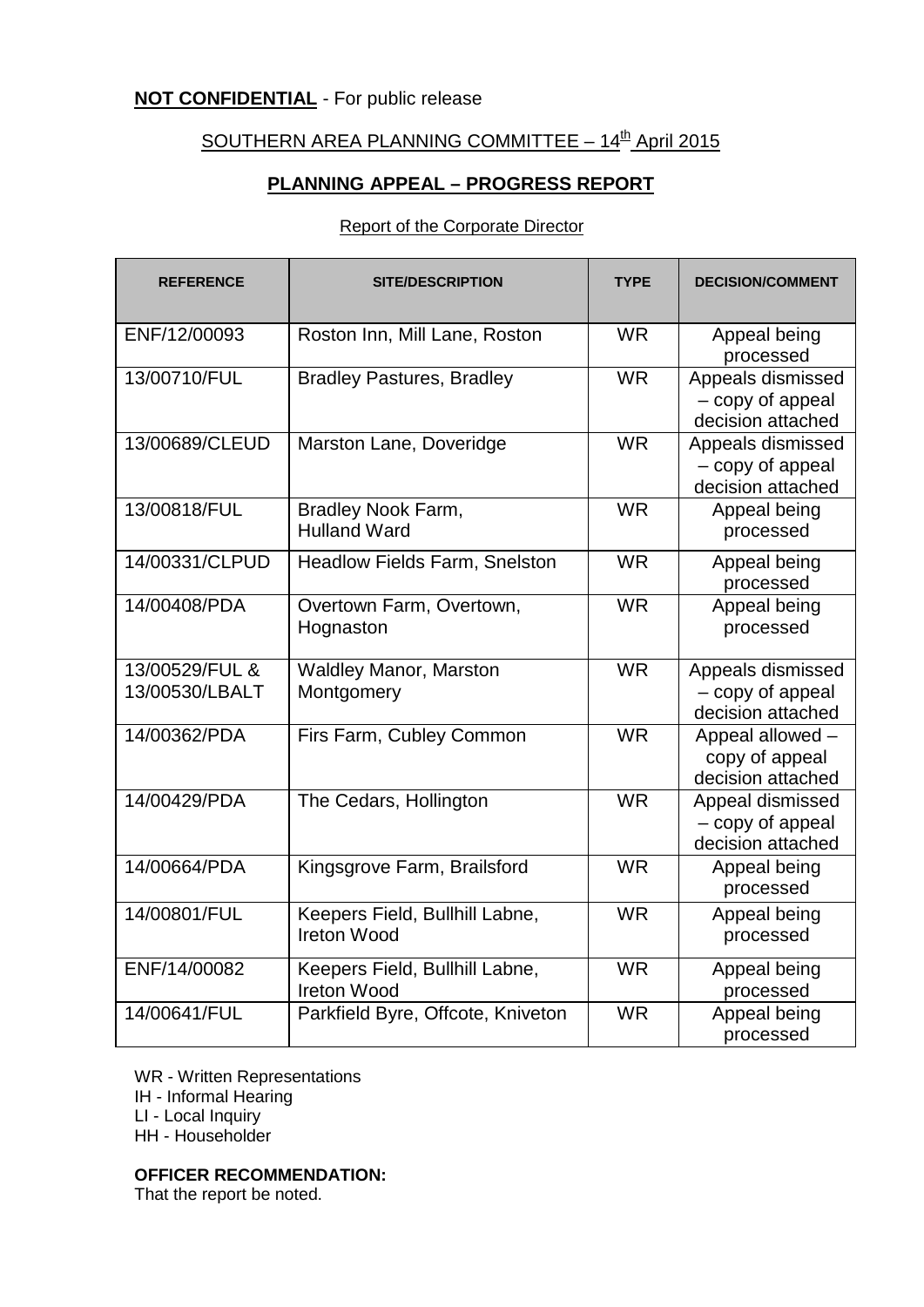#### **NOT CONFIDENTIAL** - For public release

### SOUTHERN AREA PLANNING COMMITTEE  $-14^{\text{th}}$  April 2015

#### **PLANNING APPEAL – PROGRESS REPORT**

#### Report of the Corporate Director

| <b>REFERENCE</b>                 | <b>SITE/DESCRIPTION</b>                              | <b>TYPE</b> | <b>DECISION/COMMENT</b>                                    |
|----------------------------------|------------------------------------------------------|-------------|------------------------------------------------------------|
| ENF/12/00093                     | Roston Inn, Mill Lane, Roston                        | <b>WR</b>   | Appeal being<br>processed                                  |
| 13/00710/FUL                     | <b>Bradley Pastures, Bradley</b>                     | <b>WR</b>   | Appeals dismissed<br>- copy of appeal<br>decision attached |
| 13/00689/CLEUD                   | Marston Lane, Doveridge                              | <b>WR</b>   | Appeals dismissed<br>- copy of appeal<br>decision attached |
| 13/00818/FUL                     | Bradley Nook Farm,<br><b>Hulland Ward</b>            | <b>WR</b>   | Appeal being<br>processed                                  |
| 14/00331/CLPUD                   | <b>Headlow Fields Farm, Snelston</b>                 | <b>WR</b>   | Appeal being<br>processed                                  |
| 14/00408/PDA                     | Overtown Farm, Overtown,<br>Hognaston                | <b>WR</b>   | Appeal being<br>processed                                  |
| 13/00529/FUL &<br>13/00530/LBALT | <b>Waldley Manor, Marston</b><br>Montgomery          | <b>WR</b>   | Appeals dismissed<br>- copy of appeal<br>decision attached |
| 14/00362/PDA                     | Firs Farm, Cubley Common                             | <b>WR</b>   | Appeal allowed -<br>copy of appeal<br>decision attached    |
| 14/00429/PDA                     | The Cedars, Hollington                               | <b>WR</b>   | Appeal dismissed<br>- copy of appeal<br>decision attached  |
| 14/00664/PDA                     | Kingsgrove Farm, Brailsford                          | <b>WR</b>   | Appeal being<br>processed                                  |
| 14/00801/FUL                     | Keepers Field, Bullhill Labne,<br><b>Ireton Wood</b> | <b>WR</b>   | Appeal being<br>processed                                  |
| ENF/14/00082                     | Keepers Field, Bullhill Labne,<br><b>Ireton Wood</b> | <b>WR</b>   | Appeal being<br>processed                                  |
| 14/00641/FUL                     | Parkfield Byre, Offcote, Kniveton                    | <b>WR</b>   | Appeal being<br>processed                                  |

WR - Written Representations

IH - Informal Hearing

LI - Local Inquiry

HH - Householder

#### **OFFICER RECOMMENDATION:**

That the report be noted.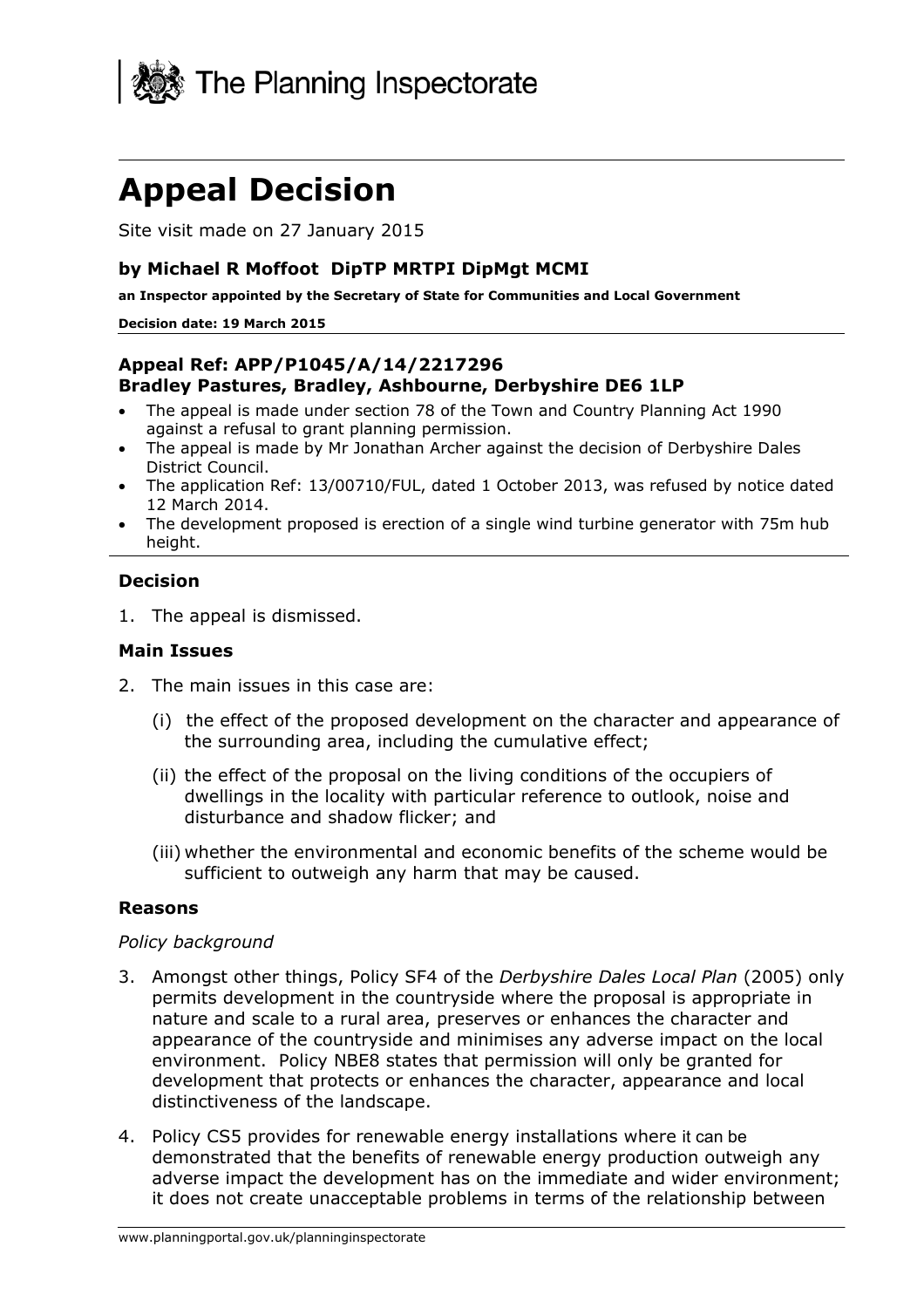

## **Appeal Decision**

Site visit made on 27 January 2015

#### **by Michael R Moffoot DipTP MRTPI DipMgt MCMI**

**an Inspector appointed by the Secretary of State for Communities and Local Government** 

#### **Decision date: 19 March 2015**

#### **Appeal Ref: APP/P1045/A/14/2217296 Bradley Pastures, Bradley, Ashbourne, Derbyshire DE6 1LP**

- The appeal is made under section 78 of the Town and Country Planning Act 1990 against a refusal to grant planning permission.
- The appeal is made by Mr Jonathan Archer against the decision of Derbyshire Dales District Council.
- The application Ref: 13/00710/FUL, dated 1 October 2013, was refused by notice dated 12 March 2014.
- The development proposed is erection of a single wind turbine generator with 75m hub height.

#### **Decision**

1. The appeal is dismissed.

#### **Main Issues**

- 2. The main issues in this case are:
	- (i) the effect of the proposed development on the character and appearance of the surrounding area, including the cumulative effect;
	- (ii) the effect of the proposal on the living conditions of the occupiers of dwellings in the locality with particular reference to outlook, noise and disturbance and shadow flicker; and
	- (iii) whether the environmental and economic benefits of the scheme would be sufficient to outweigh any harm that may be caused.

#### **Reasons**

#### *Policy background*

- 3. Amongst other things, Policy SF4 of the *Derbyshire Dales Local Plan* (2005) only permits development in the countryside where the proposal is appropriate in nature and scale to a rural area, preserves or enhances the character and appearance of the countryside and minimises any adverse impact on the local environment. Policy NBE8 states that permission will only be granted for development that protects or enhances the character, appearance and local distinctiveness of the landscape.
- 4. Policy CS5 provides for renewable energy installations where it can be demonstrated that the benefits of renewable energy production outweigh any adverse impact the development has on the immediate and wider environment; it does not create unacceptable problems in terms of the relationship between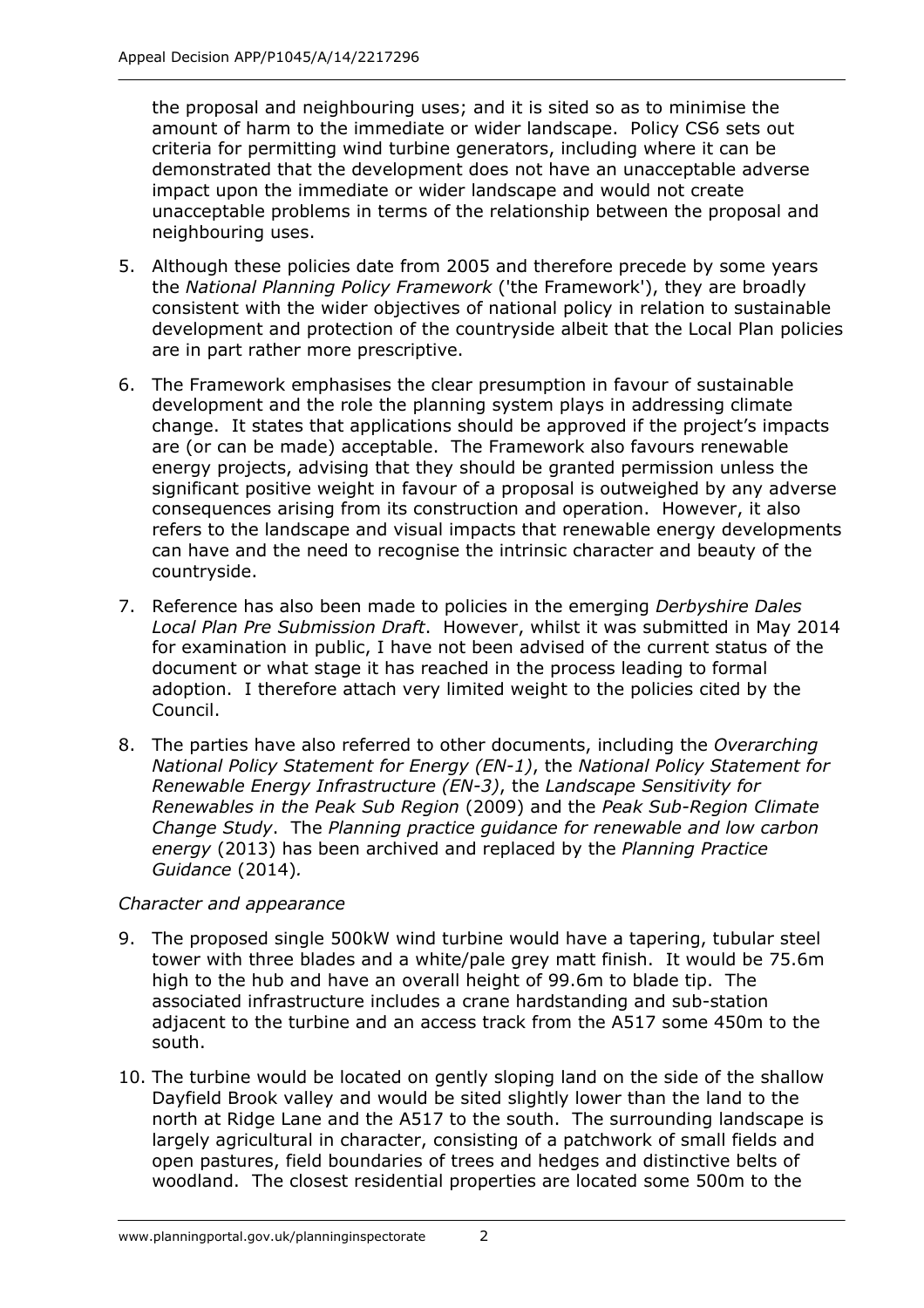the proposal and neighbouring uses; and it is sited so as to minimise the amount of harm to the immediate or wider landscape. Policy CS6 sets out criteria for permitting wind turbine generators, including where it can be demonstrated that the development does not have an unacceptable adverse impact upon the immediate or wider landscape and would not create unacceptable problems in terms of the relationship between the proposal and neighbouring uses.

- 5. Although these policies date from 2005 and therefore precede by some years the *National Planning Policy Framework* ('the Framework'), they are broadly consistent with the wider objectives of national policy in relation to sustainable development and protection of the countryside albeit that the Local Plan policies are in part rather more prescriptive.
- 6. The Framework emphasises the clear presumption in favour of sustainable development and the role the planning system plays in addressing climate change. It states that applications should be approved if the project's impacts are (or can be made) acceptable. The Framework also favours renewable energy projects, advising that they should be granted permission unless the significant positive weight in favour of a proposal is outweighed by any adverse consequences arising from its construction and operation. However, it also refers to the landscape and visual impacts that renewable energy developments can have and the need to recognise the intrinsic character and beauty of the countryside.
- 7. Reference has also been made to policies in the emerging *Derbyshire Dales Local Plan Pre Submission Draft*. However, whilst it was submitted in May 2014 for examination in public, I have not been advised of the current status of the document or what stage it has reached in the process leading to formal adoption. I therefore attach very limited weight to the policies cited by the Council.
- 8. The parties have also referred to other documents, including the *Overarching National Policy Statement for Energy (EN-1)*, the *National Policy Statement for Renewable Energy Infrastructure (EN-3)*, the *Landscape Sensitivity for Renewables in the Peak Sub Region* (2009) and the *Peak Sub-Region Climate Change Study*. The *Planning practice guidance for renewable and low carbon energy* (2013) has been archived and replaced by the *Planning Practice Guidance* (2014)*.*

#### *Character and appearance*

- 9. The proposed single 500kW wind turbine would have a tapering, tubular steel tower with three blades and a white/pale grey matt finish. It would be 75.6m high to the hub and have an overall height of 99.6m to blade tip. The associated infrastructure includes a crane hardstanding and sub-station adjacent to the turbine and an access track from the A517 some 450m to the south.
- 10. The turbine would be located on gently sloping land on the side of the shallow Dayfield Brook valley and would be sited slightly lower than the land to the north at Ridge Lane and the A517 to the south. The surrounding landscape is largely agricultural in character, consisting of a patchwork of small fields and open pastures, field boundaries of trees and hedges and distinctive belts of woodland. The closest residential properties are located some 500m to the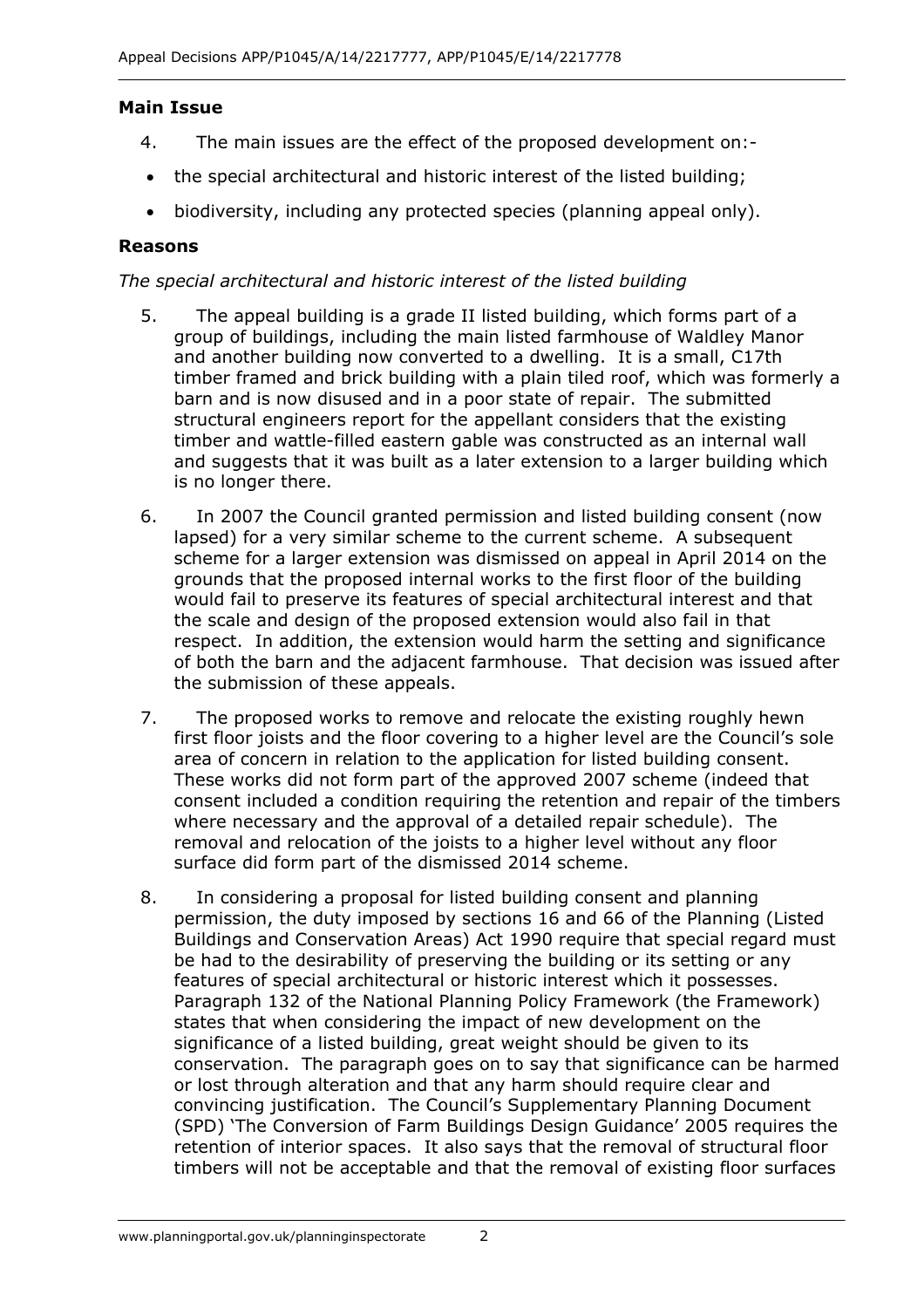#### **Main Issue**

- 4. The main issues are the effect of the proposed development on:-
- the special architectural and historic interest of the listed building;
- biodiversity, including any protected species (planning appeal only).

#### **Reasons**

#### *The special architectural and historic interest of the listed building*

- 5. The appeal building is a grade II listed building, which forms part of a group of buildings, including the main listed farmhouse of Waldley Manor and another building now converted to a dwelling. It is a small, C17th timber framed and brick building with a plain tiled roof, which was formerly a barn and is now disused and in a poor state of repair. The submitted structural engineers report for the appellant considers that the existing timber and wattle-filled eastern gable was constructed as an internal wall and suggests that it was built as a later extension to a larger building which is no longer there.
- 6. In 2007 the Council granted permission and listed building consent (now lapsed) for a very similar scheme to the current scheme. A subsequent scheme for a larger extension was dismissed on appeal in April 2014 on the grounds that the proposed internal works to the first floor of the building would fail to preserve its features of special architectural interest and that the scale and design of the proposed extension would also fail in that respect. In addition, the extension would harm the setting and significance of both the barn and the adjacent farmhouse. That decision was issued after the submission of these appeals.
- 7. The proposed works to remove and relocate the existing roughly hewn first floor joists and the floor covering to a higher level are the Council's sole area of concern in relation to the application for listed building consent. These works did not form part of the approved 2007 scheme (indeed that consent included a condition requiring the retention and repair of the timbers where necessary and the approval of a detailed repair schedule). The removal and relocation of the joists to a higher level without any floor surface did form part of the dismissed 2014 scheme.
- 8. In considering a proposal for listed building consent and planning permission, the duty imposed by sections 16 and 66 of the Planning (Listed Buildings and Conservation Areas) Act 1990 require that special regard must be had to the desirability of preserving the building or its setting or any features of special architectural or historic interest which it possesses. Paragraph 132 of the National Planning Policy Framework (the Framework) states that when considering the impact of new development on the significance of a listed building, great weight should be given to its conservation. The paragraph goes on to say that significance can be harmed or lost through alteration and that any harm should require clear and convincing justification. The Council's Supplementary Planning Document (SPD) 'The Conversion of Farm Buildings Design Guidance' 2005 requires the retention of interior spaces. It also says that the removal of structural floor timbers will not be acceptable and that the removal of existing floor surfaces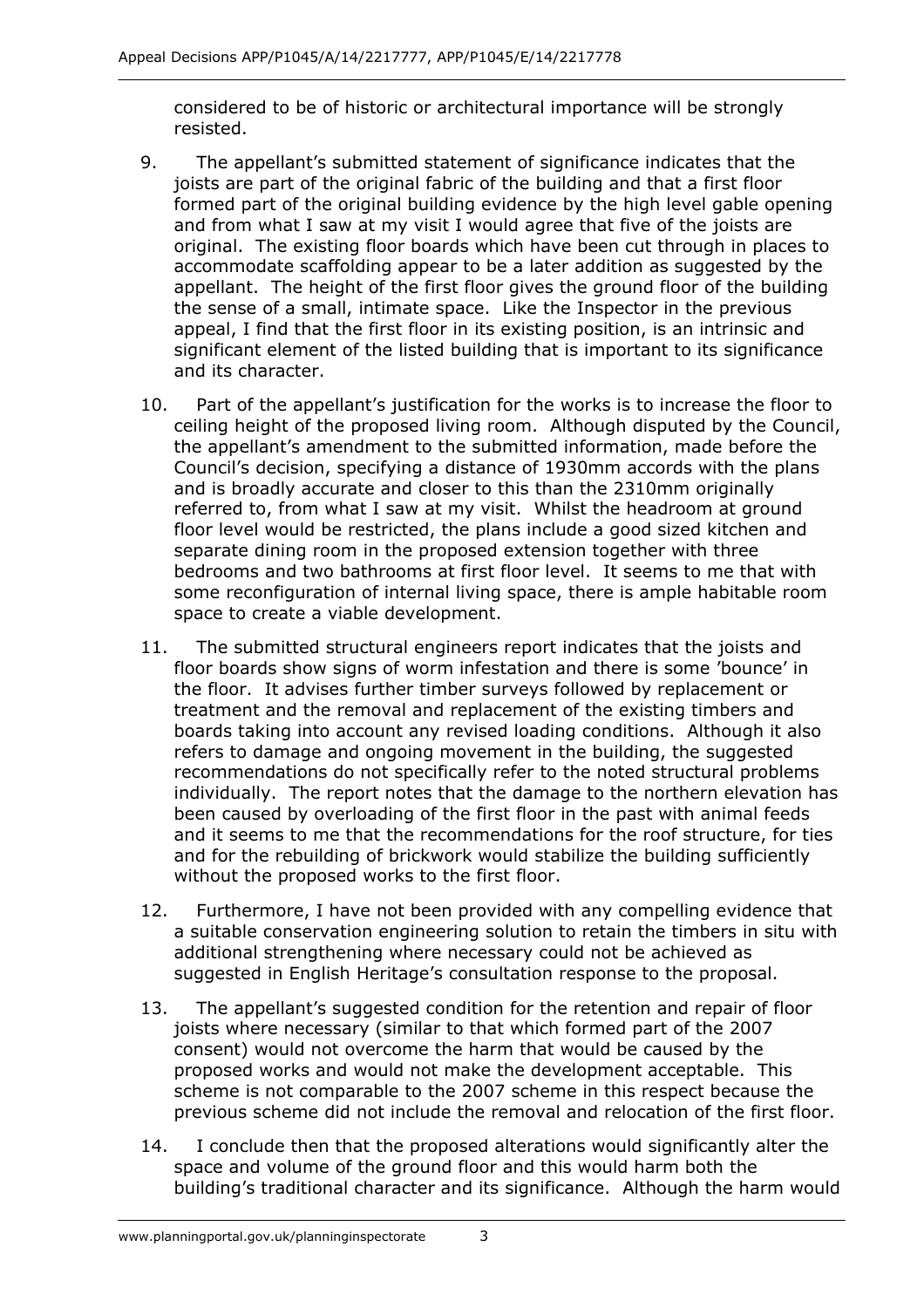considered to be of historic or architectural importance will be strongly resisted.

- 9. The appellant's submitted statement of significance indicates that the joists are part of the original fabric of the building and that a first floor formed part of the original building evidence by the high level gable opening and from what I saw at my visit I would agree that five of the joists are original. The existing floor boards which have been cut through in places to accommodate scaffolding appear to be a later addition as suggested by the appellant. The height of the first floor gives the ground floor of the building the sense of a small, intimate space. Like the Inspector in the previous appeal, I find that the first floor in its existing position, is an intrinsic and significant element of the listed building that is important to its significance and its character.
- 10. Part of the appellant's justification for the works is to increase the floor to ceiling height of the proposed living room. Although disputed by the Council, the appellant's amendment to the submitted information, made before the Council's decision, specifying a distance of 1930mm accords with the plans and is broadly accurate and closer to this than the 2310mm originally referred to, from what I saw at my visit. Whilst the headroom at ground floor level would be restricted, the plans include a good sized kitchen and separate dining room in the proposed extension together with three bedrooms and two bathrooms at first floor level. It seems to me that with some reconfiguration of internal living space, there is ample habitable room space to create a viable development.
- 11. The submitted structural engineers report indicates that the joists and floor boards show signs of worm infestation and there is some 'bounce' in the floor. It advises further timber surveys followed by replacement or treatment and the removal and replacement of the existing timbers and boards taking into account any revised loading conditions. Although it also refers to damage and ongoing movement in the building, the suggested recommendations do not specifically refer to the noted structural problems individually. The report notes that the damage to the northern elevation has been caused by overloading of the first floor in the past with animal feeds and it seems to me that the recommendations for the roof structure, for ties and for the rebuilding of brickwork would stabilize the building sufficiently without the proposed works to the first floor.
- 12. Furthermore, I have not been provided with any compelling evidence that a suitable conservation engineering solution to retain the timbers in situ with additional strengthening where necessary could not be achieved as suggested in English Heritage's consultation response to the proposal.
- 13. The appellant's suggested condition for the retention and repair of floor joists where necessary (similar to that which formed part of the 2007 consent) would not overcome the harm that would be caused by the proposed works and would not make the development acceptable. This scheme is not comparable to the 2007 scheme in this respect because the previous scheme did not include the removal and relocation of the first floor.
- 14. I conclude then that the proposed alterations would significantly alter the space and volume of the ground floor and this would harm both the building's traditional character and its significance. Although the harm would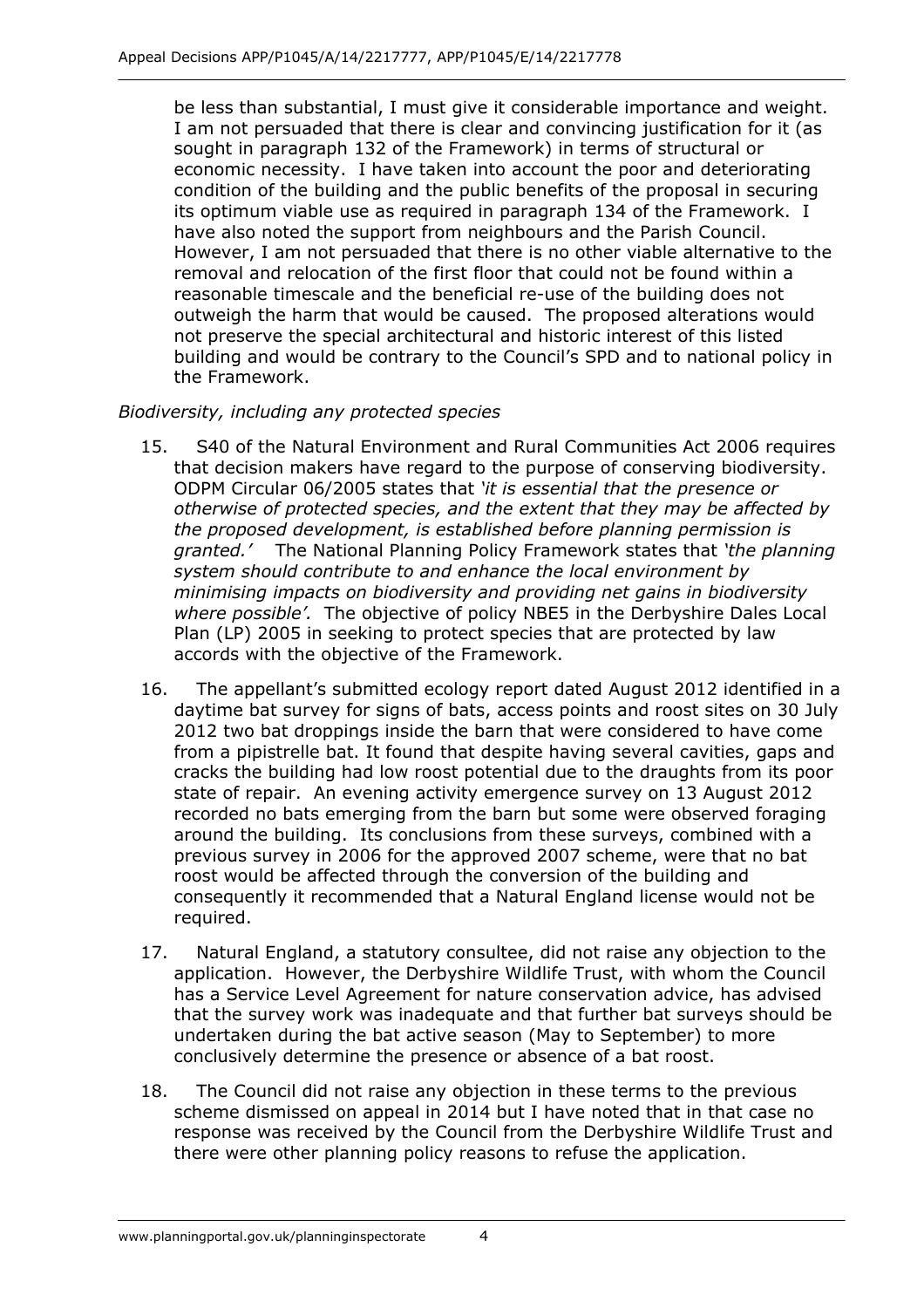be less than substantial, I must give it considerable importance and weight. I am not persuaded that there is clear and convincing justification for it (as sought in paragraph 132 of the Framework) in terms of structural or economic necessity. I have taken into account the poor and deteriorating condition of the building and the public benefits of the proposal in securing its optimum viable use as required in paragraph 134 of the Framework. I have also noted the support from neighbours and the Parish Council. However, I am not persuaded that there is no other viable alternative to the removal and relocation of the first floor that could not be found within a reasonable timescale and the beneficial re-use of the building does not outweigh the harm that would be caused. The proposed alterations would not preserve the special architectural and historic interest of this listed building and would be contrary to the Council's SPD and to national policy in the Framework.

#### *Biodiversity, including any protected species*

- 15. S40 of the Natural Environment and Rural Communities Act 2006 requires that decision makers have regard to the purpose of conserving biodiversity. ODPM Circular 06/2005 states that *'it is essential that the presence or otherwise of protected species, and the extent that they may be affected by the proposed development, is established before planning permission is granted.'* The National Planning Policy Framework states that *'the planning system should contribute to and enhance the local environment by minimising impacts on biodiversity and providing net gains in biodiversity where possible'.* The objective of policy NBE5 in the Derbyshire Dales Local Plan (LP) 2005 in seeking to protect species that are protected by law accords with the objective of the Framework.
- 16. The appellant's submitted ecology report dated August 2012 identified in a daytime bat survey for signs of bats, access points and roost sites on 30 July 2012 two bat droppings inside the barn that were considered to have come from a pipistrelle bat. It found that despite having several cavities, gaps and cracks the building had low roost potential due to the draughts from its poor state of repair. An evening activity emergence survey on 13 August 2012 recorded no bats emerging from the barn but some were observed foraging around the building. Its conclusions from these surveys, combined with a previous survey in 2006 for the approved 2007 scheme, were that no bat roost would be affected through the conversion of the building and consequently it recommended that a Natural England license would not be required.
- 17. Natural England, a statutory consultee, did not raise any objection to the application. However, the Derbyshire Wildlife Trust, with whom the Council has a Service Level Agreement for nature conservation advice, has advised that the survey work was inadequate and that further bat surveys should be undertaken during the bat active season (May to September) to more conclusively determine the presence or absence of a bat roost.
- 18. The Council did not raise any objection in these terms to the previous scheme dismissed on appeal in 2014 but I have noted that in that case no response was received by the Council from the Derbyshire Wildlife Trust and there were other planning policy reasons to refuse the application.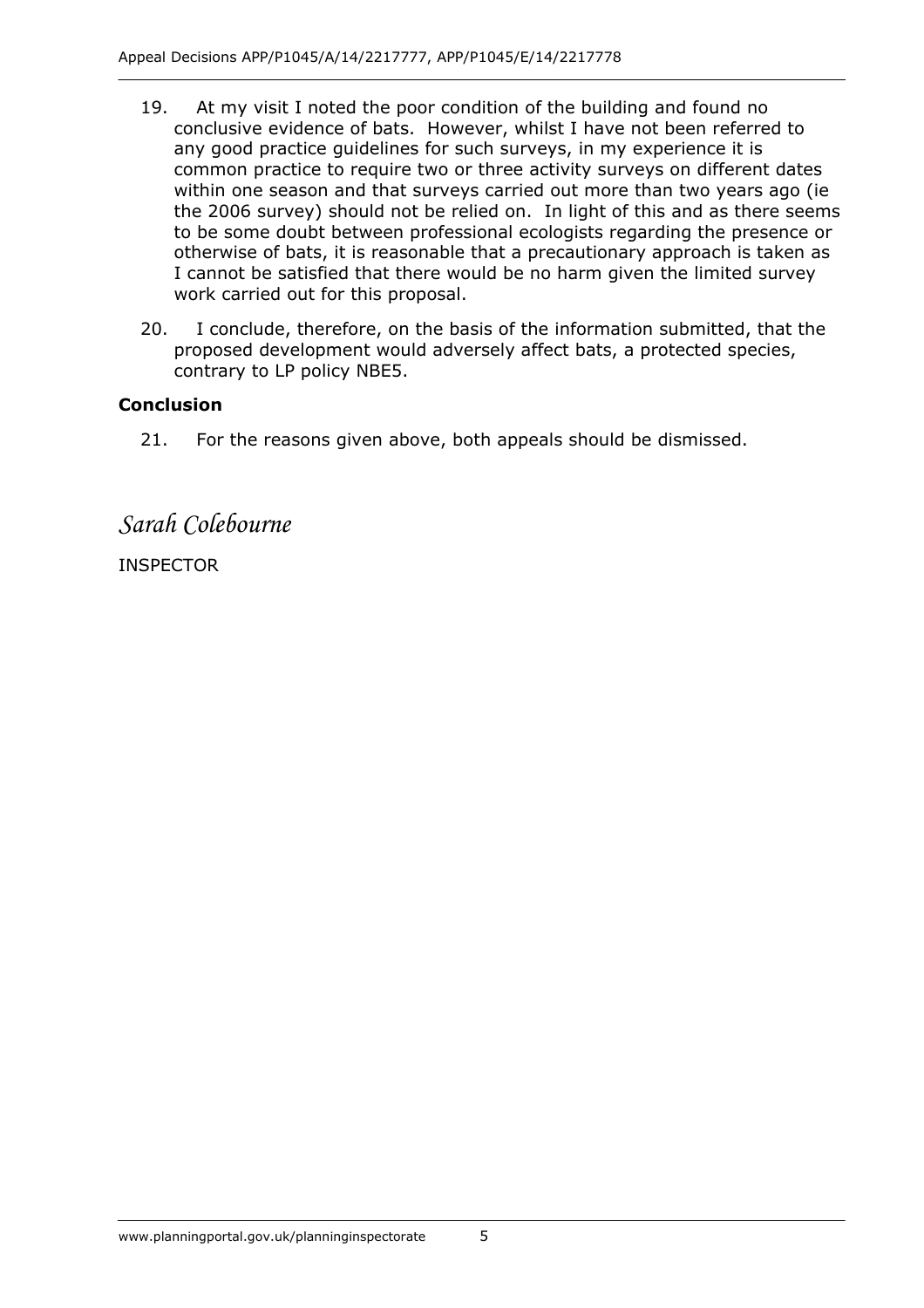- 19. At my visit I noted the poor condition of the building and found no conclusive evidence of bats. However, whilst I have not been referred to any good practice guidelines for such surveys, in my experience it is common practice to require two or three activity surveys on different dates within one season and that surveys carried out more than two years ago (ie the 2006 survey) should not be relied on. In light of this and as there seems to be some doubt between professional ecologists regarding the presence or otherwise of bats, it is reasonable that a precautionary approach is taken as I cannot be satisfied that there would be no harm given the limited survey work carried out for this proposal.
- 20. I conclude, therefore, on the basis of the information submitted, that the proposed development would adversely affect bats, a protected species, contrary to LP policy NBE5.

#### **Conclusion**

21. For the reasons given above, both appeals should be dismissed.

*Sarah Colebourne* 

INSPECTOR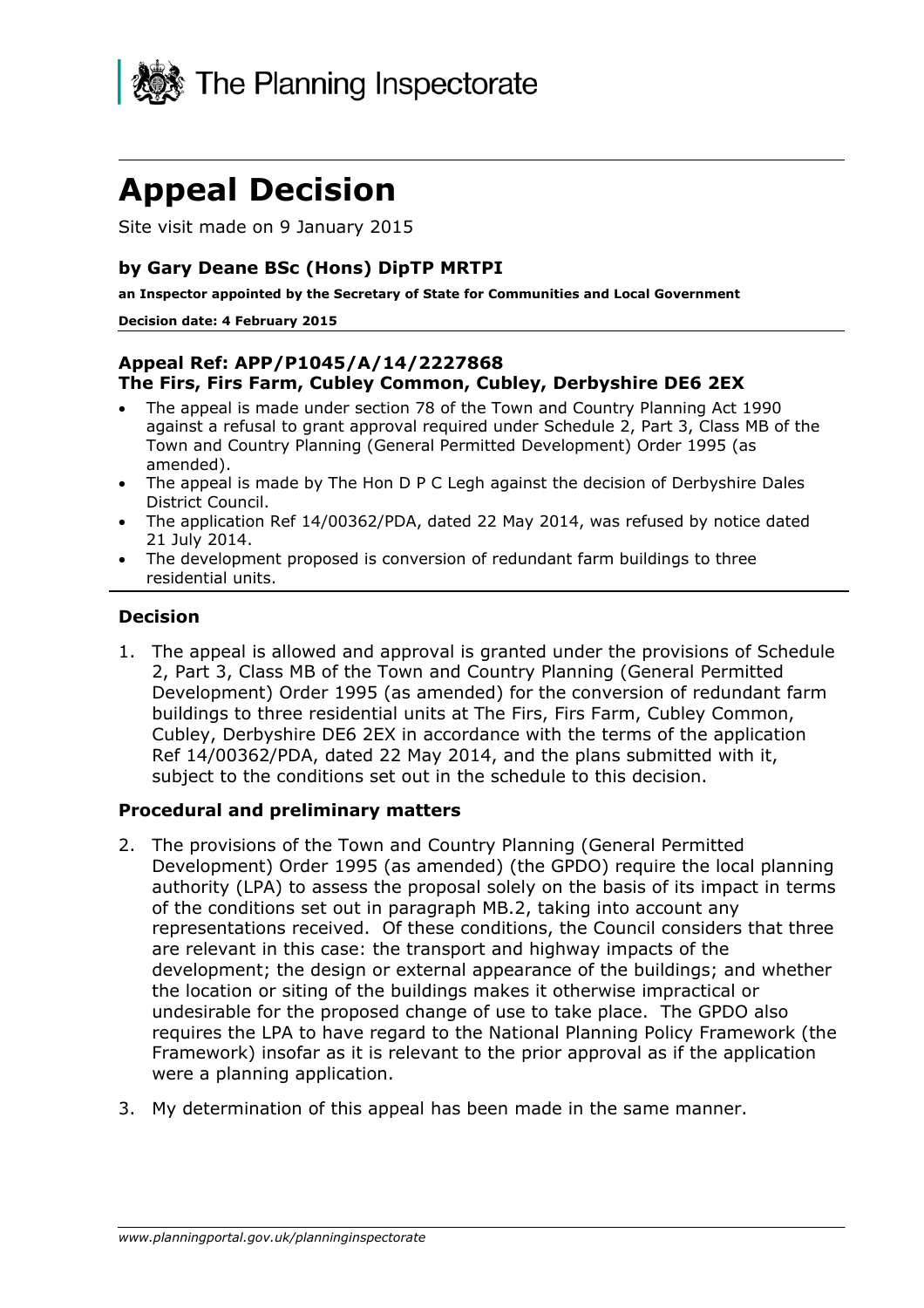

## **Appeal Decision**

Site visit made on 9 January 2015

#### **by Gary Deane BSc (Hons) DipTP MRTPI**

**an Inspector appointed by the Secretary of State for Communities and Local Government** 

#### **Decision date: 4 February 2015**

#### **Appeal Ref: APP/P1045/A/14/2227868 The Firs, Firs Farm, Cubley Common, Cubley, Derbyshire DE6 2EX**

- The appeal is made under section 78 of the Town and Country Planning Act 1990 against a refusal to grant approval required under Schedule 2, Part 3, Class MB of the Town and Country Planning (General Permitted Development) Order 1995 (as amended).
- The appeal is made by The Hon D P C Legh against the decision of Derbyshire Dales District Council.
- The application Ref 14/00362/PDA, dated 22 May 2014, was refused by notice dated 21 July 2014.
- The development proposed is conversion of redundant farm buildings to three residential units.

#### **Decision**

1. The appeal is allowed and approval is granted under the provisions of Schedule 2, Part 3, Class MB of the Town and Country Planning (General Permitted Development) Order 1995 (as amended) for the conversion of redundant farm buildings to three residential units at The Firs, Firs Farm, Cubley Common, Cubley, Derbyshire DE6 2EX in accordance with the terms of the application Ref 14/00362/PDA, dated 22 May 2014, and the plans submitted with it, subject to the conditions set out in the schedule to this decision.

#### **Procedural and preliminary matters**

- 2. The provisions of the Town and Country Planning (General Permitted Development) Order 1995 (as amended) (the GPDO) require the local planning authority (LPA) to assess the proposal solely on the basis of its impact in terms of the conditions set out in paragraph MB.2, taking into account any representations received. Of these conditions, the Council considers that three are relevant in this case: the transport and highway impacts of the development; the design or external appearance of the buildings; and whether the location or siting of the buildings makes it otherwise impractical or undesirable for the proposed change of use to take place. The GPDO also requires the LPA to have regard to the National Planning Policy Framework (the Framework) insofar as it is relevant to the prior approval as if the application were a planning application.
- 3. My determination of this appeal has been made in the same manner.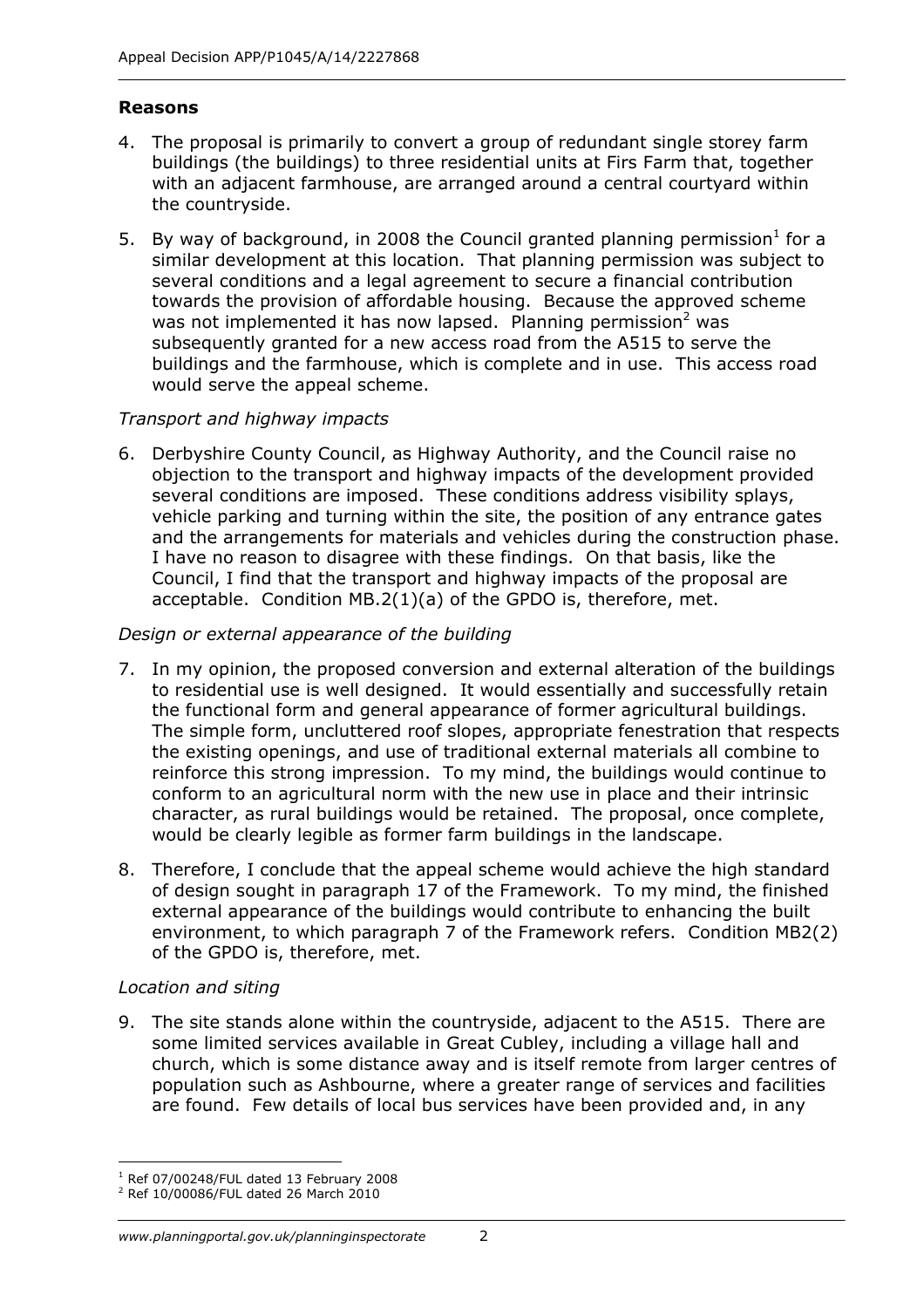#### **Reasons**

- 4. The proposal is primarily to convert a group of redundant single storey farm buildings (the buildings) to three residential units at Firs Farm that, together with an adjacent farmhouse, are arranged around a central courtyard within the countryside.
- 5. By way of background, in 2008 the Council granted planning permission<sup>1</sup> for a similar development at this location. That planning permission was subject to several conditions and a legal agreement to secure a financial contribution towards the provision of affordable housing. Because the approved scheme was not implemented it has now lapsed. Planning permission<sup>2</sup> was subsequently granted for a new access road from the A515 to serve the buildings and the farmhouse, which is complete and in use. This access road would serve the appeal scheme.

#### *Transport and highway impacts*

6. Derbyshire County Council, as Highway Authority, and the Council raise no objection to the transport and highway impacts of the development provided several conditions are imposed. These conditions address visibility splays, vehicle parking and turning within the site, the position of any entrance gates and the arrangements for materials and vehicles during the construction phase. I have no reason to disagree with these findings. On that basis, like the Council, I find that the transport and highway impacts of the proposal are acceptable. Condition MB.2(1)(a) of the GPDO is, therefore, met.

#### *Design or external appearance of the building*

- 7. In my opinion, the proposed conversion and external alteration of the buildings to residential use is well designed. It would essentially and successfully retain the functional form and general appearance of former agricultural buildings. The simple form, uncluttered roof slopes, appropriate fenestration that respects the existing openings, and use of traditional external materials all combine to reinforce this strong impression. To my mind, the buildings would continue to conform to an agricultural norm with the new use in place and their intrinsic character, as rural buildings would be retained. The proposal, once complete, would be clearly legible as former farm buildings in the landscape.
- 8. Therefore, I conclude that the appeal scheme would achieve the high standard of design sought in paragraph 17 of the Framework. To my mind, the finished external appearance of the buildings would contribute to enhancing the built environment, to which paragraph 7 of the Framework refers. Condition MB2(2) of the GPDO is, therefore, met.

#### *Location and siting*

9. The site stands alone within the countryside, adjacent to the A515. There are some limited services available in Great Cubley, including a village hall and church, which is some distance away and is itself remote from larger centres of population such as Ashbourne, where a greater range of services and facilities are found. Few details of local bus services have been provided and, in any

<sup>-</sup> $1$  Ref 07/00248/FUL dated 13 February 2008

<sup>2</sup> Ref 10/00086/FUL dated 26 March 2010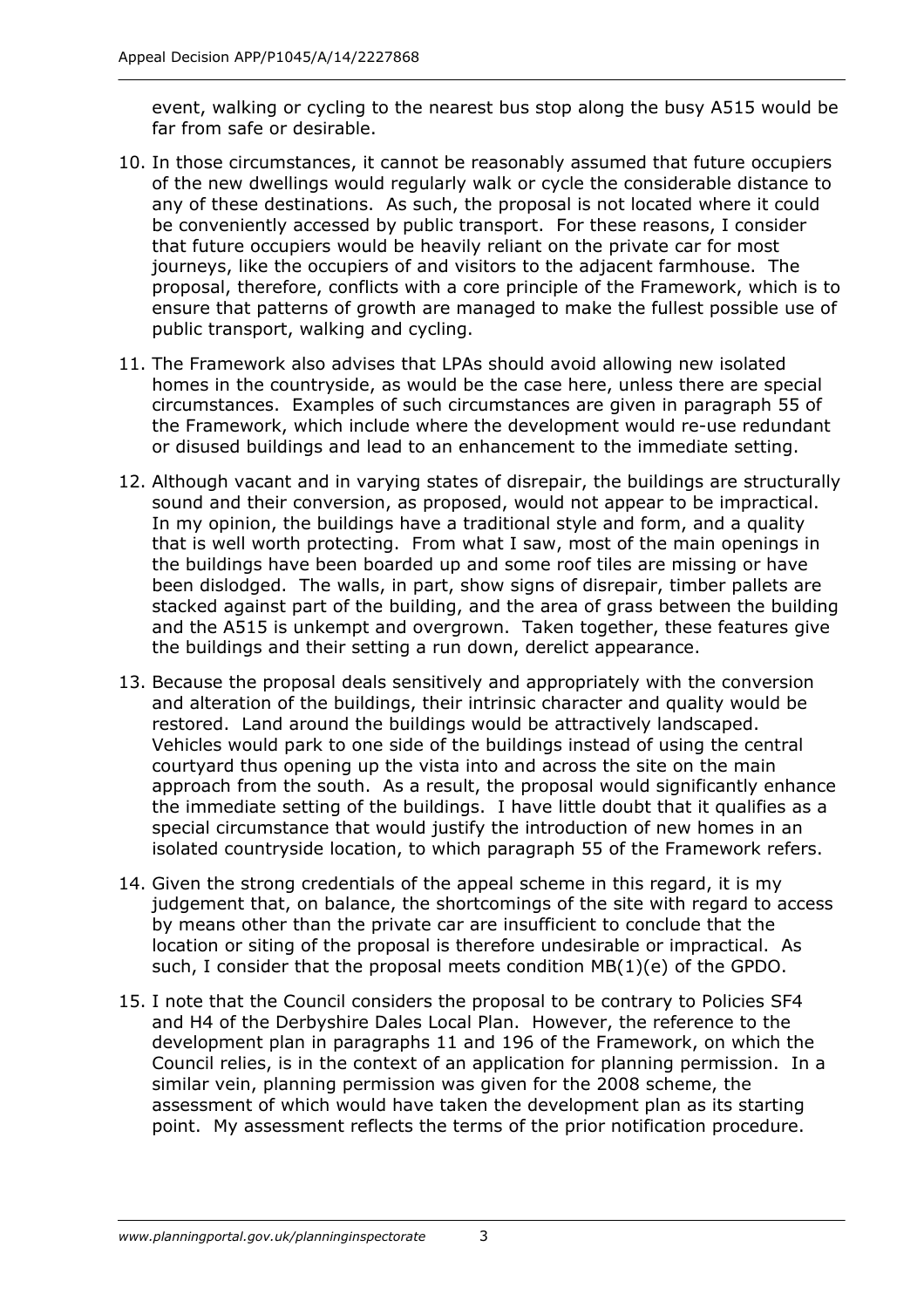event, walking or cycling to the nearest bus stop along the busy A515 would be far from safe or desirable.

- 10. In those circumstances, it cannot be reasonably assumed that future occupiers of the new dwellings would regularly walk or cycle the considerable distance to any of these destinations. As such, the proposal is not located where it could be conveniently accessed by public transport. For these reasons, I consider that future occupiers would be heavily reliant on the private car for most journeys, like the occupiers of and visitors to the adjacent farmhouse. The proposal, therefore, conflicts with a core principle of the Framework, which is to ensure that patterns of growth are managed to make the fullest possible use of public transport, walking and cycling.
- 11. The Framework also advises that LPAs should avoid allowing new isolated homes in the countryside, as would be the case here, unless there are special circumstances. Examples of such circumstances are given in paragraph 55 of the Framework, which include where the development would re-use redundant or disused buildings and lead to an enhancement to the immediate setting.
- 12. Although vacant and in varying states of disrepair, the buildings are structurally sound and their conversion, as proposed, would not appear to be impractical. In my opinion, the buildings have a traditional style and form, and a quality that is well worth protecting. From what I saw, most of the main openings in the buildings have been boarded up and some roof tiles are missing or have been dislodged. The walls, in part, show signs of disrepair, timber pallets are stacked against part of the building, and the area of grass between the building and the A515 is unkempt and overgrown. Taken together, these features give the buildings and their setting a run down, derelict appearance.
- 13. Because the proposal deals sensitively and appropriately with the conversion and alteration of the buildings, their intrinsic character and quality would be restored. Land around the buildings would be attractively landscaped. Vehicles would park to one side of the buildings instead of using the central courtyard thus opening up the vista into and across the site on the main approach from the south. As a result, the proposal would significantly enhance the immediate setting of the buildings. I have little doubt that it qualifies as a special circumstance that would justify the introduction of new homes in an isolated countryside location, to which paragraph 55 of the Framework refers.
- 14. Given the strong credentials of the appeal scheme in this regard, it is my judgement that, on balance, the shortcomings of the site with regard to access by means other than the private car are insufficient to conclude that the location or siting of the proposal is therefore undesirable or impractical. As such, I consider that the proposal meets condition MB(1)(e) of the GPDO.
- 15. I note that the Council considers the proposal to be contrary to Policies SF4 and H4 of the Derbyshire Dales Local Plan. However, the reference to the development plan in paragraphs 11 and 196 of the Framework, on which the Council relies, is in the context of an application for planning permission. In a similar vein, planning permission was given for the 2008 scheme, the assessment of which would have taken the development plan as its starting point. My assessment reflects the terms of the prior notification procedure.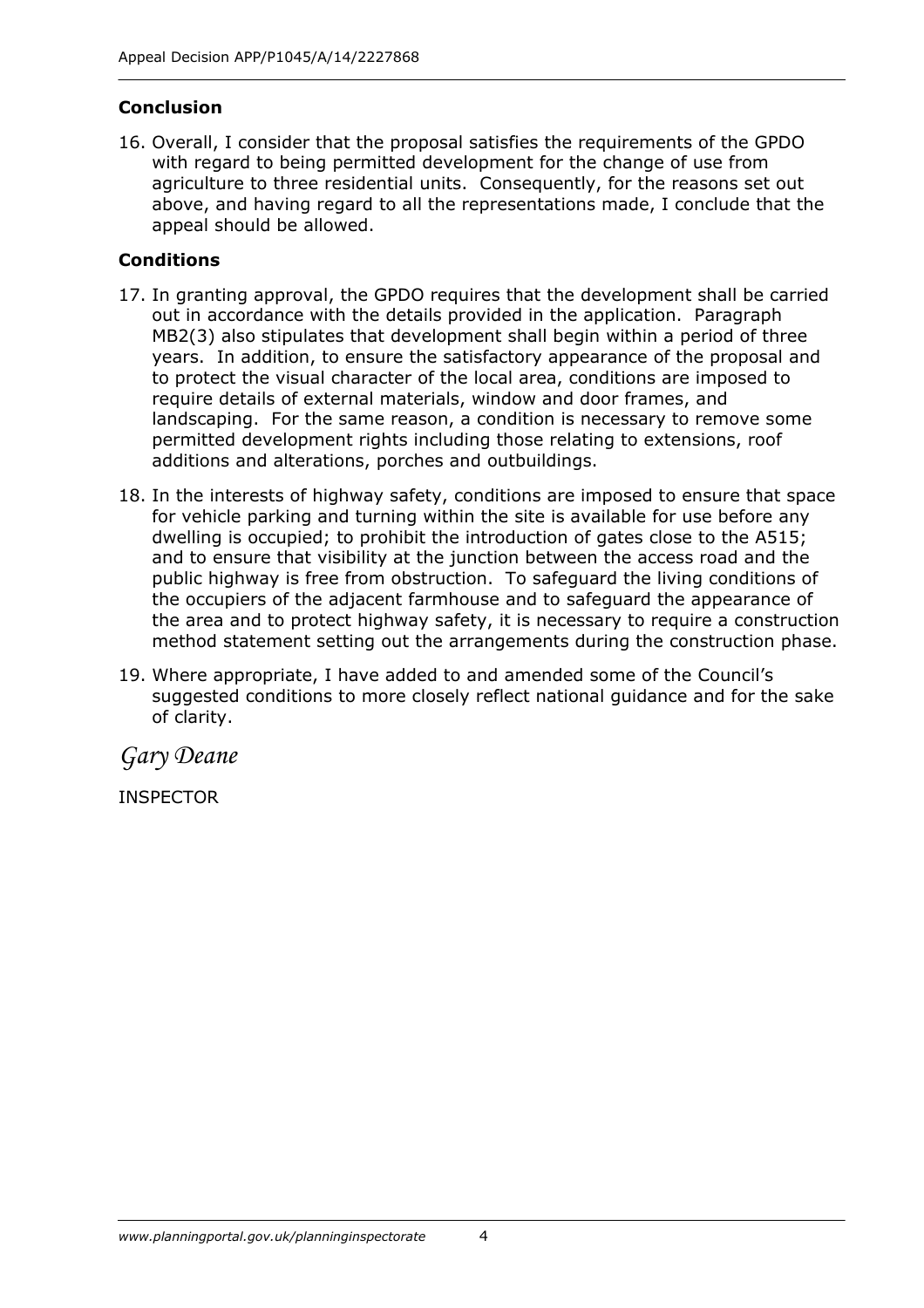#### **Conclusion**

16. Overall, I consider that the proposal satisfies the requirements of the GPDO with regard to being permitted development for the change of use from agriculture to three residential units. Consequently, for the reasons set out above, and having regard to all the representations made, I conclude that the appeal should be allowed.

#### **Conditions**

- 17. In granting approval, the GPDO requires that the development shall be carried out in accordance with the details provided in the application. Paragraph MB2(3) also stipulates that development shall begin within a period of three years. In addition, to ensure the satisfactory appearance of the proposal and to protect the visual character of the local area, conditions are imposed to require details of external materials, window and door frames, and landscaping. For the same reason, a condition is necessary to remove some permitted development rights including those relating to extensions, roof additions and alterations, porches and outbuildings.
- 18. In the interests of highway safety, conditions are imposed to ensure that space for vehicle parking and turning within the site is available for use before any dwelling is occupied; to prohibit the introduction of gates close to the A515; and to ensure that visibility at the junction between the access road and the public highway is free from obstruction. To safeguard the living conditions of the occupiers of the adjacent farmhouse and to safeguard the appearance of the area and to protect highway safety, it is necessary to require a construction method statement setting out the arrangements during the construction phase.
- 19. Where appropriate, I have added to and amended some of the Council's suggested conditions to more closely reflect national guidance and for the sake of clarity.

*Gary Deane*

INSPECTOR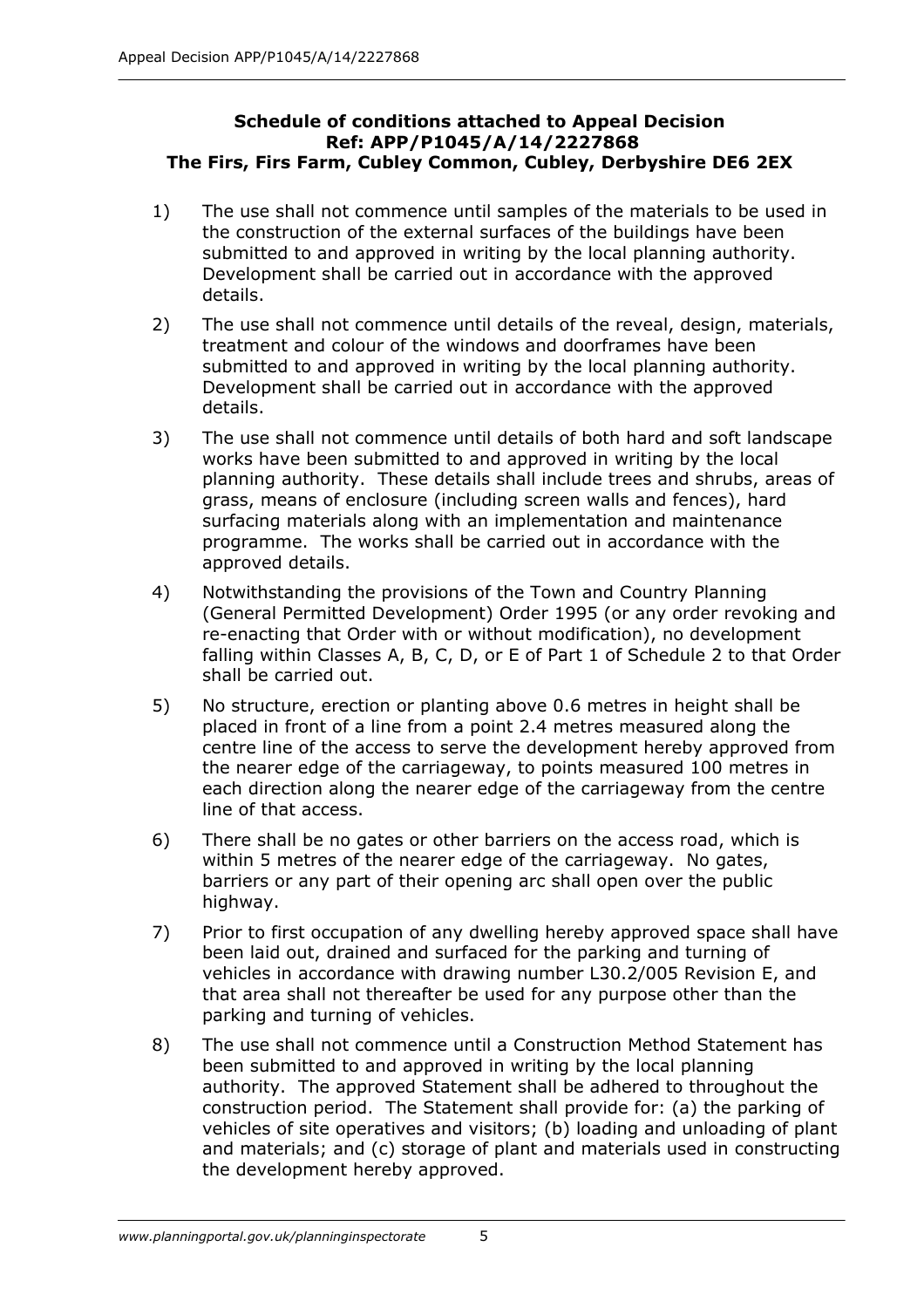#### **Schedule of conditions attached to Appeal Decision Ref: APP/P1045/A/14/2227868 The Firs, Firs Farm, Cubley Common, Cubley, Derbyshire DE6 2EX**

- 1) The use shall not commence until samples of the materials to be used in the construction of the external surfaces of the buildings have been submitted to and approved in writing by the local planning authority. Development shall be carried out in accordance with the approved details.
- 2) The use shall not commence until details of the reveal, design, materials, treatment and colour of the windows and doorframes have been submitted to and approved in writing by the local planning authority. Development shall be carried out in accordance with the approved details.
- 3) The use shall not commence until details of both hard and soft landscape works have been submitted to and approved in writing by the local planning authority. These details shall include trees and shrubs, areas of grass, means of enclosure (including screen walls and fences), hard surfacing materials along with an implementation and maintenance programme. The works shall be carried out in accordance with the approved details.
- 4) Notwithstanding the provisions of the Town and Country Planning (General Permitted Development) Order 1995 (or any order revoking and re-enacting that Order with or without modification), no development falling within Classes A, B, C, D, or E of Part 1 of Schedule 2 to that Order shall be carried out.
- 5) No structure, erection or planting above 0.6 metres in height shall be placed in front of a line from a point 2.4 metres measured along the centre line of the access to serve the development hereby approved from the nearer edge of the carriageway, to points measured 100 metres in each direction along the nearer edge of the carriageway from the centre line of that access.
- 6) There shall be no gates or other barriers on the access road, which is within 5 metres of the nearer edge of the carriageway. No gates, barriers or any part of their opening arc shall open over the public highway.
- 7) Prior to first occupation of any dwelling hereby approved space shall have been laid out, drained and surfaced for the parking and turning of vehicles in accordance with drawing number L30.2/005 Revision E, and that area shall not thereafter be used for any purpose other than the parking and turning of vehicles.
- 8) The use shall not commence until a Construction Method Statement has been submitted to and approved in writing by the local planning authority. The approved Statement shall be adhered to throughout the construction period. The Statement shall provide for: (a) the parking of vehicles of site operatives and visitors; (b) loading and unloading of plant and materials; and (c) storage of plant and materials used in constructing the development hereby approved.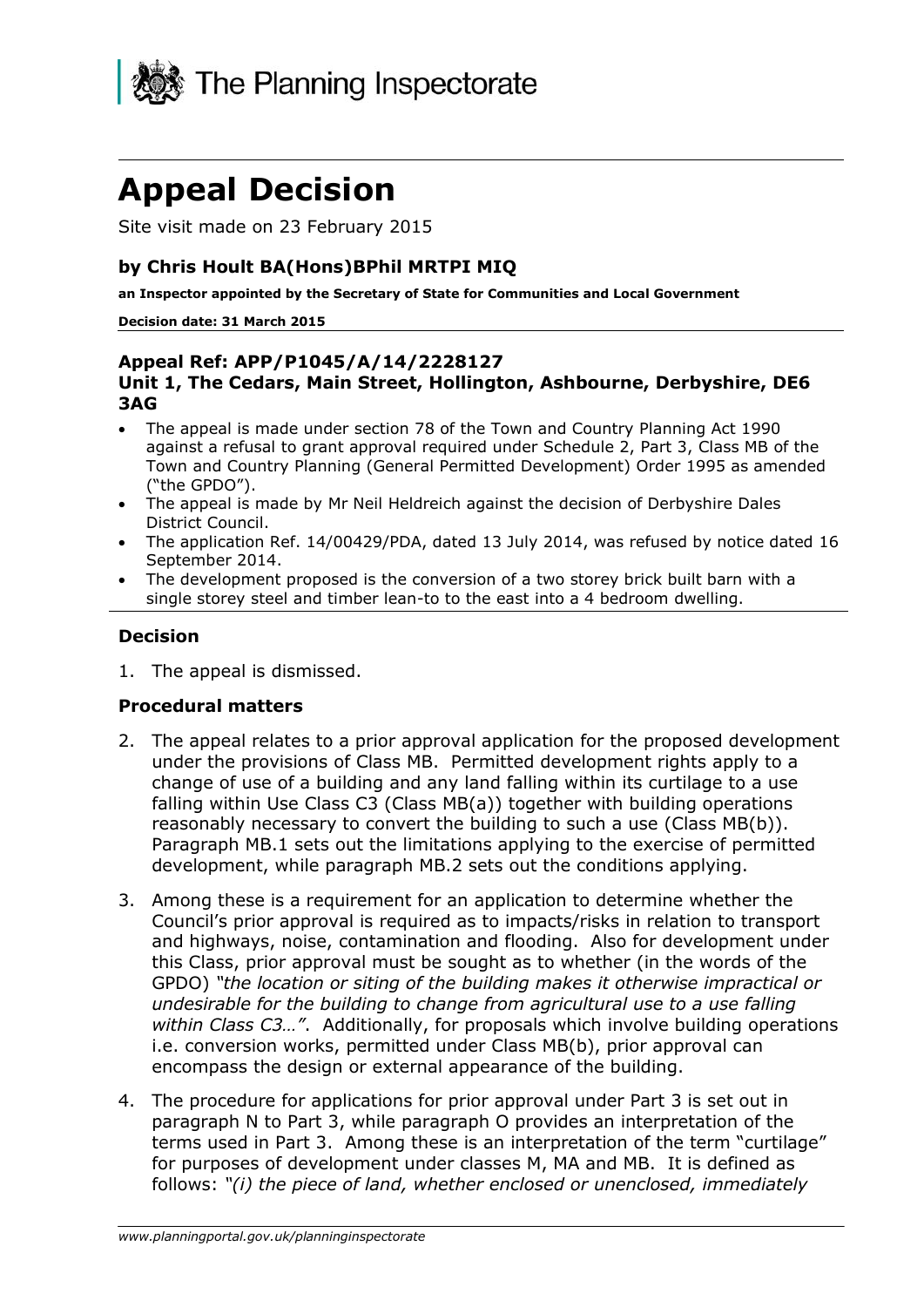

# **Appeal Decision**

Site visit made on 23 February 2015

#### **by Chris Hoult BA(Hons)BPhil MRTPI MIQ**

**an Inspector appointed by the Secretary of State for Communities and Local Government**

#### **Decision date: 31 March 2015**

#### **Appeal Ref: APP/P1045/A/14/2228127 Unit 1, The Cedars, Main Street, Hollington, Ashbourne, Derbyshire, DE6 3AG**

- The appeal is made under section 78 of the Town and Country Planning Act 1990 against a refusal to grant approval required under Schedule 2, Part 3, Class MB of the Town and Country Planning (General Permitted Development) Order 1995 as amended ("the GPDO").
- The appeal is made by Mr Neil Heldreich against the decision of Derbyshire Dales District Council.
- The application Ref. 14/00429/PDA, dated 13 July 2014, was refused by notice dated 16 September 2014.
- The development proposed is the conversion of a two storey brick built barn with a single storey steel and timber lean-to to the east into a 4 bedroom dwelling.

#### **Decision**

1. The appeal is dismissed.

#### **Procedural matters**

- 2. The appeal relates to a prior approval application for the proposed development under the provisions of Class MB. Permitted development rights apply to a change of use of a building and any land falling within its curtilage to a use falling within Use Class C3 (Class MB(a)) together with building operations reasonably necessary to convert the building to such a use (Class MB(b)). Paragraph MB.1 sets out the limitations applying to the exercise of permitted development, while paragraph MB.2 sets out the conditions applying.
- 3. Among these is a requirement for an application to determine whether the Council's prior approval is required as to impacts/risks in relation to transport and highways, noise, contamination and flooding. Also for development under this Class, prior approval must be sought as to whether (in the words of the GPDO) *"the location or siting of the building makes it otherwise impractical or undesirable for the building to change from agricultural use to a use falling within Class C3…"*. Additionally, for proposals which involve building operations i.e. conversion works, permitted under Class MB(b), prior approval can encompass the design or external appearance of the building.
- 4. The procedure for applications for prior approval under Part 3 is set out in paragraph N to Part 3, while paragraph O provides an interpretation of the terms used in Part 3. Among these is an interpretation of the term "curtilage" for purposes of development under classes M, MA and MB. It is defined as follows: *"(i) the piece of land, whether enclosed or unenclosed, immediately*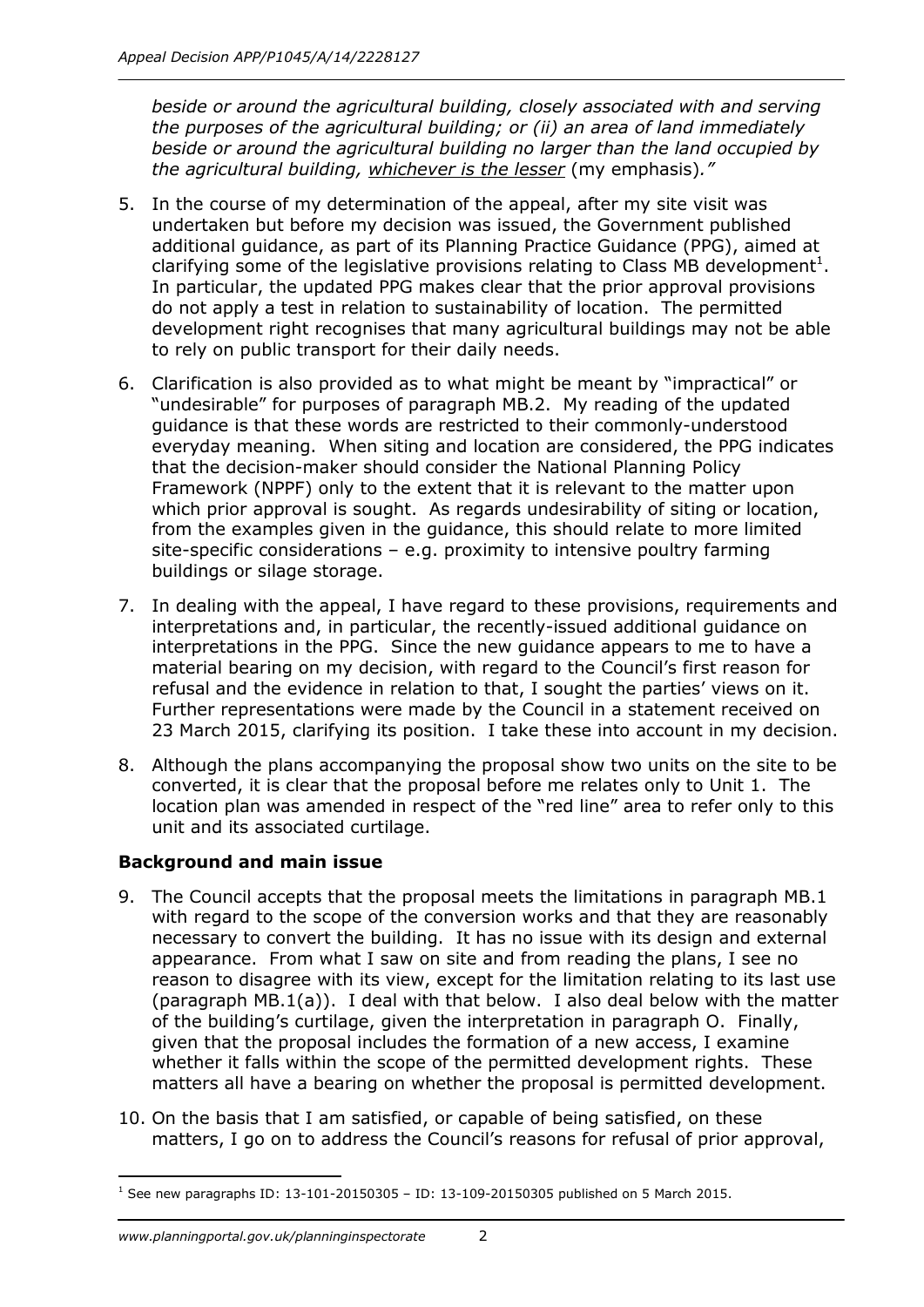*beside or around the agricultural building, closely associated with and serving the purposes of the agricultural building; or (ii) an area of land immediately beside or around the agricultural building no larger than the land occupied by the agricultural building, whichever is the lesser* (my emphasis)*."*

- 5. In the course of my determination of the appeal, after my site visit was undertaken but before my decision was issued, the Government published additional guidance, as part of its Planning Practice Guidance (PPG), aimed at clarifying some of the legislative provisions relating to Class MB development<sup>1</sup>. In particular, the updated PPG makes clear that the prior approval provisions do not apply a test in relation to sustainability of location. The permitted development right recognises that many agricultural buildings may not be able to rely on public transport for their daily needs.
- 6. Clarification is also provided as to what might be meant by "impractical" or "undesirable" for purposes of paragraph MB.2. My reading of the updated guidance is that these words are restricted to their commonly-understood everyday meaning. When siting and location are considered, the PPG indicates that the decision-maker should consider the National Planning Policy Framework (NPPF) only to the extent that it is relevant to the matter upon which prior approval is sought. As regards undesirability of siting or location, from the examples given in the guidance, this should relate to more limited site-specific considerations – e.g. proximity to intensive poultry farming buildings or silage storage.
- 7. In dealing with the appeal, I have regard to these provisions, requirements and interpretations and, in particular, the recently-issued additional guidance on interpretations in the PPG. Since the new guidance appears to me to have a material bearing on my decision, with regard to the Council's first reason for refusal and the evidence in relation to that, I sought the parties' views on it. Further representations were made by the Council in a statement received on 23 March 2015, clarifying its position. I take these into account in my decision.
- 8. Although the plans accompanying the proposal show two units on the site to be converted, it is clear that the proposal before me relates only to Unit 1. The location plan was amended in respect of the "red line" area to refer only to this unit and its associated curtilage.

### **Background and main issue**

- 9. The Council accepts that the proposal meets the limitations in paragraph MB.1 with regard to the scope of the conversion works and that they are reasonably necessary to convert the building. It has no issue with its design and external appearance. From what I saw on site and from reading the plans, I see no reason to disagree with its view, except for the limitation relating to its last use (paragraph MB.1(a)). I deal with that below. I also deal below with the matter of the building's curtilage, given the interpretation in paragraph O. Finally, given that the proposal includes the formation of a new access, I examine whether it falls within the scope of the permitted development rights. These matters all have a bearing on whether the proposal is permitted development.
- 10. On the basis that I am satisfied, or capable of being satisfied, on these matters, I go on to address the Council's reasons for refusal of prior approval,

<sup>-</sup>1 See new paragraphs ID: 13-101-20150305 – ID: 13-109-20150305 published on 5 March 2015.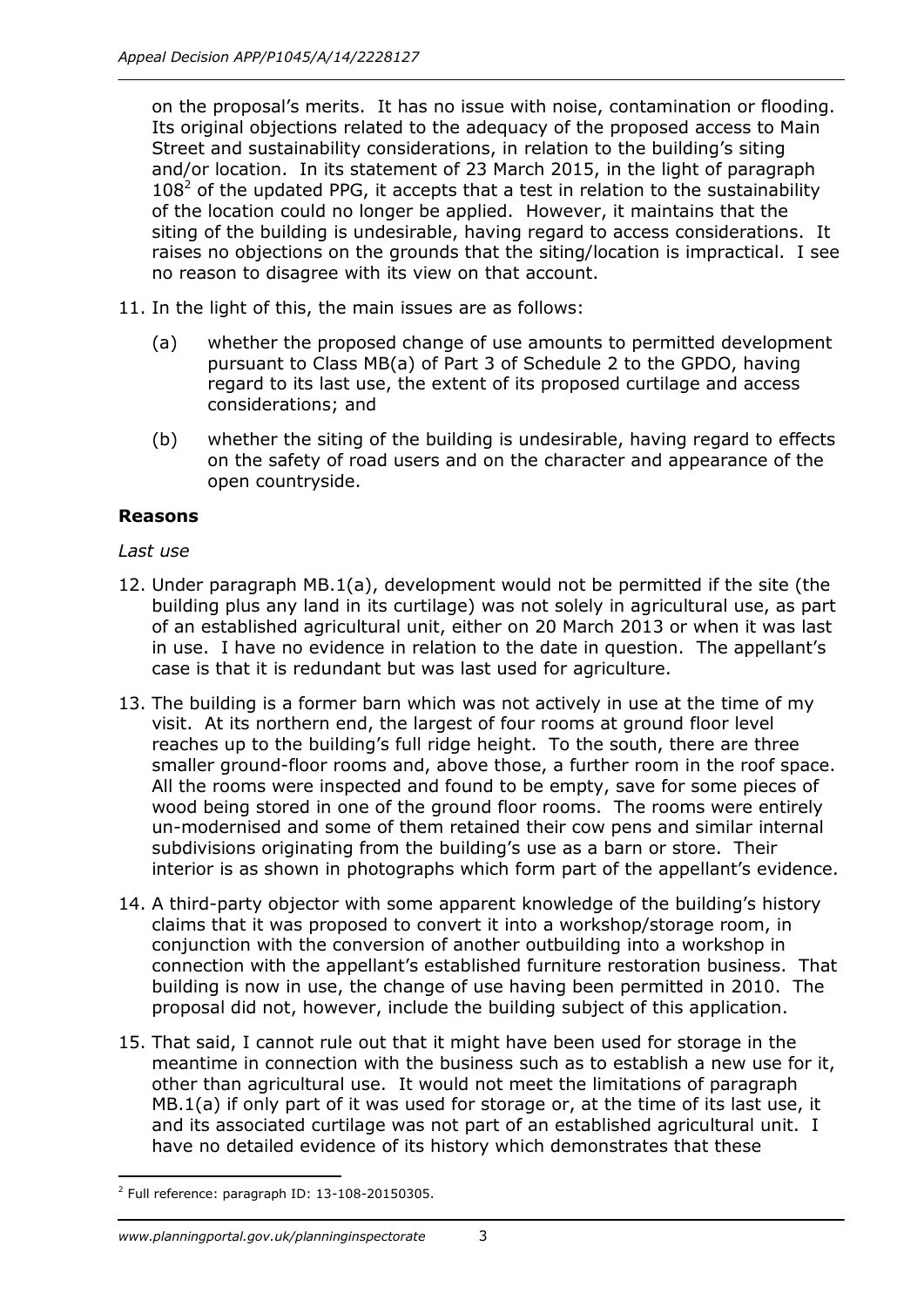on the proposal's merits. It has no issue with noise, contamination or flooding. Its original objections related to the adequacy of the proposed access to Main Street and sustainability considerations, in relation to the building's siting and/or location. In its statement of 23 March 2015, in the light of paragraph  $108<sup>2</sup>$  of the updated PPG, it accepts that a test in relation to the sustainability of the location could no longer be applied. However, it maintains that the siting of the building is undesirable, having regard to access considerations. It raises no objections on the grounds that the siting/location is impractical. I see no reason to disagree with its view on that account.

- 11. In the light of this, the main issues are as follows:
	- (a) whether the proposed change of use amounts to permitted development pursuant to Class MB(a) of Part 3 of Schedule 2 to the GPDO, having regard to its last use, the extent of its proposed curtilage and access considerations; and
	- (b) whether the siting of the building is undesirable, having regard to effects on the safety of road users and on the character and appearance of the open countryside.

#### **Reasons**

#### *Last use*

- 12. Under paragraph MB.1(a), development would not be permitted if the site (the building plus any land in its curtilage) was not solely in agricultural use, as part of an established agricultural unit, either on 20 March 2013 or when it was last in use. I have no evidence in relation to the date in question. The appellant's case is that it is redundant but was last used for agriculture.
- 13. The building is a former barn which was not actively in use at the time of my visit. At its northern end, the largest of four rooms at ground floor level reaches up to the building's full ridge height. To the south, there are three smaller ground-floor rooms and, above those, a further room in the roof space. All the rooms were inspected and found to be empty, save for some pieces of wood being stored in one of the ground floor rooms. The rooms were entirely un-modernised and some of them retained their cow pens and similar internal subdivisions originating from the building's use as a barn or store. Their interior is as shown in photographs which form part of the appellant's evidence.
- 14. A third-party objector with some apparent knowledge of the building's history claims that it was proposed to convert it into a workshop/storage room, in conjunction with the conversion of another outbuilding into a workshop in connection with the appellant's established furniture restoration business. That building is now in use, the change of use having been permitted in 2010. The proposal did not, however, include the building subject of this application.
- 15. That said, I cannot rule out that it might have been used for storage in the meantime in connection with the business such as to establish a new use for it, other than agricultural use. It would not meet the limitations of paragraph MB.1(a) if only part of it was used for storage or, at the time of its last use, it and its associated curtilage was not part of an established agricultural unit. I have no detailed evidence of its history which demonstrates that these

<sup>-</sup> $2$  Full reference: paragraph ID: 13-108-20150305.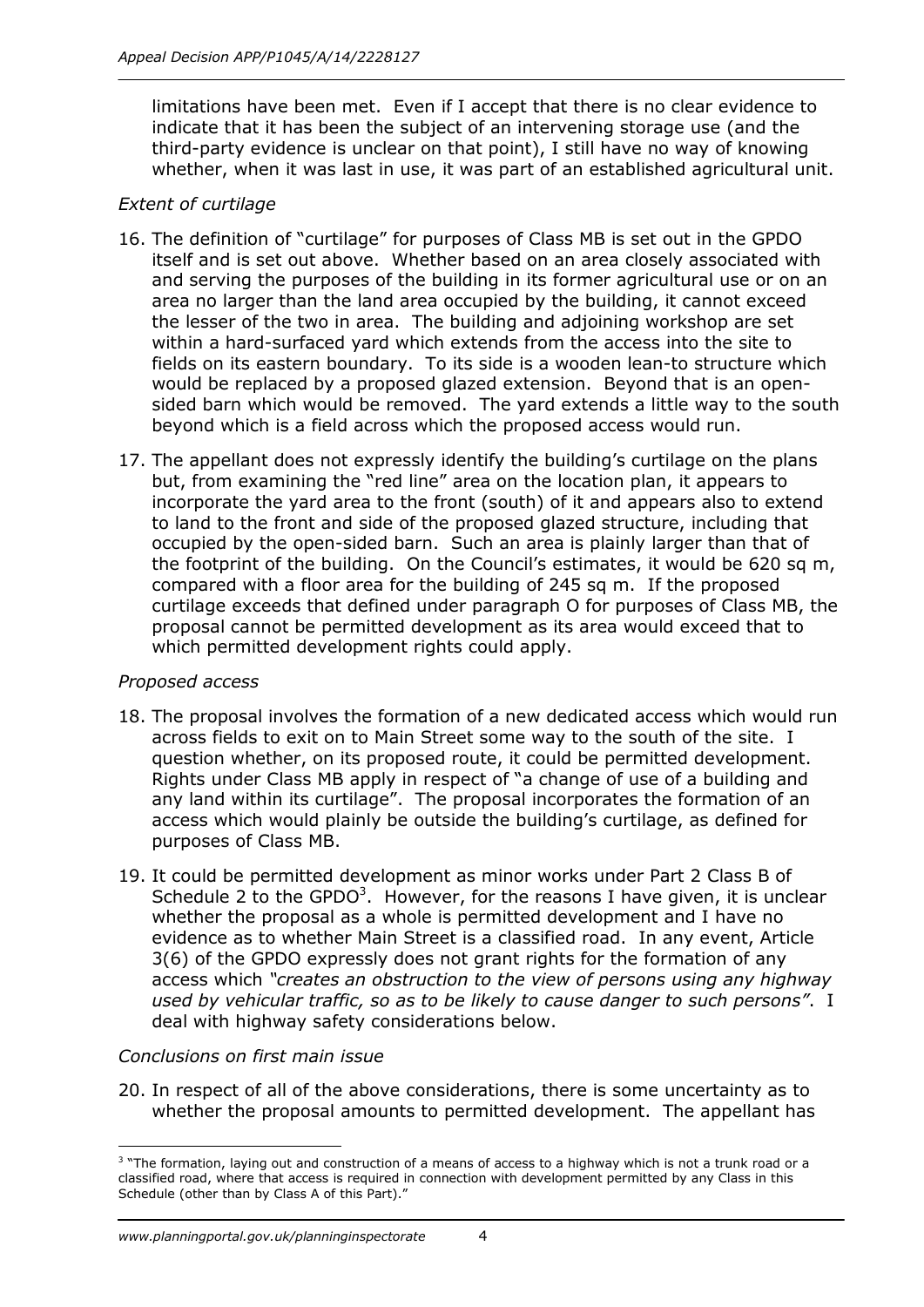limitations have been met. Even if I accept that there is no clear evidence to indicate that it has been the subject of an intervening storage use (and the third-party evidence is unclear on that point), I still have no way of knowing whether, when it was last in use, it was part of an established agricultural unit.

#### *Extent of curtilage*

- 16. The definition of "curtilage" for purposes of Class MB is set out in the GPDO itself and is set out above. Whether based on an area closely associated with and serving the purposes of the building in its former agricultural use or on an area no larger than the land area occupied by the building, it cannot exceed the lesser of the two in area. The building and adjoining workshop are set within a hard-surfaced yard which extends from the access into the site to fields on its eastern boundary. To its side is a wooden lean-to structure which would be replaced by a proposed glazed extension. Beyond that is an opensided barn which would be removed. The yard extends a little way to the south beyond which is a field across which the proposed access would run.
- 17. The appellant does not expressly identify the building's curtilage on the plans but, from examining the "red line" area on the location plan, it appears to incorporate the yard area to the front (south) of it and appears also to extend to land to the front and side of the proposed glazed structure, including that occupied by the open-sided barn. Such an area is plainly larger than that of the footprint of the building. On the Council's estimates, it would be 620 sq m, compared with a floor area for the building of 245 sq m. If the proposed curtilage exceeds that defined under paragraph O for purposes of Class MB, the proposal cannot be permitted development as its area would exceed that to which permitted development rights could apply.

#### *Proposed access*

- 18. The proposal involves the formation of a new dedicated access which would run across fields to exit on to Main Street some way to the south of the site. I question whether, on its proposed route, it could be permitted development. Rights under Class MB apply in respect of "a change of use of a building and any land within its curtilage". The proposal incorporates the formation of an access which would plainly be outside the building's curtilage, as defined for purposes of Class MB.
- 19. It could be permitted development as minor works under Part 2 Class B of Schedule 2 to the GPDO<sup>3</sup>. However, for the reasons I have given, it is unclear whether the proposal as a whole is permitted development and I have no evidence as to whether Main Street is a classified road. In any event, Article 3(6) of the GPDO expressly does not grant rights for the formation of any access which *"creates an obstruction to the view of persons using any highway used by vehicular traffic, so as to be likely to cause danger to such persons"*. I deal with highway safety considerations below.

### *Conclusions on first main issue*

20. In respect of all of the above considerations, there is some uncertainty as to whether the proposal amounts to permitted development. The appellant has

j <sup>3</sup> "The formation, laying out and construction of a means of access to a highway which is not a trunk road or a classified road, where that access is required in connection with development permitted by any Class in this Schedule (other than by Class A of this Part)."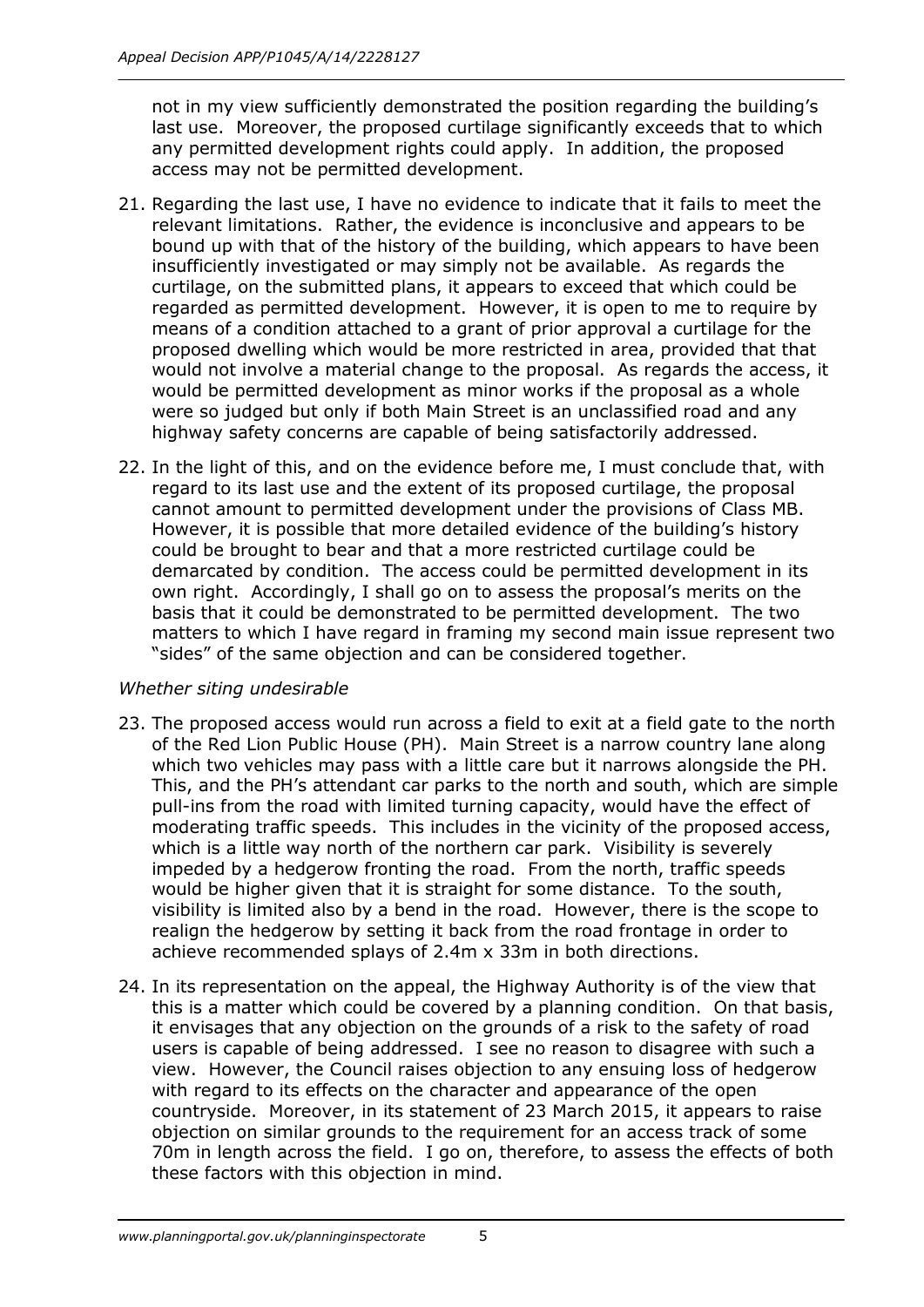not in my view sufficiently demonstrated the position regarding the building's last use. Moreover, the proposed curtilage significantly exceeds that to which any permitted development rights could apply. In addition, the proposed access may not be permitted development.

- 21. Regarding the last use, I have no evidence to indicate that it fails to meet the relevant limitations. Rather, the evidence is inconclusive and appears to be bound up with that of the history of the building, which appears to have been insufficiently investigated or may simply not be available. As regards the curtilage, on the submitted plans, it appears to exceed that which could be regarded as permitted development. However, it is open to me to require by means of a condition attached to a grant of prior approval a curtilage for the proposed dwelling which would be more restricted in area, provided that that would not involve a material change to the proposal. As regards the access, it would be permitted development as minor works if the proposal as a whole were so judged but only if both Main Street is an unclassified road and any highway safety concerns are capable of being satisfactorily addressed.
- 22. In the light of this, and on the evidence before me, I must conclude that, with regard to its last use and the extent of its proposed curtilage, the proposal cannot amount to permitted development under the provisions of Class MB. However, it is possible that more detailed evidence of the building's history could be brought to bear and that a more restricted curtilage could be demarcated by condition. The access could be permitted development in its own right. Accordingly, I shall go on to assess the proposal's merits on the basis that it could be demonstrated to be permitted development. The two matters to which I have regard in framing my second main issue represent two "sides" of the same objection and can be considered together.

#### *Whether siting undesirable*

- 23. The proposed access would run across a field to exit at a field gate to the north of the Red Lion Public House (PH). Main Street is a narrow country lane along which two vehicles may pass with a little care but it narrows alongside the PH. This, and the PH's attendant car parks to the north and south, which are simple pull-ins from the road with limited turning capacity, would have the effect of moderating traffic speeds. This includes in the vicinity of the proposed access, which is a little way north of the northern car park. Visibility is severely impeded by a hedgerow fronting the road. From the north, traffic speeds would be higher given that it is straight for some distance. To the south, visibility is limited also by a bend in the road. However, there is the scope to realign the hedgerow by setting it back from the road frontage in order to achieve recommended splays of 2.4m x 33m in both directions.
- 24. In its representation on the appeal, the Highway Authority is of the view that this is a matter which could be covered by a planning condition. On that basis, it envisages that any objection on the grounds of a risk to the safety of road users is capable of being addressed. I see no reason to disagree with such a view. However, the Council raises objection to any ensuing loss of hedgerow with regard to its effects on the character and appearance of the open countryside. Moreover, in its statement of 23 March 2015, it appears to raise objection on similar grounds to the requirement for an access track of some 70m in length across the field. I go on, therefore, to assess the effects of both these factors with this objection in mind.